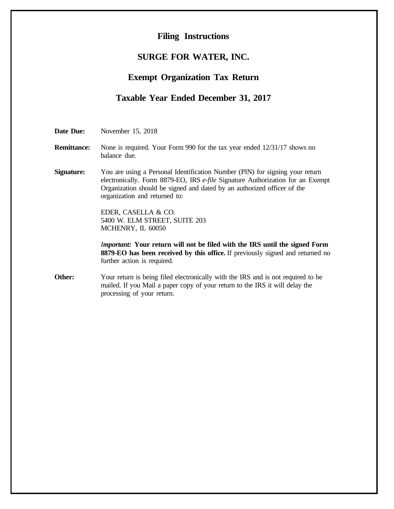#### **Filing Instructions**

#### **SURGE FOR WATER, INC.**

### **Exempt Organization Tax Return**

#### **Taxable Year Ended December 31, 2017**

**Date Due:** November 15, 2018

- **Remittance:** None is required. Your Form 990 for the tax year ended  $12/31/17$  shows no balance due.
- **Signature:** You are using a Personal Identification Number (PIN) for signing your return electronically. Form 8879-EO, IRS *e-file* Signature Authorization for an Exempt Organization should be signed and dated by an authorized officer of the organization and returned to:

EDER, CASELLA & CO. 5400 W. ELM STREET, SUITE 203 MCHENRY, IL 60050

*Important:* **Your return will not be filed with the IRS until the signed Form 8879-EO has been received by this office.** If previously signed and returned no further action is required.

**Other:** Your return is being filed electronically with the IRS and is not required to be mailed. If you Mail a paper copy of your return to the IRS it will delay the processing of your return.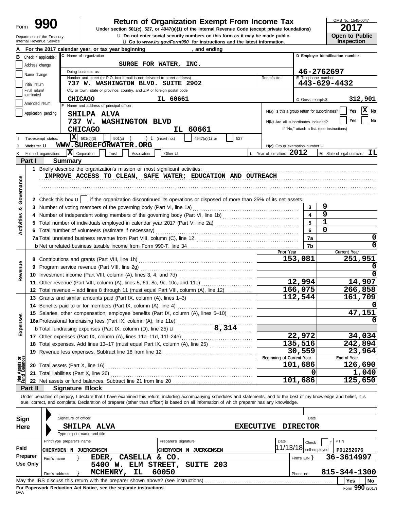Department of the Treasury<br>Internal Revenue Service

# **990 1990 2017 2018 Depend of Organization Exempt From Income Tax 1947(a)(1)** of the Internal Revenue Code (except private foundations)

**u** Go to *www.irs.gov/Form990* for instructions and the latest information. **u** Do not enter social security numbers on this form as it may be made public. OMB No. 1545-0047

|                       | LV I I |  |  |  |  |  |
|-----------------------|--------|--|--|--|--|--|
| <b>Open to Public</b> |        |  |  |  |  |  |
| <b>Inspection</b>     |        |  |  |  |  |  |

|                                |                             |                       | For the 2017 calendar year, or tax year beginning                                                                                                                          |                      | and ending                   |         |                                               |                           |                                            |
|--------------------------------|-----------------------------|-----------------------|----------------------------------------------------------------------------------------------------------------------------------------------------------------------------|----------------------|------------------------------|---------|-----------------------------------------------|---------------------------|--------------------------------------------|
| В                              | Check if applicable:        |                       | C Name of organization                                                                                                                                                     |                      |                              |         |                                               |                           | D Emplover identification number           |
|                                | Address change              |                       | SURGE FOR WATER, INC.                                                                                                                                                      |                      |                              |         |                                               |                           |                                            |
|                                |                             |                       | Doing business as                                                                                                                                                          |                      |                              |         |                                               |                           | 46-2762697                                 |
|                                | Name change                 |                       | Number and street (or P.O. box if mail is not delivered to street address)                                                                                                 |                      |                              |         | Room/suite                                    | <b>E</b> Telephone number |                                            |
|                                | Initial return              |                       | 737 W. WASHINGTON BLVD. SUITE 2902                                                                                                                                         |                      |                              |         |                                               |                           | 443-629-4432                               |
|                                | Final return/<br>terminated |                       | City or town, state or province, country, and ZIP or foreign postal code                                                                                                   |                      |                              |         |                                               |                           |                                            |
|                                |                             |                       | <b>CHICAGO</b>                                                                                                                                                             | IL 60661             |                              |         |                                               | G Gross receipts \$       | 312,901                                    |
|                                | Amended return              |                       | F Name and address of principal officer:                                                                                                                                   |                      |                              |         |                                               |                           | $\overline{\mathbf{x}}$                    |
|                                |                             | Application pending   | SHILPA ALVA                                                                                                                                                                |                      |                              |         | H(a) Is this a group return for subordinates? |                           | Yes<br>No                                  |
|                                |                             |                       | 737 W. WASHINGTON BLVD                                                                                                                                                     |                      |                              |         | H(b) Are all subordinates included?           |                           | No<br>Yes                                  |
|                                |                             |                       | <b>CHICAGO</b>                                                                                                                                                             |                      | IL 60661                     |         |                                               |                           | If "No," attach a list. (see instructions) |
|                                |                             | Tax-exempt status:    | X<br>501(c)(3)<br>501(c)                                                                                                                                                   | ) $t$ (insert no.)   | 4947(a)(1) or                | 527     |                                               |                           |                                            |
|                                | Website: U                  |                       | WWW.SURGEFORWATER.ORG                                                                                                                                                      |                      |                              |         | H(c) Group exemption number LI                |                           |                                            |
|                                |                             | Form of organization: | $ \mathbf{X} $<br>Corporation<br>Trust<br>Association                                                                                                                      | Other <b>u</b>       |                              |         | L Year of formation: 2012                     |                           | ΙL<br>M State of legal domicile:           |
|                                | Part I                      |                       | <b>Summary</b>                                                                                                                                                             |                      |                              |         |                                               |                           |                                            |
|                                |                             |                       | 1 Briefly describe the organization's mission or most significant activities:                                                                                              |                      |                              |         |                                               |                           |                                            |
|                                |                             |                       | IMPROVE ACCESS TO CLEAN, SAFE WATER; EDUCATION AND OUTREACH                                                                                                                |                      |                              |         |                                               |                           |                                            |
|                                |                             |                       |                                                                                                                                                                            |                      |                              |         |                                               |                           |                                            |
|                                |                             |                       |                                                                                                                                                                            |                      |                              |         |                                               |                           |                                            |
| Governance                     |                             |                       |                                                                                                                                                                            |                      |                              |         |                                               |                           |                                            |
|                                |                             |                       | 2 Check this box $\mathbf{u}$   if the organization discontinued its operations or disposed of more than 25% of its net assets.                                            |                      |                              |         |                                               |                           |                                            |
| න්                             |                             |                       |                                                                                                                                                                            |                      |                              |         |                                               | 3                         | 9                                          |
|                                | 4                           |                       | Number of independent voting members of the governing body (Part VI, line 1b) [[[[[[[[[[[[[[[[[[[[[[[[[[[[[[]]                                                             |                      |                              |         |                                               | 4                         | 9                                          |
| Activities                     | 5                           |                       | Total number of individuals employed in calendar year 2017 (Part V, line 2a) [[[[[[[[[[[[[[[[[[[[[[[[[[[[[[[[                                                              |                      |                              |         |                                               | 5                         | 1                                          |
|                                |                             |                       | 6 Total number of volunteers (estimate if necessary)                                                                                                                       |                      |                              |         |                                               | 6                         | 0                                          |
|                                |                             |                       |                                                                                                                                                                            |                      |                              |         |                                               | 7a                        | 0                                          |
|                                |                             |                       |                                                                                                                                                                            |                      |                              |         |                                               | 7b                        | $\Omega$                                   |
|                                |                             |                       |                                                                                                                                                                            |                      |                              |         | Prior Year                                    |                           | Current Year                               |
|                                |                             |                       |                                                                                                                                                                            |                      |                              |         |                                               | 153,081                   | 251,951                                    |
|                                |                             |                       | 9 Program service revenue (Part VIII, line 2g)                                                                                                                             |                      |                              | O       |                                               |                           |                                            |
| Revenue                        |                             |                       |                                                                                                                                                                            |                      |                              | 0       |                                               |                           |                                            |
|                                |                             |                       | 11 Other revenue (Part VIII, column (A), lines 5, 6d, 8c, 9c, 10c, and 11e)                                                                                                |                      |                              |         |                                               | 12,994                    | 14,907                                     |
|                                |                             |                       | 12 Total revenue - add lines 8 through 11 (must equal Part VIII, column (A), line 12)                                                                                      |                      |                              |         |                                               | 166,075                   | 266,858                                    |
|                                |                             |                       | 13 Grants and similar amounts paid (Part IX, column (A), lines 1-3)                                                                                                        |                      |                              |         |                                               | 112,544                   | 161,709                                    |
|                                |                             |                       | 14 Benefits paid to or for members (Part IX, column (A), line 4)                                                                                                           |                      |                              |         |                                               |                           |                                            |
|                                |                             |                       | 15 Salaries, other compensation, employee benefits (Part IX, column (A), lines 5-10)                                                                                       |                      |                              |         |                                               |                           | 47,151                                     |
| Expenses                       |                             |                       | 16a Professional fundraising fees (Part IX, column (A), line 11e)                                                                                                          |                      |                              |         |                                               |                           | 0                                          |
|                                |                             |                       | <b>b</b> Total fundraising expenses (Part IX, column (D), line 25) <b>u</b>                                                                                                |                      |                              | 8,314   |                                               |                           |                                            |
|                                |                             |                       | 17 Other expenses (Part IX, column (A), lines 11a-11d, 11f-24e)                                                                                                            |                      |                              | 22,972  | 34,034                                        |                           |                                            |
|                                |                             |                       | 18 Total expenses. Add lines 13-17 (must equal Part IX, column (A), line 25) [                                                                                             |                      |                              | 135,516 | 242,894                                       |                           |                                            |
|                                |                             |                       | 19 Revenue less expenses. Subtract line 18 from line 12                                                                                                                    |                      |                              |         |                                               | 30,559                    | 23,964                                     |
|                                |                             |                       |                                                                                                                                                                            |                      |                              |         | Beginning of Current Year                     |                           | End of Year                                |
| Net Assets or<br>Fund Balances |                             |                       | 20 Total assets (Part X, line 16)                                                                                                                                          |                      |                              |         |                                               | 101,686                   | 126,690                                    |
|                                |                             |                       | 21 Total liabilities (Part X, line 26)                                                                                                                                     |                      |                              |         |                                               | O                         | 1,040                                      |
|                                |                             |                       | 22 Net assets or fund balances. Subtract line 21 from line 20                                                                                                              |                      |                              |         |                                               | 101,686                   | $\overline{1}$ 25,650                      |
|                                | Part II                     |                       | <b>Signature Block</b>                                                                                                                                                     |                      |                              |         |                                               |                           |                                            |
|                                |                             |                       | Under penalties of perjury, I declare that I have examined this return, including accompanying schedules and statements, and to the best of my knowledge and belief, it is |                      |                              |         |                                               |                           |                                            |
|                                |                             |                       | true, correct, and complete. Declaration of preparer (other than officer) is based on all information of which preparer has any knowledge.                                 |                      |                              |         |                                               |                           |                                            |
|                                |                             |                       |                                                                                                                                                                            |                      |                              |         |                                               |                           |                                            |
| Sign                           |                             |                       | Signature of officer                                                                                                                                                       |                      |                              |         |                                               | Date                      |                                            |
| Here                           |                             |                       | SHILPA ALVA                                                                                                                                                                |                      |                              |         | <b>EXECUTIVE</b>                              | <b>DIRECTOR</b>           |                                            |
|                                |                             |                       | Type or print name and title                                                                                                                                               |                      |                              |         |                                               |                           |                                            |
|                                |                             |                       | Print/Type preparer's name                                                                                                                                                 | Preparer's signature |                              |         | Date                                          | Check                     | PTIN                                       |
| Paid                           |                             |                       | <b>CHERYDEN N JUERGENSEN</b>                                                                                                                                               |                      | <b>CHERYDEN N JUERGENSEN</b> |         | 11/13/18                                      | self-employed             | P01252676                                  |
|                                | Preparer                    |                       |                                                                                                                                                                            |                      |                              |         |                                               |                           | 36-3614997                                 |
|                                | <b>Use Only</b>             | Firm's name           | CASELLA & CO.<br>EDER,                                                                                                                                                     |                      |                              |         |                                               | Firm's $EIN$ }            |                                            |
|                                |                             |                       | 5400 W. ELM STREET, SUITE 203                                                                                                                                              | 60050                |                              |         |                                               |                           |                                            |
|                                |                             | Firm's address        | MCHENRY,<br>IL                                                                                                                                                             |                      |                              |         |                                               | Phone no.                 | 815-344-1300                               |
|                                |                             |                       | May the IRS discuss this return with the preparer shown above? (see instructions)                                                                                          |                      |                              |         |                                               |                           | Yes<br>No                                  |

| Sign     | Signature of officer                                                              |                              | Date                                   |
|----------|-----------------------------------------------------------------------------------|------------------------------|----------------------------------------|
| Here     | SHILPA ALVA                                                                       | <b>EXECUTIVE</b>             | <b>DIRECTOR</b>                        |
|          | Type or print name and title                                                      |                              |                                        |
|          | Print/Type preparer's name                                                        | Preparer's signature<br>Date | <b>PTIN</b><br>Check                   |
| Paid     | <b>JUERGENSEN</b><br>CHERYDEN<br><b>CHERYDEN</b><br>N                             | <b>JUERGENSEN</b><br>N       | 11/13/18<br>self-emploved<br>P01252676 |
| Preparer | CASELLA<br>EDER,<br>&.<br>Firm's name                                             | CO.                          | 36-3614997<br>Firm's $EIN$             |
| Use Only | ELM STREET,<br>5400<br>W.                                                         | SUITE 203                    |                                        |
|          | 60050<br>MCHENRY,<br>IL.<br>Firm's address                                        |                              | 815-344-1300<br>Phone no.              |
|          | May the IRS discuss this return with the preparer shown above? (see instructions) |                              | No<br><b>Yes</b>                       |
|          | For Paperwork Reduction Act Notice, see the separate instructions.                |                              | Form $990(2017)$                       |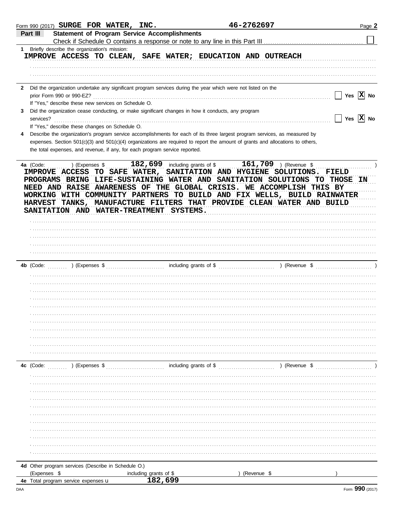|              | Form 990 (2017) SURGE FOR WATER, INC.                                                                           |                                                     | 46-2762697                                                                                                                                        | Page 2                              |
|--------------|-----------------------------------------------------------------------------------------------------------------|-----------------------------------------------------|---------------------------------------------------------------------------------------------------------------------------------------------------|-------------------------------------|
|              | Part III                                                                                                        | <b>Statement of Program Service Accomplishments</b> |                                                                                                                                                   |                                     |
| $\mathbf 1$  | Briefly describe the organization's mission:                                                                    |                                                     |                                                                                                                                                   |                                     |
|              |                                                                                                                 |                                                     | IMPROVE ACCESS TO CLEAN, SAFE WATER; EDUCATION AND OUTREACH                                                                                       |                                     |
|              |                                                                                                                 |                                                     |                                                                                                                                                   |                                     |
|              |                                                                                                                 |                                                     |                                                                                                                                                   |                                     |
|              |                                                                                                                 |                                                     |                                                                                                                                                   |                                     |
| $\mathbf{2}$ | Did the organization undertake any significant program services during the year which were not listed on the    |                                                     |                                                                                                                                                   |                                     |
|              | prior Form 990 or 990-EZ?                                                                                       |                                                     |                                                                                                                                                   | Yes $ X $ No                        |
|              | If "Yes," describe these new services on Schedule O.                                                            |                                                     |                                                                                                                                                   |                                     |
| 3            | Did the organization cease conducting, or make significant changes in how it conducts, any program<br>services? |                                                     |                                                                                                                                                   | $\sqrt{}$ Yes $\boxed{\text{X}}$ No |
|              | If "Yes," describe these changes on Schedule O.                                                                 |                                                     |                                                                                                                                                   |                                     |
| 4            |                                                                                                                 |                                                     | Describe the organization's program service accomplishments for each of its three largest program services, as measured by                        |                                     |
|              |                                                                                                                 |                                                     | expenses. Section 501(c)(3) and 501(c)(4) organizations are required to report the amount of grants and allocations to others,                    |                                     |
|              | the total expenses, and revenue, if any, for each program service reported.                                     |                                                     |                                                                                                                                                   |                                     |
|              |                                                                                                                 |                                                     |                                                                                                                                                   |                                     |
|              | 4a (Code:                                                                                                       |                                                     | ) (Expenses $\frac{182,699}{182,699}$ including grants of \$ 161,709 ) (Revenue \$                                                                |                                     |
|              |                                                                                                                 |                                                     | IMPROVE ACCESS TO SAFE WATER, SANITATION AND HYGIENE SOLUTIONS. FIELD                                                                             |                                     |
|              |                                                                                                                 |                                                     | PROGRAMS BRING LIFE-SUSTAINING WATER AND SANITATION SOLUTIONS TO THOSE IN<br>NEED AND RAISE AWARENESS OF THE GLOBAL CRISIS. WE ACCOMPLISH THIS BY |                                     |
|              |                                                                                                                 |                                                     | WORKING WITH COMMUNITY PARTNERS TO BUILD AND FIX WELLS, BUILD RAINWATER                                                                           |                                     |
|              |                                                                                                                 |                                                     | HARVEST TANKS, MANUFACTURE FILTERS THAT PROVIDE CLEAN WATER AND BUILD                                                                             |                                     |
|              | SANITATION AND WATER-TREATMENT SYSTEMS.                                                                         |                                                     |                                                                                                                                                   |                                     |
|              |                                                                                                                 |                                                     |                                                                                                                                                   |                                     |
|              |                                                                                                                 |                                                     |                                                                                                                                                   |                                     |
|              |                                                                                                                 |                                                     |                                                                                                                                                   |                                     |
|              |                                                                                                                 |                                                     |                                                                                                                                                   |                                     |
|              |                                                                                                                 |                                                     |                                                                                                                                                   |                                     |
|              |                                                                                                                 |                                                     |                                                                                                                                                   |                                     |
|              |                                                                                                                 |                                                     |                                                                                                                                                   |                                     |
|              |                                                                                                                 |                                                     |                                                                                                                                                   |                                     |
|              |                                                                                                                 |                                                     |                                                                                                                                                   |                                     |
|              |                                                                                                                 |                                                     |                                                                                                                                                   |                                     |
|              |                                                                                                                 |                                                     |                                                                                                                                                   |                                     |
|              |                                                                                                                 |                                                     |                                                                                                                                                   |                                     |
|              |                                                                                                                 |                                                     |                                                                                                                                                   |                                     |
|              |                                                                                                                 |                                                     |                                                                                                                                                   |                                     |
|              |                                                                                                                 |                                                     |                                                                                                                                                   |                                     |
|              |                                                                                                                 |                                                     |                                                                                                                                                   |                                     |
|              |                                                                                                                 |                                                     |                                                                                                                                                   |                                     |
|              |                                                                                                                 |                                                     |                                                                                                                                                   |                                     |
|              |                                                                                                                 |                                                     |                                                                                                                                                   |                                     |
|              |                                                                                                                 |                                                     |                                                                                                                                                   |                                     |
|              |                                                                                                                 |                                                     |                                                                                                                                                   |                                     |
|              |                                                                                                                 |                                                     |                                                                                                                                                   |                                     |
|              |                                                                                                                 |                                                     |                                                                                                                                                   |                                     |
|              |                                                                                                                 |                                                     |                                                                                                                                                   |                                     |
|              |                                                                                                                 |                                                     |                                                                                                                                                   |                                     |
|              |                                                                                                                 |                                                     |                                                                                                                                                   |                                     |
|              |                                                                                                                 |                                                     |                                                                                                                                                   |                                     |
|              |                                                                                                                 |                                                     |                                                                                                                                                   |                                     |
|              |                                                                                                                 |                                                     |                                                                                                                                                   |                                     |
|              | 4d Other program services (Describe in Schedule O.)                                                             |                                                     |                                                                                                                                                   |                                     |
|              | (Expenses \$                                                                                                    | including grants of \$                              | (Revenue \$                                                                                                                                       |                                     |
|              | 4e Total program service expenses u                                                                             | 182,699                                             |                                                                                                                                                   |                                     |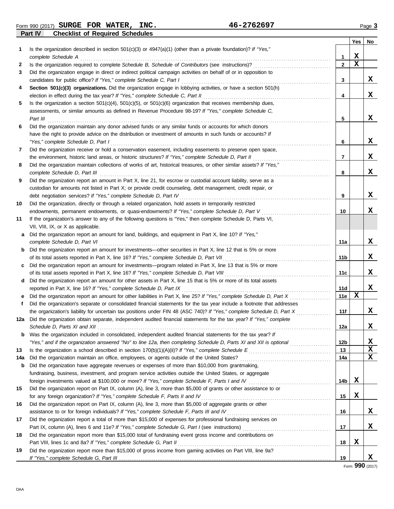**Part IV Checklist of Required Schedules** Form 990 (2017) Page **3 SURGE FOR WATER, INC. 46-2762697**

|     |                                                                                                                                                                                                                                 |              | Yes         | No |
|-----|---------------------------------------------------------------------------------------------------------------------------------------------------------------------------------------------------------------------------------|--------------|-------------|----|
| 1   | Is the organization described in section 501(c)(3) or 4947(a)(1) (other than a private foundation)? If "Yes,"                                                                                                                   |              |             |    |
|     | complete Schedule A                                                                                                                                                                                                             | 1            | X           |    |
| 2   | Is the organization required to complete Schedule B, Schedule of Contributors (see instructions)?                                                                                                                               | $\mathbf{2}$ | $\mathbf x$ |    |
| 3   | Did the organization engage in direct or indirect political campaign activities on behalf of or in opposition to                                                                                                                |              |             |    |
|     | candidates for public office? If "Yes," complete Schedule C, Part I                                                                                                                                                             | 3            |             | X. |
| 4   | Section 501(c)(3) organizations. Did the organization engage in lobbying activities, or have a section 501(h)                                                                                                                   |              |             |    |
|     | election in effect during the tax year? If "Yes," complete Schedule C, Part II                                                                                                                                                  | 4            |             | x  |
| 5   | Is the organization a section $501(c)(4)$ , $501(c)(5)$ , or $501(c)(6)$ organization that receives membership dues,                                                                                                            |              |             |    |
|     | assessments, or similar amounts as defined in Revenue Procedure 98-19? If "Yes," complete Schedule C,                                                                                                                           |              |             |    |
|     | Part III                                                                                                                                                                                                                        | 5            |             | x  |
| 6   | Did the organization maintain any donor advised funds or any similar funds or accounts for which donors                                                                                                                         |              |             |    |
|     | have the right to provide advice on the distribution or investment of amounts in such funds or accounts? If                                                                                                                     |              |             |    |
|     | "Yes," complete Schedule D, Part I                                                                                                                                                                                              | 6            |             | x  |
| 7   | Did the organization receive or hold a conservation easement, including easements to preserve open space,                                                                                                                       |              |             |    |
|     | the environment, historic land areas, or historic structures? If "Yes," complete Schedule D, Part II                                                                                                                            | 7            |             | x  |
| 8   | Did the organization maintain collections of works of art, historical treasures, or other similar assets? If "Yes,"                                                                                                             |              |             |    |
|     | complete Schedule D, Part III                                                                                                                                                                                                   | 8            |             | x  |
| 9   | Did the organization report an amount in Part X, line 21, for escrow or custodial account liability, serve as a<br>custodian for amounts not listed in Part X; or provide credit counseling, debt management, credit repair, or |              |             |    |
|     | debt negotiation services? If "Yes," complete Schedule D, Part IV                                                                                                                                                               | 9            |             | x  |
| 10  | Did the organization, directly or through a related organization, hold assets in temporarily restricted                                                                                                                         |              |             |    |
|     | endowments, permanent endowments, or quasi-endowments? If "Yes," complete Schedule D, Part V                                                                                                                                    | 10           |             | x  |
| 11  | If the organization's answer to any of the following questions is "Yes," then complete Schedule D, Parts VI,                                                                                                                    |              |             |    |
|     | VII, VIII, IX, or X as applicable.                                                                                                                                                                                              |              |             |    |
| a   | Did the organization report an amount for land, buildings, and equipment in Part X, line 10? If "Yes,"                                                                                                                          |              |             |    |
|     | complete Schedule D, Part VI                                                                                                                                                                                                    | 11a          |             | x  |
| b   | Did the organization report an amount for investments—other securities in Part X, line 12 that is 5% or more                                                                                                                    |              |             |    |
|     | of its total assets reported in Part X, line 16? If "Yes," complete Schedule D, Part VII                                                                                                                                        | 11b          |             | x  |
|     | Did the organization report an amount for investments—program related in Part X, line 13 that is 5% or more                                                                                                                     |              |             |    |
|     | of its total assets reported in Part X, line 16? If "Yes," complete Schedule D, Part VIII                                                                                                                                       | 11c          |             | x  |
| d   | Did the organization report an amount for other assets in Part X, line 15 that is 5% or more of its total assets                                                                                                                |              |             |    |
|     | reported in Part X, line 16? If "Yes," complete Schedule D, Part IX                                                                                                                                                             | 11d          |             | x  |
| е   | Did the organization report an amount for other liabilities in Part X, line 25? If "Yes," complete Schedule D, Part X                                                                                                           | <b>11e</b>   | X           |    |
| f   | Did the organization's separate or consolidated financial statements for the tax year include a footnote that addresses                                                                                                         |              |             |    |
|     | the organization's liability for uncertain tax positions under FIN 48 (ASC 740)? If "Yes," complete Schedule D, Part X                                                                                                          | 11f          |             | x  |
| 12a | Did the organization obtain separate, independent audited financial statements for the tax year? If "Yes," complete                                                                                                             |              |             |    |
|     | Schedule D, Parts XI and XII                                                                                                                                                                                                    | 12a          |             | х  |
| b   | Was the organization included in consolidated, independent audited financial statements for the tax year? If                                                                                                                    |              |             |    |
|     | "Yes," and if the organization answered "No" to line 12a, then completing Schedule D, Parts XI and XII is optional                                                                                                              | 12b          |             | x  |
| 13  |                                                                                                                                                                                                                                 | 13           |             | X  |
| 14a | Did the organization maintain an office, employees, or agents outside of the United States?                                                                                                                                     | 14a          |             | X  |
| b   | Did the organization have aggregate revenues or expenses of more than \$10,000 from grantmaking,                                                                                                                                |              |             |    |
|     | fundraising, business, investment, and program service activities outside the United States, or aggregate                                                                                                                       |              |             |    |
|     | foreign investments valued at \$100,000 or more? If "Yes," complete Schedule F, Parts I and IV                                                                                                                                  | 14b          | X           |    |
| 15  | Did the organization report on Part IX, column (A), line 3, more than \$5,000 of grants or other assistance to or                                                                                                               |              |             |    |
|     | for any foreign organization? If "Yes," complete Schedule F, Parts II and IV                                                                                                                                                    | 15           | X           |    |
| 16  | Did the organization report on Part IX, column (A), line 3, more than \$5,000 of aggregate grants or other                                                                                                                      |              |             |    |
|     | assistance to or for foreign individuals? If "Yes," complete Schedule F, Parts III and IV                                                                                                                                       | 16           |             | X. |
| 17  | Did the organization report a total of more than \$15,000 of expenses for professional fundraising services on                                                                                                                  |              |             |    |
|     |                                                                                                                                                                                                                                 | 17           |             | X. |
| 18  | Did the organization report more than \$15,000 total of fundraising event gross income and contributions on                                                                                                                     |              |             |    |
|     | Part VIII, lines 1c and 8a? If "Yes," complete Schedule G, Part II                                                                                                                                                              | 18           | X           |    |
| 19  | Did the organization report more than \$15,000 of gross income from gaming activities on Part VIII, line 9a?                                                                                                                    | 19           |             | x  |
|     |                                                                                                                                                                                                                                 |              |             |    |

Form **990** (2017)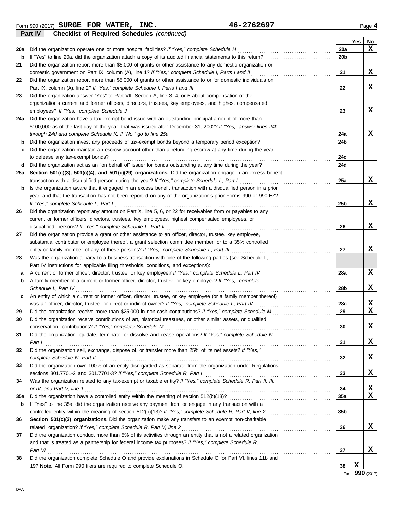Form 990 (2017) Page **4 SURGE FOR WATER, INC. 46-2762697 Part IV Checklist of Required Schedules** *(continued)*

|     |                                                                                                                  |     | Yes | No          |
|-----|------------------------------------------------------------------------------------------------------------------|-----|-----|-------------|
| 20a | Did the organization operate one or more hospital facilities? If "Yes," complete Schedule H                      | 20a |     | X           |
| b   |                                                                                                                  | 20b |     |             |
| 21  | Did the organization report more than \$5,000 of grants or other assistance to any domestic organization or      |     |     |             |
|     | domestic government on Part IX, column (A), line 1? If "Yes," complete Schedule I, Parts I and II                | 21  |     | x           |
| 22  | Did the organization report more than \$5,000 of grants or other assistance to or for domestic individuals on    |     |     |             |
|     | Part IX, column (A), line 2? If "Yes," complete Schedule I, Parts I and III                                      | 22  |     | x           |
| 23  | Did the organization answer "Yes" to Part VII, Section A, line 3, 4, or 5 about compensation of the              |     |     |             |
|     | organization's current and former officers, directors, trustees, key employees, and highest compensated          |     |     |             |
|     | employees? If "Yes," complete Schedule J                                                                         | 23  |     | x           |
| 24a | Did the organization have a tax-exempt bond issue with an outstanding principal amount of more than              |     |     |             |
|     | \$100,000 as of the last day of the year, that was issued after December 31, 2002? If "Yes," answer lines 24b    |     |     |             |
|     | through 24d and complete Schedule K. If "No," go to line 25a                                                     | 24a |     | x           |
| b   | Did the organization invest any proceeds of tax-exempt bonds beyond a temporary period exception?                | 24b |     |             |
| c   | Did the organization maintain an escrow account other than a refunding escrow at any time during the year        |     |     |             |
|     | to defease any tax-exempt bonds?                                                                                 | 24c |     |             |
| d   | Did the organization act as an "on behalf of" issuer for bonds outstanding at any time during the year?          | 24d |     |             |
| 25a | Section 501(c)(3), 501(c)(4), and 501(c)(29) organizations. Did the organization engage in an excess benefit     |     |     |             |
|     | transaction with a disqualified person during the year? If "Yes," complete Schedule L, Part I                    | 25a |     | x           |
| b   | Is the organization aware that it engaged in an excess benefit transaction with a disqualified person in a prior |     |     |             |
|     | year, and that the transaction has not been reported on any of the organization's prior Forms 990 or 990-EZ?     |     |     |             |
|     | If "Yes," complete Schedule L, Part I                                                                            | 25b |     | x           |
| 26  | Did the organization report any amount on Part X, line 5, 6, or 22 for receivables from or payables to any       |     |     |             |
|     | current or former officers, directors, trustees, key employees, highest compensated employees, or                |     |     |             |
|     | disqualified persons? If "Yes," complete Schedule L, Part II                                                     | 26  |     | x           |
| 27  | Did the organization provide a grant or other assistance to an officer, director, trustee, key employee,         |     |     |             |
|     | substantial contributor or employee thereof, a grant selection committee member, or to a 35% controlled          |     |     |             |
|     | entity or family member of any of these persons? If "Yes," complete Schedule L, Part III                         | 27  |     | x           |
| 28  | Was the organization a party to a business transaction with one of the following parties (see Schedule L,        |     |     |             |
|     | Part IV instructions for applicable filing thresholds, conditions, and exceptions):                              |     |     |             |
| a   | A current or former officer, director, trustee, or key employee? If "Yes," complete Schedule L, Part IV          | 28a |     | X           |
| b   | A family member of a current or former officer, director, trustee, or key employee? If "Yes," complete           |     |     |             |
|     | Schedule L, Part IV                                                                                              | 28b |     | X           |
| c   | An entity of which a current or former officer, director, trustee, or key employee (or a family member thereof)  |     |     |             |
|     | was an officer, director, trustee, or direct or indirect owner? If "Yes," complete Schedule L, Part IV           | 28c |     | x           |
| 29  | Did the organization receive more than \$25,000 in non-cash contributions? If "Yes," complete Schedule M         | 29  |     | $\mathbf x$ |
| 30  | Did the organization receive contributions of art, historical treasures, or other similar assets, or qualified   |     |     |             |
|     | conservation contributions? If "Yes," complete Schedule M                                                        | 30  |     | х           |
| 31  | Did the organization liquidate, terminate, or dissolve and cease operations? If "Yes," complete Schedule N,      |     |     |             |
|     | Part I                                                                                                           | 31  |     | X           |
| 32  | Did the organization sell, exchange, dispose of, or transfer more than 25% of its net assets? If "Yes,"          |     |     |             |
|     | complete Schedule N, Part II                                                                                     | 32  |     | X           |
| 33  | Did the organization own 100% of an entity disregarded as separate from the organization under Regulations       |     |     |             |
|     | sections 301.7701-2 and 301.7701-3? If "Yes," complete Schedule R, Part I                                        | 33  |     | X           |
| 34  | Was the organization related to any tax-exempt or taxable entity? If "Yes," complete Schedule R, Part II, III,   |     |     |             |
|     | or IV, and Part V, line 1                                                                                        | 34  |     | X           |
| 35a |                                                                                                                  | 35a |     | $\mathbf x$ |
| b   | If "Yes" to line 35a, did the organization receive any payment from or engage in any transaction with a          |     |     |             |
|     |                                                                                                                  | 35b |     |             |
| 36  | Section 501(c)(3) organizations. Did the organization make any transfers to an exempt non-charitable             |     |     |             |
|     | related organization? If "Yes," complete Schedule R, Part V, line 2                                              | 36  |     | x           |
| 37  | Did the organization conduct more than 5% of its activities through an entity that is not a related organization |     |     |             |
|     | and that is treated as a partnership for federal income tax purposes? If "Yes," complete Schedule R,             |     |     |             |
|     | Part VI                                                                                                          | 37  |     | x           |
| 38  | Did the organization complete Schedule O and provide explanations in Schedule O for Part VI, lines 11b and       |     |     |             |
|     | 19? Note. All Form 990 filers are required to complete Schedule O.                                               | 38  | x   |             |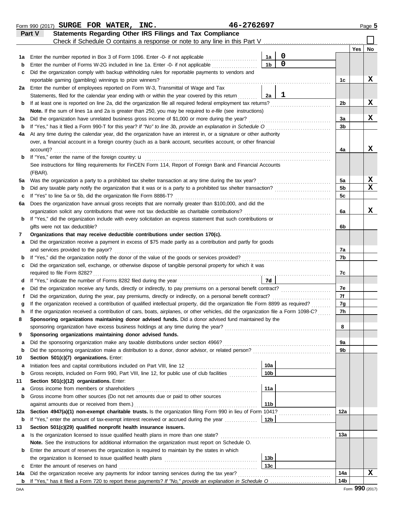|         | Form 990 (2017) SURGE FOR WATER, INC.                                                                                                                                                                                       | 46-2762697 |                 |                                    |                |     | Page 5      |
|---------|-----------------------------------------------------------------------------------------------------------------------------------------------------------------------------------------------------------------------------|------------|-----------------|------------------------------------|----------------|-----|-------------|
|         | Statements Regarding Other IRS Filings and Tax Compliance<br>Part V                                                                                                                                                         |            |                 |                                    |                |     |             |
|         | Check if Schedule O contains a response or note to any line in this Part V                                                                                                                                                  |            |                 |                                    |                |     |             |
|         |                                                                                                                                                                                                                             |            |                 |                                    |                | Yes | No          |
| 1а      | Enter the number reported in Box 3 of Form 1096. Enter -0- if not applicable                                                                                                                                                |            | 1a              | $\boldsymbol{0}$<br>$\overline{0}$ |                |     |             |
| b       | Enter the number of Forms W-2G included in line 1a. Enter -0- if not applicable                                                                                                                                             |            | 1 <sub>b</sub>  |                                    |                |     |             |
| c       | Did the organization comply with backup withholding rules for reportable payments to vendors and                                                                                                                            |            |                 |                                    |                |     |             |
|         | reportable gaming (gambling) winnings to prize winners?                                                                                                                                                                     |            |                 |                                    | 1c             |     | x           |
|         | 2a Enter the number of employees reported on Form W-3, Transmittal of Wage and Tax                                                                                                                                          |            |                 | $\mathbf 1$                        |                |     |             |
|         | Statements, filed for the calendar year ending with or within the year covered by this return                                                                                                                               |            | 2a              |                                    | 2 <sub>b</sub> |     | X           |
| b       | If at least one is reported on line 2a, did the organization file all required federal employment tax returns?<br>Note. If the sum of lines 1a and 2a is greater than 250, you may be required to e-file (see instructions) |            |                 |                                    |                |     |             |
| За      | Did the organization have unrelated business gross income of \$1,000 or more during the year?                                                                                                                               |            |                 |                                    | 3a             |     | x           |
| b       | If "Yes," has it filed a Form 990-T for this year? If "No" to line 3b, provide an explanation in Schedule O                                                                                                                 |            |                 |                                    | 3b             |     |             |
| 4a      | At any time during the calendar year, did the organization have an interest in, or a signature or other authority                                                                                                           |            |                 |                                    |                |     |             |
|         | over, a financial account in a foreign country (such as a bank account, securities account, or other financial                                                                                                              |            |                 |                                    |                |     |             |
|         | account)?                                                                                                                                                                                                                   |            |                 |                                    | 4a             |     | x           |
| b       | If "Yes," enter the name of the foreign country: <b>u</b>                                                                                                                                                                   |            |                 |                                    |                |     |             |
|         | See instructions for filing requirements for FinCEN Form 114, Report of Foreign Bank and Financial Accounts                                                                                                                 |            |                 |                                    |                |     |             |
|         | (FBAR).                                                                                                                                                                                                                     |            |                 |                                    |                |     |             |
| 5a      | Was the organization a party to a prohibited tax shelter transaction at any time during the tax year?                                                                                                                       |            |                 |                                    | 5a             |     | X           |
| b       | Did any taxable party notify the organization that it was or is a party to a prohibited tax shelter transaction?                                                                                                            |            |                 |                                    | 5 <sub>b</sub> |     | $\mathbf x$ |
| c       | If "Yes" to line 5a or 5b, did the organization file Form 8886-T?                                                                                                                                                           |            |                 |                                    | 5c             |     |             |
| 6а      | Does the organization have annual gross receipts that are normally greater than \$100,000, and did the                                                                                                                      |            |                 |                                    |                |     |             |
|         | organization solicit any contributions that were not tax deductible as charitable contributions?                                                                                                                            |            |                 |                                    | 6a             |     | x           |
| b       | If "Yes," did the organization include with every solicitation an express statement that such contributions or                                                                                                              |            |                 |                                    |                |     |             |
|         | gifts were not tax deductible?                                                                                                                                                                                              |            |                 |                                    | 6b             |     |             |
| 7       | Organizations that may receive deductible contributions under section 170(c).                                                                                                                                               |            |                 |                                    |                |     |             |
| а       | Did the organization receive a payment in excess of \$75 made partly as a contribution and partly for goods                                                                                                                 |            |                 |                                    |                |     |             |
|         | and services provided to the payor?                                                                                                                                                                                         |            |                 |                                    | 7a             |     |             |
| b       | If "Yes," did the organization notify the donor of the value of the goods or services provided?                                                                                                                             |            |                 |                                    | 7b             |     |             |
| c       | Did the organization sell, exchange, or otherwise dispose of tangible personal property for which it was                                                                                                                    |            |                 |                                    |                |     |             |
|         |                                                                                                                                                                                                                             |            |                 |                                    | 7c             |     |             |
| d       |                                                                                                                                                                                                                             |            | 7d              |                                    |                |     |             |
| е       | Did the organization receive any funds, directly or indirectly, to pay premiums on a personal benefit contract?                                                                                                             |            |                 |                                    | 7e             |     |             |
|         | Did the organization, during the year, pay premiums, directly or indirectly, on a personal benefit contract?                                                                                                                |            |                 |                                    | 7f             |     |             |
|         | If the organization received a contribution of qualified intellectual property, did the organization file Form 8899 as required?                                                                                            |            |                 |                                    | 7g             |     |             |
|         | If the organization received a contribution of cars, boats, airplanes, or other vehicles, did the organization file a Form 1098-C?                                                                                          |            |                 |                                    | 7h             |     |             |
| 8       | Sponsoring organizations maintaining donor advised funds. Did a donor advised fund maintained by the                                                                                                                        |            |                 |                                    |                |     |             |
|         |                                                                                                                                                                                                                             |            |                 |                                    | 8              |     |             |
| 9       | Sponsoring organizations maintaining donor advised funds.                                                                                                                                                                   |            |                 |                                    |                |     |             |
| a       | Did the sponsoring organization make any taxable distributions under section 4966?                                                                                                                                          |            |                 |                                    | 9a<br>9b       |     |             |
| b       | Did the sponsoring organization make a distribution to a donor, donor advisor, or related person?<br>Section 501(c)(7) organizations. Enter:                                                                                |            |                 |                                    |                |     |             |
| 10<br>а |                                                                                                                                                                                                                             |            | 10a             |                                    |                |     |             |
| b       | Gross receipts, included on Form 990, Part VIII, line 12, for public use of club facilities                                                                                                                                 |            | 10 <sub>b</sub> |                                    |                |     |             |
| 11      | Section 501(c)(12) organizations. Enter:                                                                                                                                                                                    |            |                 |                                    |                |     |             |
| а       | Gross income from members or shareholders                                                                                                                                                                                   |            | 11a             |                                    |                |     |             |
| b       | Gross income from other sources (Do not net amounts due or paid to other sources                                                                                                                                            |            |                 |                                    |                |     |             |
|         | against amounts due or received from them.)                                                                                                                                                                                 |            | 11 <sub>b</sub> |                                    |                |     |             |
| 12a     | Section 4947(a)(1) non-exempt charitable trusts. Is the organization filing Form 990 in lieu of Form 1041?                                                                                                                  |            |                 |                                    | 12a            |     |             |
| b       | If "Yes," enter the amount of tax-exempt interest received or accrued during the year <i>minimizion</i> .                                                                                                                   |            | 12b             |                                    |                |     |             |
| 13      | Section 501(c)(29) qualified nonprofit health insurance issuers.                                                                                                                                                            |            |                 |                                    |                |     |             |
| а       | Is the organization licensed to issue qualified health plans in more than one state?                                                                                                                                        |            |                 |                                    | 13а            |     |             |
|         | Note. See the instructions for additional information the organization must report on Schedule O.                                                                                                                           |            |                 |                                    |                |     |             |
| b       | Enter the amount of reserves the organization is required to maintain by the states in which                                                                                                                                |            |                 |                                    |                |     |             |
|         |                                                                                                                                                                                                                             |            | 13b             |                                    |                |     |             |
| с       | Enter the amount of reserves on hand                                                                                                                                                                                        |            | 13 <sub>c</sub> |                                    |                |     |             |
| 14a     | Did the organization receive any payments for indoor tanning services during the tax year?                                                                                                                                  |            |                 |                                    | 14a            |     | x           |
|         |                                                                                                                                                                                                                             |            |                 |                                    | 14b            |     |             |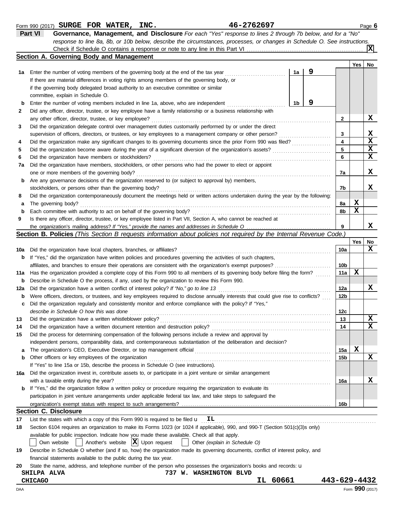|        | Part VI<br>Governance, Management, and Disclosure For each "Yes" response to lines 2 through 7b below, and for a "No"                                   |              |     |                  |
|--------|---------------------------------------------------------------------------------------------------------------------------------------------------------|--------------|-----|------------------|
|        | response to line 8a, 8b, or 10b below, describe the circumstances, processes, or changes in Schedule O. See instructions.                               |              |     | X                |
|        | Section A. Governing Body and Management                                                                                                                |              |     |                  |
|        |                                                                                                                                                         |              | Yes | No               |
| 1a     | 9<br>Enter the number of voting members of the governing body at the end of the tax year<br>1a                                                          |              |     |                  |
|        | If there are material differences in voting rights among members of the governing body, or                                                              |              |     |                  |
|        | if the governing body delegated broad authority to an executive committee or similar                                                                    |              |     |                  |
|        | committee, explain in Schedule O.                                                                                                                       |              |     |                  |
| b      | 9<br>1b<br>Enter the number of voting members included in line 1a, above, who are independent                                                           |              |     |                  |
| 2      | Did any officer, director, trustee, or key employee have a family relationship or a business relationship with                                          |              |     |                  |
|        | any other officer, director, trustee, or key employee?                                                                                                  | 2            |     | x                |
| 3      | Did the organization delegate control over management duties customarily performed by or under the direct                                               |              |     |                  |
|        | supervision of officers, directors, or trustees, or key employees to a management company or other person?<br><u> 1999 - Johann Stoff, amerikansk f</u> | 3            |     | x<br>$\mathbf x$ |
| 4      | Did the organization make any significant changes to its governing documents since the prior Form 990 was filed?                                        | 4            |     | X                |
| 5      | Did the organization become aware during the year of a significant diversion of the organization's assets?                                              | 5            |     | X                |
| 6      | Did the organization have members or stockholders?                                                                                                      | 6            |     |                  |
| 7а     | Did the organization have members, stockholders, or other persons who had the power to elect or appoint                                                 |              |     |                  |
|        | one or more members of the governing body?                                                                                                              | 7a           |     | x                |
| b      | Are any governance decisions of the organization reserved to (or subject to approval by) members,                                                       | 7b           |     | x                |
|        | stockholders, or persons other than the governing body?                                                                                                 |              |     |                  |
| 8      | Did the organization contemporaneously document the meetings held or written actions undertaken during the year by the following:                       | 8a           | X   |                  |
| а<br>b | The governing body?<br>Each committee with authority to act on behalf of the governing body?                                                            | 8b           | х   |                  |
| 9      | Is there any officer, director, trustee, or key employee listed in Part VII, Section A, who cannot be reached at                                        |              |     |                  |
|        |                                                                                                                                                         | 9            |     | x                |
|        | Section B. Policies (This Section B requests information about policies not required by the Internal Revenue Code.)                                     |              |     |                  |
|        |                                                                                                                                                         |              | Yes | No               |
| 10a    | Did the organization have local chapters, branches, or affiliates?                                                                                      | 10a          |     | х                |
| b      | If "Yes," did the organization have written policies and procedures governing the activities of such chapters,                                          |              |     |                  |
|        | affiliates, and branches to ensure their operations are consistent with the organization's exempt purposes?                                             | 10b          |     |                  |
| 11a    | Has the organization provided a complete copy of this Form 990 to all members of its governing body before filing the form?                             | 11a          | х   |                  |
| b      | Describe in Schedule O the process, if any, used by the organization to review this Form 990.                                                           |              |     |                  |
| 12a    | Did the organization have a written conflict of interest policy? If "No," go to line 13                                                                 | 12a          |     | x                |
| b      | Were officers, directors, or trustees, and key employees required to disclose annually interests that could give rise to conflicts?                     | 12b          |     |                  |
| c      | Did the organization regularly and consistently monitor and enforce compliance with the policy? If "Yes,"                                               |              |     |                  |
|        | describe in Schedule O how this was done                                                                                                                | 12c          |     |                  |
| 13     | Did the organization have a written whistleblower policy?                                                                                               | 13           |     | $\mathbf x$      |
| 14     | Did the organization have a written document retention and destruction policy?                                                                          | 14           |     | $\mathbf x$      |
| 15     | Did the process for determining compensation of the following persons include a review and approval by                                                  |              |     |                  |
|        | independent persons, comparability data, and contemporaneous substantiation of the deliberation and decision?                                           |              |     |                  |
| а      |                                                                                                                                                         | 15a          | X   |                  |
| b      | Other officers or key employees of the organization                                                                                                     | 15b          |     | x                |
|        | If "Yes" to line 15a or 15b, describe the process in Schedule O (see instructions).                                                                     |              |     |                  |
| 16а    | Did the organization invest in, contribute assets to, or participate in a joint venture or similar arrangement                                          |              |     |                  |
|        | with a taxable entity during the year?                                                                                                                  | 16a          |     | x                |
| b      | If "Yes," did the organization follow a written policy or procedure requiring the organization to evaluate its                                          |              |     |                  |
|        | participation in joint venture arrangements under applicable federal tax law, and take steps to safeguard the                                           |              |     |                  |
|        |                                                                                                                                                         | 16b          |     |                  |
|        | <b>Section C. Disclosure</b>                                                                                                                            |              |     |                  |
| 17     | List the states with which a copy of this Form 990 is required to be filed $\mathbf{u}$ $\mathbf{I}$                                                    |              |     |                  |
| 18     | Section 6104 requires an organization to make its Forms 1023 (or 1024 if applicable), 990, and 990-T (Section 501(c)(3)s only)                          |              |     |                  |
|        | available for public inspection. Indicate how you made these available. Check all that apply.                                                           |              |     |                  |
|        | Another's website $ \mathbf{X} $ Upon request<br>Other (explain in Schedule O)<br>Own website                                                           |              |     |                  |
| 19     | Describe in Schedule O whether (and if so, how) the organization made its governing documents, conflict of interest policy, and                         |              |     |                  |
|        | financial statements available to the public during the tax year.                                                                                       |              |     |                  |
| 20     | State the name, address, and telephone number of the person who possesses the organization's books and records: u                                       |              |     |                  |
|        | 737 W. WASHINGTON BLVD<br><b>SHILPA ALVA</b>                                                                                                            |              |     |                  |
|        | IL 60661<br><b>CHICAGO</b>                                                                                                                              | 443-629-4432 |     |                  |
| DAA    |                                                                                                                                                         |              |     | Form 990 (2017)  |

Form 990 (2017) Page **6**

**SURGE FOR WATER, INC. 46-2762697**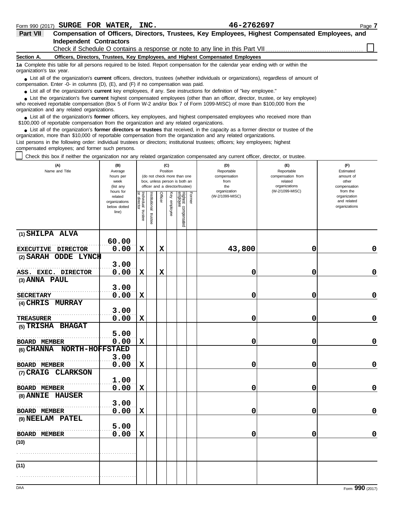| 46-2762697 |
|------------|
|------------|

| <b>Part VII</b>                                                                                                                                               | Compensation of Officers, Directors, Trustees, Key Employees, Highest Compensated Employees, and                                   |  |  |  |  |  |  |  |  |
|---------------------------------------------------------------------------------------------------------------------------------------------------------------|------------------------------------------------------------------------------------------------------------------------------------|--|--|--|--|--|--|--|--|
|                                                                                                                                                               | <b>Independent Contractors</b>                                                                                                     |  |  |  |  |  |  |  |  |
|                                                                                                                                                               |                                                                                                                                    |  |  |  |  |  |  |  |  |
| Section A.                                                                                                                                                    | Officers, Directors, Trustees, Key Employees, and Highest Compensated Employees                                                    |  |  |  |  |  |  |  |  |
| 1a Complete this table for all persons required to be listed. Report compensation for the calendar year ending with or within the<br>organization's tax year. |                                                                                                                                    |  |  |  |  |  |  |  |  |
|                                                                                                                                                               | J ict all of the errorization's current officers directors trustees (whether individuals or erganizations) regardless of amount of |  |  |  |  |  |  |  |  |

List all of the organization's **current** officers, directors, trustees (whether individuals or organizations), regardless of amount of ● List all of the organization's **current** officers, directors, trustees (whether ind compensation. Enter -0- in columns (D), (E), and (F) if no compensation was paid.

● List all of the organization's **current** key employees, if any. See instructions for definition of "key employee."

who received reportable compensation (Box 5 of Form W-2 and/or Box 7 of Form 1099-MISC) of more than \$100,000 from the ■ List the organization's five **current** highest compensated employees (other than an officer, director, trustee, or key employee)<br> **•** Preceived reportable compensation (Box 5 of Form W.2 and/or Box 7 of Form 1000 MISC)

organization and any related organizations.

■ List all of the organization's **former** officers, key employees, and highest compensated employees who received more than<br> **•** 00,000 of reportable compensation from the ergonization and any related ergonizations \$100,000 of reportable compensation from the organization and any related organizations.

■ List all of the organization's **former directors or trustees** that received, in the capacity as a former director or trustee of the<br>paization, more than \$10,000 of reportable compensation from the organization and any r organization, more than \$10,000 of reportable compensation from the organization and any related organizations. List persons in the following order: individual trustees or directors; institutional trustees; officers; key employees; highest

compensated employees; and former such persons.

Check this box if neither the organization nor any related organization compensated any current officer, director, or trustee.

| (A)<br>Name and Title      | (B)<br>Average<br>hours per<br>week<br>(list any               |                                   |                          | Position    | (C)          | (do not check more than one<br>box, unless person is both an<br>officer and a director/trustee) |        | (D)<br>Reportable<br>compensation<br>from<br>the | (E)<br>Reportable<br>compensation from<br>related<br>organizations | (F)<br>Estimated<br>amount of<br>other<br>compensation   |
|----------------------------|----------------------------------------------------------------|-----------------------------------|--------------------------|-------------|--------------|-------------------------------------------------------------------------------------------------|--------|--------------------------------------------------|--------------------------------------------------------------------|----------------------------------------------------------|
|                            | hours for<br>related<br>organizations<br>below dotted<br>line) | Individual trustee<br>or director | Institutional<br>trustee | Officer     | Key employee | Highest compensated<br>employee                                                                 | Former | organization<br>(W-2/1099-MISC)                  | (W-2/1099-MISC)                                                    | from the<br>organization<br>and related<br>organizations |
| (1) SHILPA ALVA            | 60.00                                                          |                                   |                          |             |              |                                                                                                 |        |                                                  |                                                                    |                                                          |
| EXECUTIVE DIRECTOR         | 0.00                                                           | $\mathbf x$                       |                          | $\mathbf x$ |              |                                                                                                 |        | 43,800                                           | 0                                                                  | 0                                                        |
| (2) SARAH ODDE LYNCH       |                                                                |                                   |                          |             |              |                                                                                                 |        |                                                  |                                                                    |                                                          |
|                            | 3.00                                                           |                                   |                          |             |              |                                                                                                 |        |                                                  |                                                                    |                                                          |
| ASS. EXEC. DIRECTOR        | 0.00                                                           | $\mathbf x$                       |                          | $\mathbf x$ |              |                                                                                                 |        | 0                                                | 0                                                                  | $\mathbf 0$                                              |
| (3) ANNA PAUL              |                                                                |                                   |                          |             |              |                                                                                                 |        |                                                  |                                                                    |                                                          |
| <b>SECRETARY</b>           | 3.00<br>0.00                                                   | $\mathbf x$                       |                          |             |              |                                                                                                 |        | 0                                                | 0                                                                  | 0                                                        |
| (4) CHRIS MURRAY           |                                                                |                                   |                          |             |              |                                                                                                 |        |                                                  |                                                                    |                                                          |
|                            | 3.00                                                           |                                   |                          |             |              |                                                                                                 |        |                                                  |                                                                    |                                                          |
| <b>TREASURER</b>           | 0.00                                                           | $\mathbf x$                       |                          |             |              |                                                                                                 |        | 0                                                | 0                                                                  | 0                                                        |
| (5) TRISHA BHAGAT          | 5.00                                                           |                                   |                          |             |              |                                                                                                 |        |                                                  |                                                                    |                                                          |
| <b>BOARD MEMBER</b>        | 0.00                                                           | $\mathbf x$                       |                          |             |              |                                                                                                 |        | 0                                                | 0                                                                  | $\mathbf 0$                                              |
| (6) CHANNA NORTH-HOFFSTAED | 3.00                                                           |                                   |                          |             |              |                                                                                                 |        |                                                  |                                                                    |                                                          |
| <b>BOARD MEMBER</b>        | 0.00                                                           | $\mathbf x$                       |                          |             |              |                                                                                                 |        | 0                                                | 0                                                                  | $\mathbf 0$                                              |
| (7) CRAIG CLARKSON         |                                                                |                                   |                          |             |              |                                                                                                 |        |                                                  |                                                                    |                                                          |
|                            | 1.00                                                           |                                   |                          |             |              |                                                                                                 |        |                                                  |                                                                    |                                                          |
| <b>BOARD MEMBER</b>        | 0.00                                                           | $\mathbf x$                       |                          |             |              |                                                                                                 |        | 0                                                | 0                                                                  | 0                                                        |
| (8) ANNIE HAUSER           |                                                                |                                   |                          |             |              |                                                                                                 |        |                                                  |                                                                    |                                                          |
|                            | 3.00                                                           |                                   |                          |             |              |                                                                                                 |        |                                                  |                                                                    |                                                          |
| <b>BOARD MEMBER</b>        | 0.00                                                           | X                                 |                          |             |              |                                                                                                 |        | 0                                                | 0                                                                  | $\mathbf 0$                                              |
| (9) NEELAM PATEL           |                                                                |                                   |                          |             |              |                                                                                                 |        |                                                  |                                                                    |                                                          |
|                            | 5.00                                                           |                                   |                          |             |              |                                                                                                 |        |                                                  |                                                                    |                                                          |
| <b>BOARD MEMBER</b>        | 0.00                                                           | $\mathbf x$                       |                          |             |              |                                                                                                 |        | 0                                                | 0                                                                  | $\mathbf 0$                                              |
| (10)                       |                                                                |                                   |                          |             |              |                                                                                                 |        |                                                  |                                                                    |                                                          |
|                            |                                                                |                                   |                          |             |              |                                                                                                 |        |                                                  |                                                                    |                                                          |
| (11)                       |                                                                |                                   |                          |             |              |                                                                                                 |        |                                                  |                                                                    |                                                          |
|                            |                                                                |                                   |                          |             |              |                                                                                                 |        |                                                  |                                                                    |                                                          |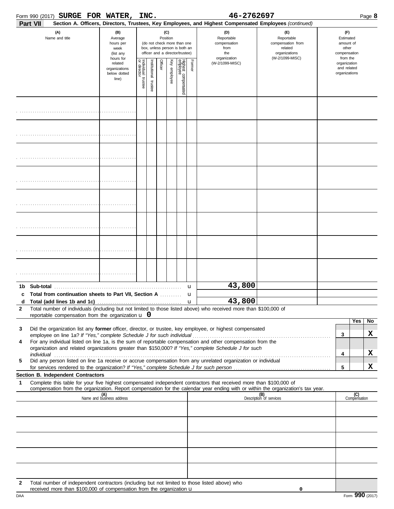| Form 990 (2017) <b>SURGE FOR WATER,</b>                                                                                                                                               |                                                                                                                                                                                                           |                                                               | INC. |                                              |                                                                                                 |        | 46-2762697                                                                                                                                                                                                                                                                                                                                                                                                                                             |                                                                                                                                  |                                                                    |                     | Page 8  |
|---------------------------------------------------------------------------------------------------------------------------------------------------------------------------------------|-----------------------------------------------------------------------------------------------------------------------------------------------------------------------------------------------------------|---------------------------------------------------------------|------|----------------------------------------------|-------------------------------------------------------------------------------------------------|--------|--------------------------------------------------------------------------------------------------------------------------------------------------------------------------------------------------------------------------------------------------------------------------------------------------------------------------------------------------------------------------------------------------------------------------------------------------------|----------------------------------------------------------------------------------------------------------------------------------|--------------------------------------------------------------------|---------------------|---------|
| Part VII                                                                                                                                                                              |                                                                                                                                                                                                           |                                                               |      |                                              |                                                                                                 |        | Section A. Officers, Directors, Trustees, Key Employees, and Highest Compensated Employees (continued)                                                                                                                                                                                                                                                                                                                                                 |                                                                                                                                  |                                                                    |                     |         |
| (A)<br>Name and title                                                                                                                                                                 |                                                                                                                                                                                                           | (B)<br>Average<br>hours per<br>week<br>(list any<br>hours for |      | (C)<br>Position                              | (do not check more than one<br>box, unless person is both an<br>officer and a director/trustee) |        | (D)<br>Reportable<br>compensation<br>from<br>the<br>organization                                                                                                                                                                                                                                                                                                                                                                                       | (E)<br>Reportable<br>compensation from<br>related<br>organizations<br>(W-2/1099-MISC)                                            | (F)<br>Estimated<br>amount of<br>other<br>compensation<br>from the |                     |         |
|                                                                                                                                                                                       | Individual trustee<br>or director<br>Highest compensated<br>employee<br>Officer<br>Key employee<br>Former<br>nstitutional trustee<br>(W-2/1099-MISC)<br>related<br>organizations<br>below dotted<br>line) |                                                               |      | organization<br>and related<br>organizations |                                                                                                 |        |                                                                                                                                                                                                                                                                                                                                                                                                                                                        |                                                                                                                                  |                                                                    |                     |         |
|                                                                                                                                                                                       |                                                                                                                                                                                                           |                                                               |      |                                              |                                                                                                 |        |                                                                                                                                                                                                                                                                                                                                                                                                                                                        |                                                                                                                                  |                                                                    |                     |         |
|                                                                                                                                                                                       |                                                                                                                                                                                                           |                                                               |      |                                              |                                                                                                 |        |                                                                                                                                                                                                                                                                                                                                                                                                                                                        |                                                                                                                                  |                                                                    |                     |         |
|                                                                                                                                                                                       |                                                                                                                                                                                                           |                                                               |      |                                              |                                                                                                 |        |                                                                                                                                                                                                                                                                                                                                                                                                                                                        |                                                                                                                                  |                                                                    |                     |         |
|                                                                                                                                                                                       |                                                                                                                                                                                                           |                                                               |      |                                              |                                                                                                 |        |                                                                                                                                                                                                                                                                                                                                                                                                                                                        |                                                                                                                                  |                                                                    |                     |         |
|                                                                                                                                                                                       |                                                                                                                                                                                                           |                                                               |      |                                              |                                                                                                 |        |                                                                                                                                                                                                                                                                                                                                                                                                                                                        |                                                                                                                                  |                                                                    |                     |         |
|                                                                                                                                                                                       |                                                                                                                                                                                                           |                                                               |      |                                              |                                                                                                 |        |                                                                                                                                                                                                                                                                                                                                                                                                                                                        |                                                                                                                                  |                                                                    |                     |         |
|                                                                                                                                                                                       |                                                                                                                                                                                                           |                                                               |      |                                              |                                                                                                 |        |                                                                                                                                                                                                                                                                                                                                                                                                                                                        |                                                                                                                                  |                                                                    |                     |         |
|                                                                                                                                                                                       |                                                                                                                                                                                                           |                                                               |      |                                              |                                                                                                 |        |                                                                                                                                                                                                                                                                                                                                                                                                                                                        |                                                                                                                                  |                                                                    |                     |         |
| 1b.<br>Total from continuation sheets to Part VII, Section A<br>c                                                                                                                     |                                                                                                                                                                                                           |                                                               |      |                                              |                                                                                                 | u<br>u | 43,800                                                                                                                                                                                                                                                                                                                                                                                                                                                 |                                                                                                                                  |                                                                    |                     |         |
| Total (add lines 1b and 1c)<br>d<br>$\overline{2}$<br>reportable compensation from the organization $\bf{u}$ 0                                                                        |                                                                                                                                                                                                           |                                                               |      |                                              |                                                                                                 | u      | 43,800<br>Total number of individuals (including but not limited to those listed above) who received more than \$100,000 of                                                                                                                                                                                                                                                                                                                            |                                                                                                                                  |                                                                    |                     |         |
| 3<br>employee on line 1a? If "Yes," complete Schedule J for such individual                                                                                                           |                                                                                                                                                                                                           |                                                               |      |                                              |                                                                                                 |        | Did the organization list any former officer, director, or trustee, key employee, or highest compensated                                                                                                                                                                                                                                                                                                                                               |                                                                                                                                  | 3                                                                  | Yes                 | No<br>X |
| 4                                                                                                                                                                                     |                                                                                                                                                                                                           |                                                               |      |                                              |                                                                                                 |        | For any individual listed on line 1a, is the sum of reportable compensation and other compensation from the<br>organization and related organizations greater than \$150,000? If "Yes," complete Schedule J for such<br>individual with a construction of the construction of the construction of the construction of the construction of the construction of the construction of the construction of the construction of the construction of the cons |                                                                                                                                  | 4                                                                  |                     | X       |
| 5                                                                                                                                                                                     |                                                                                                                                                                                                           |                                                               |      |                                              |                                                                                                 |        | Did any person listed on line 1a receive or accrue compensation from any unrelated organization or individual                                                                                                                                                                                                                                                                                                                                          |                                                                                                                                  | 5                                                                  |                     | X       |
| Section B. Independent Contractors                                                                                                                                                    |                                                                                                                                                                                                           |                                                               |      |                                              |                                                                                                 |        |                                                                                                                                                                                                                                                                                                                                                                                                                                                        |                                                                                                                                  |                                                                    |                     |         |
| $\mathbf 1$                                                                                                                                                                           |                                                                                                                                                                                                           |                                                               |      |                                              |                                                                                                 |        | Complete this table for your five highest compensated independent contractors that received more than \$100,000 of                                                                                                                                                                                                                                                                                                                                     | compensation from the organization. Report compensation for the calendar year ending with or within the organization's tax year. |                                                                    |                     |         |
|                                                                                                                                                                                       |                                                                                                                                                                                                           | (A)<br>Name and business address                              |      |                                              |                                                                                                 |        |                                                                                                                                                                                                                                                                                                                                                                                                                                                        | (B)<br>Description of services                                                                                                   |                                                                    | (C)<br>Compensation |         |
|                                                                                                                                                                                       |                                                                                                                                                                                                           |                                                               |      |                                              |                                                                                                 |        |                                                                                                                                                                                                                                                                                                                                                                                                                                                        |                                                                                                                                  |                                                                    |                     |         |
|                                                                                                                                                                                       |                                                                                                                                                                                                           |                                                               |      |                                              |                                                                                                 |        |                                                                                                                                                                                                                                                                                                                                                                                                                                                        |                                                                                                                                  |                                                                    |                     |         |
|                                                                                                                                                                                       |                                                                                                                                                                                                           |                                                               |      |                                              |                                                                                                 |        |                                                                                                                                                                                                                                                                                                                                                                                                                                                        |                                                                                                                                  |                                                                    |                     |         |
|                                                                                                                                                                                       |                                                                                                                                                                                                           |                                                               |      |                                              |                                                                                                 |        |                                                                                                                                                                                                                                                                                                                                                                                                                                                        |                                                                                                                                  |                                                                    |                     |         |
| Total number of independent contractors (including but not limited to those listed above) who<br>$\mathbf{2}$<br>received more than \$100,000 of compensation from the organization u |                                                                                                                                                                                                           |                                                               |      |                                              |                                                                                                 |        |                                                                                                                                                                                                                                                                                                                                                                                                                                                        | 0                                                                                                                                |                                                                    |                     |         |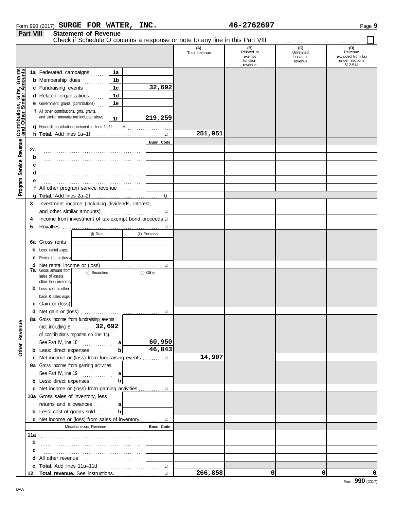|                                                           |     |                                                                                     |    |                   | (A)<br>Total revenue | (B)<br>Related or<br>exempt<br>function | (C)<br>Unrelated<br>business | (D)<br>Revenue<br>excluded from tax<br>under sections |
|-----------------------------------------------------------|-----|-------------------------------------------------------------------------------------|----|-------------------|----------------------|-----------------------------------------|------------------------------|-------------------------------------------------------|
|                                                           |     |                                                                                     |    |                   |                      | revenue                                 | revenue                      | 512-514                                               |
|                                                           |     | 1a Federated campaigns                                                              | 1a |                   |                      |                                         |                              |                                                       |
|                                                           |     | <b>b</b> Membership dues                                                            | 1b |                   |                      |                                         |                              |                                                       |
|                                                           |     | c Fundraising events                                                                | 1c | 32,692            |                      |                                         |                              |                                                       |
|                                                           |     | d Related organizations                                                             | 1d |                   |                      |                                         |                              |                                                       |
|                                                           |     | <b>e</b> Government grants (contributions)                                          | 1e |                   |                      |                                         |                              |                                                       |
| Contributions, Gifts, Grants<br>and Other Similar Amounts |     | f All other contributions, gifts, grants,<br>and similar amounts not included above | 1f | 219,259           |                      |                                         |                              |                                                       |
|                                                           |     | g Noncash contributions included in lines 1a-1f:                                    | \$ |                   |                      |                                         |                              |                                                       |
|                                                           |     |                                                                                     |    |                   | 251,951              |                                         |                              |                                                       |
| Service Revenue                                           |     |                                                                                     |    | <b>Busn. Code</b> |                      |                                         |                              |                                                       |
|                                                           | 2a  |                                                                                     |    |                   |                      |                                         |                              |                                                       |
|                                                           | b   |                                                                                     |    |                   |                      |                                         |                              |                                                       |
|                                                           | c   |                                                                                     |    |                   |                      |                                         |                              |                                                       |
|                                                           | d   |                                                                                     |    |                   |                      |                                         |                              |                                                       |
|                                                           |     |                                                                                     |    |                   |                      |                                         |                              |                                                       |
| Program                                                   |     | f All other program service revenue                                                 |    |                   |                      |                                         |                              |                                                       |
|                                                           | a   |                                                                                     |    | u                 |                      |                                         |                              |                                                       |
|                                                           | 3   | Investment income (including dividends, interest,                                   |    |                   |                      |                                         |                              |                                                       |
|                                                           |     | and other similar amounts)                                                          |    | u                 |                      |                                         |                              |                                                       |
|                                                           | 4   | Income from investment of tax-exempt bond proceeds u                                |    |                   |                      |                                         |                              |                                                       |
|                                                           | 5   |                                                                                     |    | $\mathbf u$       |                      |                                         |                              |                                                       |
|                                                           |     | (i) Real                                                                            |    | (ii) Personal     |                      |                                         |                              |                                                       |
|                                                           | 6а  | Gross rents                                                                         |    |                   |                      |                                         |                              |                                                       |
|                                                           | b   | Less: rental exps.                                                                  |    |                   |                      |                                         |                              |                                                       |
|                                                           | c   | Rental inc. or (loss)                                                               |    |                   |                      |                                         |                              |                                                       |
|                                                           | d   |                                                                                     |    |                   |                      |                                         |                              |                                                       |
|                                                           |     | <b>7a</b> Gross amount from<br>(i) Securities<br>sales of assets                    |    | (ii) Other        |                      |                                         |                              |                                                       |
|                                                           |     | other than inventory                                                                |    |                   |                      |                                         |                              |                                                       |
|                                                           |     | <b>b</b> Less: cost or other                                                        |    |                   |                      |                                         |                              |                                                       |
|                                                           |     | basis & sales exps.                                                                 |    |                   |                      |                                         |                              |                                                       |
|                                                           | c   | Gain or (loss)                                                                      |    |                   |                      |                                         |                              |                                                       |
|                                                           |     |                                                                                     |    |                   |                      |                                         |                              |                                                       |
| ิั                                                        |     | 8a Gross income from fundraising events                                             |    |                   |                      |                                         |                              |                                                       |
|                                                           |     | (not including \$<br>32,692                                                         |    |                   |                      |                                         |                              |                                                       |
|                                                           |     | of contributions reported on line 1c).                                              |    |                   |                      |                                         |                              |                                                       |
|                                                           |     | See Part IV, line $18$                                                              | al | 60,950            |                      |                                         |                              |                                                       |
| Other Revenu                                              |     | <b>b</b> Less: direct expenses                                                      | b  | 46,043            |                      |                                         |                              |                                                       |
|                                                           |     | c Net income or (loss) from fundraising events  u                                   |    |                   | 14,907               |                                         |                              |                                                       |
|                                                           |     | 9a Gross income from gaming activities.                                             |    |                   |                      |                                         |                              |                                                       |
|                                                           |     | See Part IV, line 19 $\ldots$                                                       | a  |                   |                      |                                         |                              |                                                       |
|                                                           |     | <b>b</b> Less: direct expenses                                                      | b  |                   |                      |                                         |                              |                                                       |
|                                                           |     | c Net income or (loss) from gaming activities  u                                    |    |                   |                      |                                         |                              |                                                       |
|                                                           |     | 10a Gross sales of inventory, less                                                  |    |                   |                      |                                         |                              |                                                       |
|                                                           |     | returns and allowances                                                              | a  |                   |                      |                                         |                              |                                                       |
|                                                           |     | <b>b</b> Less: cost of goods sold                                                   | b  |                   |                      |                                         |                              |                                                       |
|                                                           |     | <b>c</b> Net income or (loss) from sales of inventory $\mathbf{u}$                  |    |                   |                      |                                         |                              |                                                       |
|                                                           |     | Miscellaneous Revenue                                                               |    | Busn. Code        |                      |                                         |                              |                                                       |
|                                                           | 11a |                                                                                     |    |                   |                      |                                         |                              |                                                       |
|                                                           | b   |                                                                                     |    |                   |                      |                                         |                              |                                                       |
|                                                           | c   |                                                                                     |    |                   |                      |                                         |                              |                                                       |
|                                                           | d   |                                                                                     |    |                   |                      |                                         |                              |                                                       |
|                                                           | е   |                                                                                     |    | u                 |                      |                                         |                              |                                                       |
|                                                           | 12  |                                                                                     |    |                   | 266,858              | 0                                       | 0                            | 0                                                     |

#### Form 990 (2017) Page **9 SURGE FOR WATER, INC. 46-2762697 Part VIII Statement of Revenue**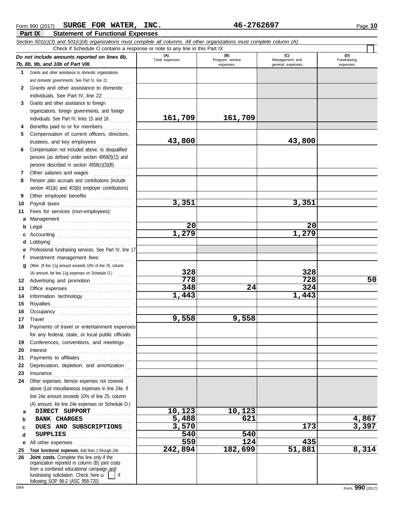|              | Section 501(c)(3) and 501(c)(4) organizations must complete all columns. All other organizations must complete column (A). |                       |                                    |                                           |                                |
|--------------|----------------------------------------------------------------------------------------------------------------------------|-----------------------|------------------------------------|-------------------------------------------|--------------------------------|
|              | Check if Schedule O contains a response or note to any line in this Part IX                                                |                       |                                    |                                           |                                |
|              | Do not include amounts reported on lines 6b,<br>7b, 8b, 9b, and 10b of Part VIII.                                          | (A)<br>Total expenses | (B)<br>Program service<br>expenses | (C)<br>Management and<br>general expenses | (D)<br>Fundraising<br>expenses |
|              | 1 Grants and other assistance to domestic organizations                                                                    |                       |                                    |                                           |                                |
|              | and domestic governments. See Part IV, line 21                                                                             |                       |                                    |                                           |                                |
| $\mathbf{2}$ | Grants and other assistance to domestic                                                                                    |                       |                                    |                                           |                                |
|              | individuals. See Part IV, line 22                                                                                          |                       |                                    |                                           |                                |
| 3            | Grants and other assistance to foreign                                                                                     |                       |                                    |                                           |                                |
|              | organizations, foreign governments, and foreign                                                                            |                       |                                    |                                           |                                |
|              | individuals. See Part IV, lines 15 and 16                                                                                  | 161,709               | 161,709                            |                                           |                                |
| 4            | Benefits paid to or for members                                                                                            |                       |                                    |                                           |                                |
| 5.           | Compensation of current officers, directors,<br>trustees, and key employees                                                | 43,800                |                                    | 43,800                                    |                                |
| 6            | Compensation not included above, to disqualified                                                                           |                       |                                    |                                           |                                |
|              | persons (as defined under section 4958(f)(1)) and                                                                          |                       |                                    |                                           |                                |
|              | persons described in section 4958(c)(3)(B)                                                                                 |                       |                                    |                                           |                                |
| 7            | Other salaries and wages                                                                                                   |                       |                                    |                                           |                                |
| 8            | Pension plan accruals and contributions (include                                                                           |                       |                                    |                                           |                                |
|              | section 401(k) and 403(b) employer contributions)                                                                          |                       |                                    |                                           |                                |
| 9            | Other employee benefits                                                                                                    |                       |                                    |                                           |                                |
| 10           |                                                                                                                            | 3,351                 |                                    | 3,351                                     |                                |
| 11           | Fees for services (non-employees):                                                                                         |                       |                                    |                                           |                                |
| а            |                                                                                                                            |                       |                                    |                                           |                                |
| b            |                                                                                                                            | 20                    |                                    | 20                                        |                                |
| c            |                                                                                                                            | 1,279                 |                                    | 1,279                                     |                                |
| d            | Lobbying                                                                                                                   |                       |                                    |                                           |                                |
| f            | Professional fundraising services. See Part IV, line 17                                                                    |                       |                                    |                                           |                                |
| q            | Investment management fees<br>Other. (If line 11g amount exceeds 10% of line 25, column                                    |                       |                                    |                                           |                                |
|              | (A) amount, list line 11g expenses on Schedule O.)                                                                         | 328                   |                                    | 328                                       |                                |
| 12           | Advertising and promotion                                                                                                  | 778                   |                                    | 728                                       | 50                             |
| 13           |                                                                                                                            | 348                   | 24                                 | 324                                       |                                |
| 14           |                                                                                                                            | 1,443                 |                                    | 1,443                                     |                                |
| 15           |                                                                                                                            |                       |                                    |                                           |                                |
| 16           |                                                                                                                            |                       |                                    |                                           |                                |
| 17           |                                                                                                                            | 9,558                 | 9,558                              |                                           |                                |
| 18           | Payments of travel or entertainment expenses                                                                               |                       |                                    |                                           |                                |
|              | for any federal, state, or local public officials                                                                          |                       |                                    |                                           |                                |
| 19           | Conferences, conventions, and meetings                                                                                     |                       |                                    |                                           |                                |
| 20           | Interest                                                                                                                   |                       |                                    |                                           |                                |
| 21<br>22     | Depreciation, depletion, and amortization                                                                                  |                       |                                    |                                           |                                |
| 23           | Insurance                                                                                                                  |                       |                                    |                                           |                                |
| 24           | Other expenses. Itemize expenses not covered                                                                               |                       |                                    |                                           |                                |
|              | above (List miscellaneous expenses in line 24e. If                                                                         |                       |                                    |                                           |                                |
|              | line 24e amount exceeds 10% of line 25, column                                                                             |                       |                                    |                                           |                                |
|              | (A) amount, list line 24e expenses on Schedule O.)                                                                         |                       |                                    |                                           |                                |
| a            | DIRECT SUPPORT                                                                                                             | 10,123                | 10,123                             |                                           |                                |
| b            | <b>BANK CHARGES</b>                                                                                                        | 5,488                 | 621                                |                                           | 4,867                          |
| c            | DUES AND SUBSCRIPTIONS                                                                                                     | 3,570                 |                                    | 173                                       | 3,397                          |
| d            | <b>SUPPLIES</b>                                                                                                            | 540                   | 540                                |                                           |                                |
| е            |                                                                                                                            | 559<br>242,894        | $\overline{124}$<br>182,699        | 435<br>51,881                             | 8,314                          |
| 25<br>26     | Total functional expenses. Add lines 1 through 24e<br>Joint costs. Complete this line only if the                          |                       |                                    |                                           |                                |
|              | organization reported in column (B) joint costs                                                                            |                       |                                    |                                           |                                |
|              | from a combined educational campaign and<br>fundraising solicitation. Check here $\mathbf{u}$     if                       |                       |                                    |                                           |                                |
|              | following SOP 98-2 (ASC 958-720)                                                                                           |                       |                                    |                                           |                                |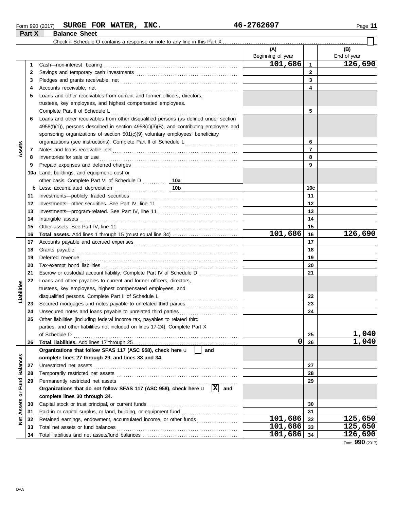#### Form 990 (2017) Page **11 SURGE FOR WATER, INC. 46-2762697 Part X Balance Sheet**

 $\overline{\blacksquare}$ 

|                 |     |                                                                                                                                                                                                                                     | (A)<br>Beginning of year |              | (B)<br>End of year |
|-----------------|-----|-------------------------------------------------------------------------------------------------------------------------------------------------------------------------------------------------------------------------------------|--------------------------|--------------|--------------------|
|                 | 1   | Cash-non-interest bearing                                                                                                                                                                                                           | 101,686                  | 1            | 126,690            |
|                 | 2   |                                                                                                                                                                                                                                     |                          | $\mathbf{2}$ |                    |
|                 | 3   |                                                                                                                                                                                                                                     |                          | 3            |                    |
|                 | 4   | Accounts receivable, net                                                                                                                                                                                                            |                          | 4            |                    |
|                 | 5   | Loans and other receivables from current and former officers, directors,                                                                                                                                                            |                          |              |                    |
|                 |     | trustees, key employees, and highest compensated employees.                                                                                                                                                                         |                          |              |                    |
|                 |     | Complete Part II of Schedule L                                                                                                                                                                                                      |                          | 5            |                    |
|                 | 6   | Loans and other receivables from other disqualified persons (as defined under section                                                                                                                                               |                          |              |                    |
|                 |     | $4958(f)(1)$ ), persons described in section $4958(c)(3)(B)$ , and contributing employers and                                                                                                                                       |                          |              |                    |
|                 |     | sponsoring organizations of section 501(c)(9) voluntary employees' beneficiary                                                                                                                                                      |                          |              |                    |
|                 |     |                                                                                                                                                                                                                                     |                          | 6            |                    |
| Assets          |     |                                                                                                                                                                                                                                     |                          | 7            |                    |
|                 | 7   |                                                                                                                                                                                                                                     |                          |              |                    |
|                 | 8   |                                                                                                                                                                                                                                     |                          | 8            |                    |
|                 | 9   |                                                                                                                                                                                                                                     |                          | 9            |                    |
|                 | 10a | Land, buildings, and equipment: cost or                                                                                                                                                                                             |                          |              |                    |
|                 |     | other basis. Complete Part VI of Schedule D  10a                                                                                                                                                                                    |                          |              |                    |
|                 |     | <b>b</b> Less: accumulated depreciation <b>contains the Less: accumulated depreciation</b>                                                                                                                                          |                          | 10c          |                    |
|                 | 11  |                                                                                                                                                                                                                                     |                          | 11           |                    |
|                 | 12  |                                                                                                                                                                                                                                     |                          | 12           |                    |
|                 | 13  |                                                                                                                                                                                                                                     |                          | 13           |                    |
|                 | 14  | Intangible assets                                                                                                                                                                                                                   |                          | 14           |                    |
|                 | 15  |                                                                                                                                                                                                                                     |                          | 15           |                    |
|                 | 16  |                                                                                                                                                                                                                                     | 101,686                  | 16           | 126,690            |
|                 | 17  |                                                                                                                                                                                                                                     |                          | 17           |                    |
|                 | 18  | Grants payable <i>communication</i> and all the contract of the contract of the contract of the contract of the contract of the contract of the contract of the contract of the contract of the contract of the contract of the con |                          | 18           |                    |
|                 | 19  | Deferred revenue communications and contain a series of the contact of the contact of the contact of the contact of the contact of the contact of the contact of the contact of the contact of the contact of the contact of t      |                          | 19           |                    |
|                 | 20  |                                                                                                                                                                                                                                     |                          | 20           |                    |
|                 | 21  | Escrow or custodial account liability. Complete Part IV of Schedule D                                                                                                                                                               |                          | 21           |                    |
|                 | 22  | Loans and other payables to current and former officers, directors,                                                                                                                                                                 |                          |              |                    |
| Liabilities     |     | trustees, key employees, highest compensated employees, and                                                                                                                                                                         |                          |              |                    |
|                 |     | disqualified persons. Complete Part II of Schedule L                                                                                                                                                                                |                          | 22           |                    |
|                 | 23  |                                                                                                                                                                                                                                     |                          | 23           |                    |
|                 | 24  | Unsecured notes and loans payable to unrelated third parties                                                                                                                                                                        |                          | 24           |                    |
|                 | 25  | Other liabilities (including federal income tax, payables to related third                                                                                                                                                          |                          |              |                    |
|                 |     | parties, and other liabilities not included on lines 17-24). Complete Part X                                                                                                                                                        |                          |              |                    |
|                 |     |                                                                                                                                                                                                                                     |                          | 25           | 1,040              |
|                 | 26  |                                                                                                                                                                                                                                     | 0                        | 26           | 1,040              |
|                 |     | Organizations that follow SFAS 117 (ASC 958), check here u<br>and                                                                                                                                                                   |                          |              |                    |
|                 |     | complete lines 27 through 29, and lines 33 and 34.                                                                                                                                                                                  |                          |              |                    |
| <b>Balances</b> | 27  | Unrestricted net assets                                                                                                                                                                                                             |                          | 27           |                    |
|                 | 28  |                                                                                                                                                                                                                                     |                          | 28           |                    |
| Fund            | 29  | Permanently restricted net assets                                                                                                                                                                                                   |                          | 29           |                    |
|                 |     | Organizations that do not follow SFAS 117 (ASC 958), check here $\mathbf{u}$ $\overline{X}$<br>and                                                                                                                                  |                          |              |                    |
| ŏ               |     | complete lines 30 through 34.                                                                                                                                                                                                       |                          |              |                    |
| Assets          | 30  | Capital stock or trust principal, or current funds                                                                                                                                                                                  |                          | 30           |                    |
|                 | 31  |                                                                                                                                                                                                                                     |                          | 31           |                    |
| Net             | 32  | Retained earnings, endowment, accumulated income, or other funds                                                                                                                                                                    | 101,686                  | 32           | 125,650            |
|                 | 33  | Total net assets or fund balances                                                                                                                                                                                                   | 101,686                  | 33           | 125,650            |
|                 | 34  |                                                                                                                                                                                                                                     | 101,686                  | 34           | 126,690            |

Form **990** (2017)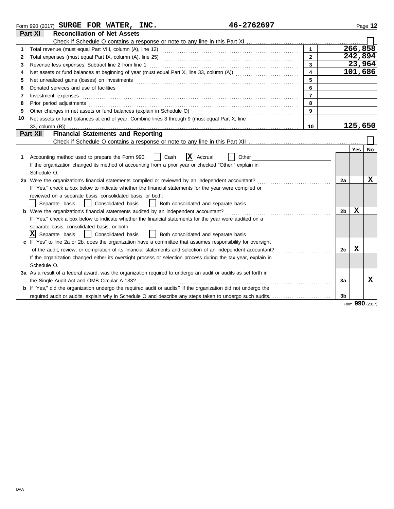|    | 46-2762697<br>Form 990 (2017) SURGE FOR WATER, INC.                                                                   |                         |    |            | Page 12 |
|----|-----------------------------------------------------------------------------------------------------------------------|-------------------------|----|------------|---------|
|    | Part XI<br><b>Reconciliation of Net Assets</b>                                                                        |                         |    |            |         |
|    |                                                                                                                       |                         |    |            |         |
| 1. |                                                                                                                       | $\mathbf{1}$            |    | 266, 858   |         |
| 2  |                                                                                                                       | $\overline{2}$          |    | 242,894    |         |
| 3  |                                                                                                                       | 3                       |    | 23,964     |         |
| 4  |                                                                                                                       | $\overline{\mathbf{4}}$ |    | 101,686    |         |
| 5  |                                                                                                                       | 5                       |    |            |         |
| 6  |                                                                                                                       | 6                       |    |            |         |
| 7  | Investment expenses                                                                                                   | $\overline{7}$          |    |            |         |
| 8  | Prior period adjustments                                                                                              | 8                       |    |            |         |
| 9  | Other changes in net assets or fund balances (explain in Schedule O)                                                  | 9                       |    |            |         |
| 10 | Net assets or fund balances at end of year. Combine lines 3 through 9 (must equal Part X, line                        |                         |    |            |         |
|    |                                                                                                                       | 10                      |    | 125,650    |         |
|    | <b>Financial Statements and Reporting</b><br>Part XII                                                                 |                         |    |            |         |
|    |                                                                                                                       |                         |    |            |         |
|    |                                                                                                                       |                         |    | <b>Yes</b> | No      |
| 1. | x<br>Accounting method used to prepare the Form 990:<br>Cash<br>Accrual<br>Other                                      |                         |    |            |         |
|    | If the organization changed its method of accounting from a prior year or checked "Other," explain in                 |                         |    |            |         |
|    | Schedule O.                                                                                                           |                         |    |            |         |
|    | 2a Were the organization's financial statements compiled or reviewed by an independent accountant?                    |                         | 2a |            | x       |
|    | If "Yes," check a box below to indicate whether the financial statements for the year were compiled or                |                         |    |            |         |
|    | reviewed on a separate basis, consolidated basis, or both:                                                            |                         |    |            |         |
|    | Separate basis<br>Consolidated basis<br>Both consolidated and separate basis<br>$\blacksquare$<br>$\mathbf{1}$        |                         |    |            |         |
|    | b Were the organization's financial statements audited by an independent accountant?                                  |                         | 2b | X          |         |
|    | If "Yes," check a box below to indicate whether the financial statements for the year were audited on a               |                         |    |            |         |
|    | separate basis, consolidated basis, or both:                                                                          |                         |    |            |         |
|    | $ \mathbf{X} $ Separate basis<br>Consolidated basis<br>    Both consolidated and separate basis                       |                         |    |            |         |
|    | c If "Yes" to line 2a or 2b, does the organization have a committee that assumes responsibility for oversight         |                         |    |            |         |
|    | of the audit, review, or compilation of its financial statements and selection of an independent accountant?          |                         | 2c | X          |         |
|    | If the organization changed either its oversight process or selection process during the tax year, explain in         |                         |    |            |         |
|    | Schedule O.                                                                                                           |                         |    |            |         |
|    | 3a As a result of a federal award, was the organization required to undergo an audit or audits as set forth in        |                         |    |            |         |
|    | the Single Audit Act and OMB Circular A-133?                                                                          |                         | 3a |            | x       |
|    | <b>b</b> If "Yes," did the organization undergo the required audit or audits? If the organization did not undergo the |                         |    |            |         |
|    | required audit or audits, explain why in Schedule O and describe any steps taken to undergo such audits.              |                         | 3b |            |         |

Form **990** (2017)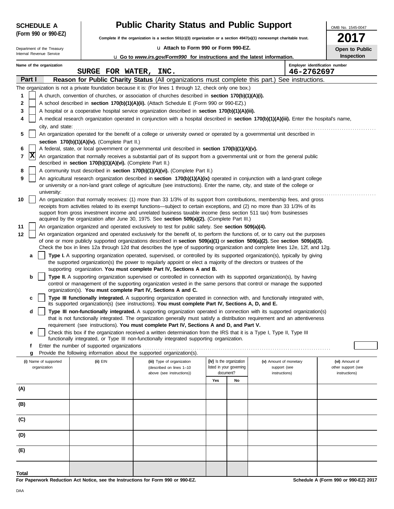| <b>SCHEDULE A</b>          |                                                            | <b>Public Charity Status and Public Support</b>                                                                                                                                                                                                                 |                                       |                               | OMB No. 1545-0047                   |
|----------------------------|------------------------------------------------------------|-----------------------------------------------------------------------------------------------------------------------------------------------------------------------------------------------------------------------------------------------------------------|---------------------------------------|-------------------------------|-------------------------------------|
| (Form 990 or 990-EZ)       |                                                            | Complete if the organization is a section 501(c)(3) organization or a section 4947(a)(1) nonexempt charitable trust.                                                                                                                                            |                                       |                               |                                     |
| Department of the Treasury |                                                            | La Attach to Form 990 or Form 990-EZ.                                                                                                                                                                                                                           |                                       |                               | Open to Public                      |
| Internal Revenue Service   |                                                            | <b>u</b> Go to <i>www.irs.gov/Form990</i> for instructions and the latest information.                                                                                                                                                                          |                                       |                               | Inspection                          |
| Name of the organization   | SURGE FOR WATER, INC.                                      |                                                                                                                                                                                                                                                                 |                                       | 46-2762697                    | Employer identification number      |
| Part I                     |                                                            | Reason for Public Charity Status (All organizations must complete this part.) See instructions.                                                                                                                                                                 |                                       |                               |                                     |
|                            |                                                            | The organization is not a private foundation because it is: (For lines 1 through 12, check only one box.)                                                                                                                                                       |                                       |                               |                                     |
| 1                          |                                                            | A church, convention of churches, or association of churches described in section 170(b)(1)(A)(i).                                                                                                                                                              |                                       |                               |                                     |
| 2                          |                                                            | A school described in <b>section 170(b)(1)(A)(ii).</b> (Attach Schedule E (Form 990 or 990-EZ).)                                                                                                                                                                |                                       |                               |                                     |
| 3                          |                                                            | A hospital or a cooperative hospital service organization described in section 170(b)(1)(A)(iii).                                                                                                                                                               |                                       |                               |                                     |
| 4                          |                                                            | A medical research organization operated in conjunction with a hospital described in section 170(b)(1)(A)(iii). Enter the hospital's name,                                                                                                                      |                                       |                               |                                     |
| city, and state:           |                                                            |                                                                                                                                                                                                                                                                 |                                       |                               |                                     |
| 5                          |                                                            | An organization operated for the benefit of a college or university owned or operated by a governmental unit described in                                                                                                                                       |                                       |                               |                                     |
|                            | section 170(b)(1)(A)(iv). (Complete Part II.)              |                                                                                                                                                                                                                                                                 |                                       |                               |                                     |
| 6<br> X<br>7               |                                                            | A federal, state, or local government or governmental unit described in section 170(b)(1)(A)(v).<br>An organization that normally receives a substantial part of its support from a governmental unit or from the general public                                |                                       |                               |                                     |
|                            | described in section 170(b)(1)(A)(vi). (Complete Part II.) |                                                                                                                                                                                                                                                                 |                                       |                               |                                     |
| 8                          |                                                            | A community trust described in section 170(b)(1)(A)(vi). (Complete Part II.)                                                                                                                                                                                    |                                       |                               |                                     |
| 9                          |                                                            | An agricultural research organization described in section 170(b)(1)(A)(ix) operated in conjunction with a land-grant college<br>or university or a non-land grant college of agriculture (see instructions). Enter the name, city, and state of the college or |                                       |                               |                                     |
| university:                |                                                            |                                                                                                                                                                                                                                                                 |                                       |                               |                                     |
| 10                         |                                                            | An organization that normally receives: (1) more than 33 1/3% of its support from contributions, membership fees, and gross<br>receipts from activities related to its exempt functions—subject to certain exceptions, and (2) no more than 33 1/3% of its      |                                       |                               |                                     |
|                            |                                                            | support from gross investment income and unrelated business taxable income (less section 511 tax) from businesses                                                                                                                                               |                                       |                               |                                     |
|                            |                                                            | acquired by the organization after June 30, 1975. See section 509(a)(2). (Complete Part III.)                                                                                                                                                                   |                                       |                               |                                     |
| 11                         |                                                            | An organization organized and operated exclusively to test for public safety. See section 509(a)(4).                                                                                                                                                            |                                       |                               |                                     |
| 12                         |                                                            | An organization organized and operated exclusively for the benefit of, to perform the functions of, or to carry out the purposes<br>of one or more publicly supported organizations described in section 509(a)(1) or section 509(a)(2). See section 509(a)(3). |                                       |                               |                                     |
|                            |                                                            | Check the box in lines 12a through 12d that describes the type of supporting organization and complete lines 12e, 12f, and 12g.                                                                                                                                 |                                       |                               |                                     |
| a                          |                                                            | Type I. A supporting organization operated, supervised, or controlled by its supported organization(s), typically by giving                                                                                                                                     |                                       |                               |                                     |
|                            |                                                            | the supported organization(s) the power to regularly appoint or elect a majority of the directors or trustees of the<br>supporting organization. You must complete Part IV, Sections A and B.                                                                   |                                       |                               |                                     |
| b                          |                                                            | Type II. A supporting organization supervised or controlled in connection with its supported organization(s), by having                                                                                                                                         |                                       |                               |                                     |
|                            |                                                            | control or management of the supporting organization vested in the same persons that control or manage the supported                                                                                                                                            |                                       |                               |                                     |
|                            |                                                            | organization(s). You must complete Part IV, Sections A and C.                                                                                                                                                                                                   |                                       |                               |                                     |
| C                          |                                                            | Type III functionally integrated. A supporting organization operated in connection with, and functionally integrated with,<br>its supported organization(s) (see instructions). You must complete Part IV, Sections A, D, and E.                                |                                       |                               |                                     |
| d                          |                                                            | Type III non-functionally integrated. A supporting organization operated in connection with its supported organization(s)                                                                                                                                       |                                       |                               |                                     |
|                            |                                                            | that is not functionally integrated. The organization generally must satisfy a distribution requirement and an attentiveness                                                                                                                                    |                                       |                               |                                     |
|                            |                                                            | requirement (see instructions). You must complete Part IV, Sections A and D, and Part V.                                                                                                                                                                        |                                       |                               |                                     |
| е                          |                                                            | Check this box if the organization received a written determination from the IRS that it is a Type I, Type II, Type III<br>functionally integrated, or Type III non-functionally integrated supporting organization.                                            |                                       |                               |                                     |
| f                          | Enter the number of supported organizations                |                                                                                                                                                                                                                                                                 |                                       |                               |                                     |
| g                          |                                                            | Provide the following information about the supported organization(s).                                                                                                                                                                                          |                                       |                               |                                     |
| (i) Name of supported      | $(ii)$ EIN                                                 | (iii) Type of organization                                                                                                                                                                                                                                      | (iv) Is the organization              | (v) Amount of monetary        | (vi) Amount of                      |
| organization               |                                                            | (described on lines 1-10<br>above (see instructions))                                                                                                                                                                                                           | listed in your governing<br>document? | support (see<br>instructions) | other support (see<br>instructions) |
|                            |                                                            |                                                                                                                                                                                                                                                                 | Yes<br>No                             |                               |                                     |
| (A)                        |                                                            |                                                                                                                                                                                                                                                                 |                                       |                               |                                     |
|                            |                                                            |                                                                                                                                                                                                                                                                 |                                       |                               |                                     |
| (B)                        |                                                            |                                                                                                                                                                                                                                                                 |                                       |                               |                                     |
|                            |                                                            |                                                                                                                                                                                                                                                                 |                                       |                               |                                     |
| (C)                        |                                                            |                                                                                                                                                                                                                                                                 |                                       |                               |                                     |
| (D)                        |                                                            |                                                                                                                                                                                                                                                                 |                                       |                               |                                     |
|                            |                                                            |                                                                                                                                                                                                                                                                 |                                       |                               |                                     |
| (E)                        |                                                            |                                                                                                                                                                                                                                                                 |                                       |                               |                                     |
|                            |                                                            |                                                                                                                                                                                                                                                                 |                                       |                               |                                     |
|                            |                                                            |                                                                                                                                                                                                                                                                 |                                       |                               |                                     |
| Total                      |                                                            |                                                                                                                                                                                                                                                                 |                                       |                               |                                     |

**For Paperwork Reduction Act Notice, see the Instructions for Form 990 or 990-EZ.**

 $\ddot{\phantom{a}}$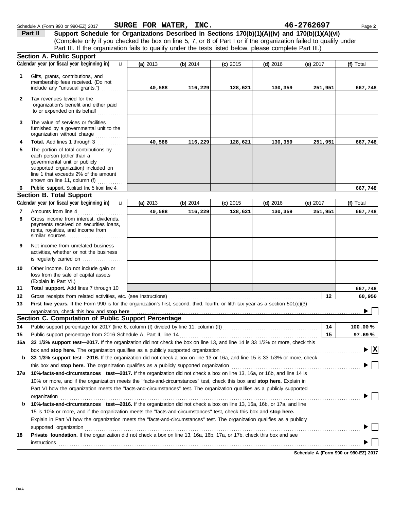|              | Schedule A (Form 990 or 990-EZ) 2017                                                                                                                                                                                                                 | SURGE FOR WATER, INC. |            |            |            | 46-2762697        | Page 2                          |
|--------------|------------------------------------------------------------------------------------------------------------------------------------------------------------------------------------------------------------------------------------------------------|-----------------------|------------|------------|------------|-------------------|---------------------------------|
|              | Support Schedule for Organizations Described in Sections 170(b)(1)(A)(iv) and 170(b)(1)(A)(vi)<br>Part II                                                                                                                                            |                       |            |            |            |                   |                                 |
|              | (Complete only if you checked the box on line 5, 7, or 8 of Part I or if the organization failed to qualify under                                                                                                                                    |                       |            |            |            |                   |                                 |
|              | Part III. If the organization fails to qualify under the tests listed below, please complete Part III.)                                                                                                                                              |                       |            |            |            |                   |                                 |
|              | <b>Section A. Public Support</b>                                                                                                                                                                                                                     |                       |            |            |            |                   |                                 |
|              | Calendar year (or fiscal year beginning in)<br>$\mathbf{u}$                                                                                                                                                                                          | (a) 2013              | (b) $2014$ | $(c)$ 2015 | $(d)$ 2016 | (e) 2017          | (f) Total                       |
| 1            | Gifts, grants, contributions, and                                                                                                                                                                                                                    |                       |            |            |            |                   |                                 |
|              | membership fees received. (Do not                                                                                                                                                                                                                    |                       |            |            |            |                   |                                 |
|              | include any "unusual grants.")                                                                                                                                                                                                                       | 40,588                | 116,229    | 128,621    | 130,359    | 251,951           | 667,748                         |
| $\mathbf{2}$ | Tax revenues levied for the<br>organization's benefit and either paid                                                                                                                                                                                |                       |            |            |            |                   |                                 |
|              | to or expended on its behalf                                                                                                                                                                                                                         |                       |            |            |            |                   |                                 |
| 3            | The value of services or facilities<br>furnished by a governmental unit to the<br>organization without charge                                                                                                                                        |                       |            |            |            |                   |                                 |
| 4            | Total. Add lines 1 through 3                                                                                                                                                                                                                         | 40,588                | 116,229    | 128,621    | 130,359    | 251,951           | 667,748                         |
| 5            | The portion of total contributions by<br>each person (other than a<br>governmental unit or publicly<br>supported organization) included on<br>line 1 that exceeds 2% of the amount                                                                   |                       |            |            |            |                   |                                 |
|              | shown on line 11, column (f)                                                                                                                                                                                                                         |                       |            |            |            |                   |                                 |
| 6            | Public support. Subtract line 5 from line 4.                                                                                                                                                                                                         |                       |            |            |            |                   | 667,748                         |
|              | <b>Section B. Total Support</b>                                                                                                                                                                                                                      |                       |            |            |            |                   |                                 |
|              | Calendar year (or fiscal year beginning in)<br>$\mathbf{u}$                                                                                                                                                                                          | (a) 2013              | (b) 2014   | $(c)$ 2015 | $(d)$ 2016 | (e) $2017$        | (f) Total                       |
| 7            | Amounts from line 4                                                                                                                                                                                                                                  | 40,588                | 116,229    | 128,621    | 130,359    | 251,951           | 667,748                         |
| 8            | Gross income from interest, dividends,<br>payments received on securities loans,<br>rents, royalties, and income from<br>similar sources                                                                                                             |                       |            |            |            |                   |                                 |
| 9            | Net income from unrelated business<br>activities, whether or not the business<br>is regularly carried on $\ldots$ , $\ldots$                                                                                                                         |                       |            |            |            |                   |                                 |
| 10           | Other income. Do not include gain or<br>loss from the sale of capital assets<br>(Explain in Part VI.)                                                                                                                                                |                       |            |            |            |                   |                                 |
| 11           | Total support. Add lines 7 through 10                                                                                                                                                                                                                |                       |            |            |            |                   | 667,748                         |
| 12           | Gross receipts from related activities, etc. (see instructions)                                                                                                                                                                                      |                       |            |            |            | $12 \overline{ }$ | 60,950                          |
| 13           | First five years. If the Form 990 is for the organization's first, second, third, fourth, or fifth tax year as a section 501(c)(3)                                                                                                                   |                       |            |            |            |                   |                                 |
|              |                                                                                                                                                                                                                                                      |                       |            |            |            |                   |                                 |
|              | Section C. Computation of Public Support Percentage                                                                                                                                                                                                  |                       |            |            |            |                   |                                 |
| 14           | Public support percentage for 2017 (line 6, column (f) divided by line 11, column (f)) [[[[[[[[[[[[[[[[[[[[[[                                                                                                                                        |                       |            |            |            | 14                | 100.00%                         |
| 15           | Public support percentage from 2016 Schedule A, Part II, line 14                                                                                                                                                                                     |                       |            |            |            | 15                | 97.69%                          |
| 16a          | 33 1/3% support test-2017. If the organization did not check the box on line 13, and line 14 is 33 1/3% or more, check this                                                                                                                          |                       |            |            |            |                   |                                 |
|              | box and stop here. The organization qualifies as a publicly supported organization                                                                                                                                                                   |                       |            |            |            |                   | $\blacktriangleright$ $\vert$ X |
| b            | 33 1/3% support test-2016. If the organization did not check a box on line 13 or 16a, and line 15 is 33 1/3% or more, check                                                                                                                          |                       |            |            |            |                   |                                 |
|              |                                                                                                                                                                                                                                                      |                       |            |            |            |                   |                                 |
|              | 17a 10%-facts-and-circumstances test-2017. If the organization did not check a box on line 13, 16a, or 16b, and line 14 is                                                                                                                           |                       |            |            |            |                   |                                 |
|              | 10% or more, and if the organization meets the "facts-and-circumstances" test, check this box and stop here. Explain in<br>Part VI how the organization meets the "facts-and-circumstances" test. The organization qualifies as a publicly supported |                       |            |            |            |                   |                                 |
|              | organization                                                                                                                                                                                                                                         |                       |            |            |            |                   |                                 |
| b            | 10%-facts-and-circumstances test-2016. If the organization did not check a box on line 13, 16a, 16b, or 17a, and line                                                                                                                                |                       |            |            |            |                   |                                 |
|              | 15 is 10% or more, and if the organization meets the "facts-and-circumstances" test, check this box and stop here.                                                                                                                                   |                       |            |            |            |                   |                                 |
|              | Explain in Part VI how the organization meets the "facts-and-circumstances" test. The organization qualifies as a publicly                                                                                                                           |                       |            |            |            |                   |                                 |
|              | supported organization<br>Private foundation. If the organization did not check a box on line 13, 16a, 16b, 17a, or 17b, check this box and see                                                                                                      |                       |            |            |            |                   |                                 |
| 18           |                                                                                                                                                                                                                                                      |                       |            |            |            |                   |                                 |
|              | instructions                                                                                                                                                                                                                                         |                       |            |            |            |                   |                                 |

| Schedule A (Form 990 or 990-EZ) 2017 |
|--------------------------------------|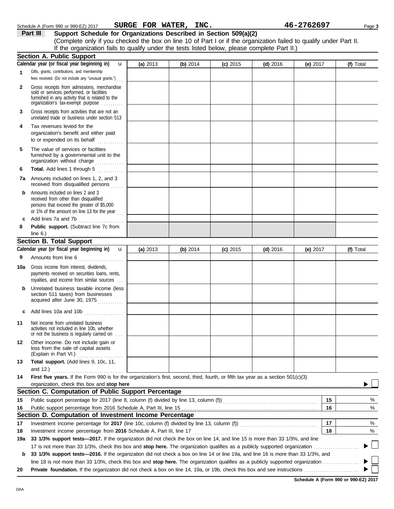|           | Calendar year (or fiscal year beginning in)<br>$\mathbf{u}$                                                                                                                       | (a) 2013   | (b) 2014   | $(c)$ 2015 | $(d)$ 2016 | (e) $2017$                           | (f) Total |
|-----------|-----------------------------------------------------------------------------------------------------------------------------------------------------------------------------------|------------|------------|------------|------------|--------------------------------------|-----------|
|           | Gifts, grants, contributions, and membership<br>fees received. (Do not include any "unusual grants.")                                                                             |            |            |            |            |                                      |           |
| 2         | Gross receipts from admissions, merchandise<br>sold or services performed, or facilities<br>furnished in any activity that is related to the<br>organization's tax-exempt purpose |            |            |            |            |                                      |           |
| 3         | Gross receipts from activities that are not an<br>unrelated trade or business under section 513                                                                                   |            |            |            |            |                                      |           |
| 4         | Tax revenues levied for the<br>organization's benefit and either paid<br>to or expended on its behalf<br>.                                                                        |            |            |            |            |                                      |           |
| 5         | The value of services or facilities<br>furnished by a governmental unit to the<br>organization without charge                                                                     |            |            |            |            |                                      |           |
| 6         | Total. Add lines 1 through 5                                                                                                                                                      |            |            |            |            |                                      |           |
| 7а        | Amounts included on lines 1, 2, and 3<br>received from disqualified persons                                                                                                       |            |            |            |            |                                      |           |
| b         | Amounts included on lines 2 and 3<br>received from other than disqualified<br>persons that exceed the greater of \$5,000<br>or 1% of the amount on line 13 for the year $\ldots$  |            |            |            |            |                                      |           |
| c         | Add lines 7a and 7b                                                                                                                                                               |            |            |            |            |                                      |           |
| 8         | Public support. (Subtract line 7c from<br>line $6.$ )                                                                                                                             |            |            |            |            |                                      |           |
|           | <b>Section B. Total Support</b>                                                                                                                                                   |            |            |            |            |                                      |           |
|           | Calendar year (or fiscal year beginning in)<br>$\mathbf{u}$                                                                                                                       | (a) $2013$ | (b) $2014$ | $(c)$ 2015 | $(d)$ 2016 | (e) $2017$                           | (f) Total |
| 9         | Amounts from line 6                                                                                                                                                               |            |            |            |            |                                      |           |
| 10a       | Gross income from interest, dividends,<br>payments received on securities loans, rents,<br>royalties, and income from similar sources                                             |            |            |            |            |                                      |           |
| b         | Unrelated business taxable income (less<br>section 511 taxes) from businesses<br>acquired after June 30, 1975                                                                     |            |            |            |            |                                      |           |
| c         | Add lines 10a and 10b                                                                                                                                                             |            |            |            |            |                                      |           |
| 11        | Net income from unrelated business<br>activities not included in line 10b, whether<br>or not the business is regularly carried on                                                 |            |            |            |            |                                      |           |
| 12        | Other income. Do not include gain or<br>loss from the sale of capital assets<br>(Explain in Part VI.)<br>.                                                                        |            |            |            |            |                                      |           |
| 13        | Total support. (Add lines 9, 10c, 11,<br>and $12.$ )                                                                                                                              |            |            |            |            |                                      |           |
| 14        | First five years. If the Form 990 is for the organization's first, second, third, fourth, or fifth tax year as a section 501(c)(3)                                                |            |            |            |            |                                      |           |
|           | organization, check this box and stop here                                                                                                                                        |            |            |            |            |                                      |           |
|           | Section C. Computation of Public Support Percentage                                                                                                                               |            |            |            |            |                                      |           |
| 15        | Public support percentage for 2017 (line 8, column (f) divided by line 13, column (f)) [[[[[[[[[[[[[[[[[[[[[[                                                                     |            |            |            |            | 15                                   | %         |
| 16        |                                                                                                                                                                                   |            |            |            |            | 16                                   | $\%$      |
|           | Section D. Computation of Investment Income Percentage                                                                                                                            |            |            |            |            |                                      |           |
| 17        | Investment income percentage for 2017 (line 10c, column (f) divided by line 13, column (f)) [[[[[[[[[[[[[[[[[[                                                                    |            |            |            |            | 17<br>18                             | %         |
| 18<br>19a | Investment income percentage from 2016 Schedule A, Part III, line 17 [ <i>[[11] Contention communication</i> content income percentage from 2016 Schedule A, Part III, line 17    |            |            |            |            |                                      | %         |
|           | 33 1/3% support tests-2017. If the organization did not check the box on line 14, and line 15 is more than 33 1/3%, and line                                                      |            |            |            |            |                                      |           |
| b         | 33 1/3% support tests-2016. If the organization did not check a box on line 14 or line 19a, and line 16 is more than 33 1/3%, and                                                 |            |            |            |            |                                      |           |
|           |                                                                                                                                                                                   |            |            |            |            |                                      |           |
| 20        |                                                                                                                                                                                   |            |            |            |            |                                      |           |
|           |                                                                                                                                                                                   |            |            |            |            | Schedule A (Form 990 or 990-EZ) 2017 |           |

(Complete only if you checked the box on line 10 of Part I or if the organization failed to qualify under Part II.

Schedule A (Form 990 or 990-EZ) 2017 Page **3 SURGE FOR WATER, INC. 46-2762697**

If the organization fails to qualify under the tests listed below, please complete Part II.)

**Part III Support Schedule for Organizations Described in Section 509(a)(2)**

**Section A. Public Support**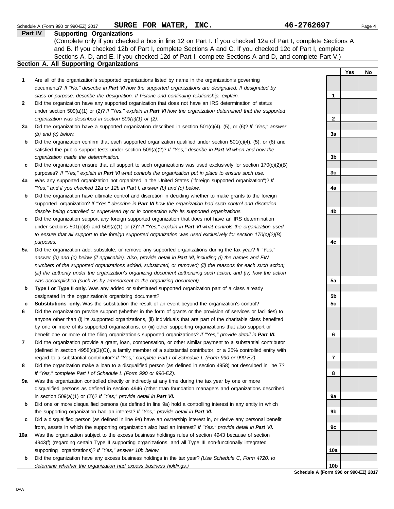|     | SURGE FOR WATER, INC.<br>Schedule A (Form 990 or 990-EZ) 2017                                                                                                                            | 46-2762697                                |     | Page 4 |
|-----|------------------------------------------------------------------------------------------------------------------------------------------------------------------------------------------|-------------------------------------------|-----|--------|
|     | <b>Part IV</b><br><b>Supporting Organizations</b>                                                                                                                                        |                                           |     |        |
|     | (Complete only if you checked a box in line 12 on Part I. If you checked 12a of Part I, complete Sections A                                                                              |                                           |     |        |
|     | and B. If you checked 12b of Part I, complete Sections A and C. If you checked 12c of Part I, complete                                                                                   |                                           |     |        |
|     | Sections A, D, and E. If you checked 12d of Part I, complete Sections A and D, and complete Part V.)                                                                                     |                                           |     |        |
|     | Section A. All Supporting Organizations                                                                                                                                                  |                                           |     |        |
|     |                                                                                                                                                                                          |                                           | Yes | No     |
| 1   | Are all of the organization's supported organizations listed by name in the organization's governing                                                                                     |                                           |     |        |
|     | documents? If "No," describe in Part VI how the supported organizations are designated. If designated by                                                                                 |                                           |     |        |
|     | class or purpose, describe the designation. If historic and continuing relationship, explain.                                                                                            | 1                                         |     |        |
| 2   | Did the organization have any supported organization that does not have an IRS determination of status                                                                                   |                                           |     |        |
|     | under section 509(a)(1) or (2)? If "Yes," explain in Part VI how the organization determined that the supported                                                                          |                                           |     |        |
|     | organization was described in section 509(a)(1) or (2).                                                                                                                                  | $\mathbf{2}$                              |     |        |
| За  | Did the organization have a supported organization described in section $501(c)(4)$ , (5), or (6)? If "Yes," answer                                                                      |                                           |     |        |
|     | $(b)$ and $(c)$ below.                                                                                                                                                                   | 3a                                        |     |        |
| b   | Did the organization confirm that each supported organization qualified under section $501(c)(4)$ , $(5)$ , or $(6)$ and                                                                 |                                           |     |        |
|     | satisfied the public support tests under section 509(a)(2)? If "Yes," describe in Part VI when and how the                                                                               |                                           |     |        |
|     | organization made the determination.                                                                                                                                                     | 3 <sub>b</sub>                            |     |        |
| c   | Did the organization ensure that all support to such organizations was used exclusively for section $170(c)(2)(B)$                                                                       |                                           |     |        |
|     | purposes? If "Yes," explain in Part VI what controls the organization put in place to ensure such use.                                                                                   | 3 <sub>c</sub>                            |     |        |
| 4a  | Was any supported organization not organized in the United States ("foreign supported organization")? If                                                                                 | 4a                                        |     |        |
|     | "Yes," and if you checked 12a or 12b in Part I, answer (b) and (c) below.<br>Did the organization have ultimate control and discretion in deciding whether to make grants to the foreign |                                           |     |        |
| b   | supported organization? If "Yes," describe in Part VI how the organization had such control and discretion                                                                               |                                           |     |        |
|     | despite being controlled or supervised by or in connection with its supported organizations.                                                                                             | 4b                                        |     |        |
| c   | Did the organization support any foreign supported organization that does not have an IRS determination                                                                                  |                                           |     |        |
|     | under sections $501(c)(3)$ and $509(a)(1)$ or (2)? If "Yes," explain in Part VI what controls the organization used                                                                      |                                           |     |        |
|     | to ensure that all support to the foreign supported organization was used exclusively for section $170(c)(2)(B)$                                                                         |                                           |     |        |
|     | purposes.                                                                                                                                                                                | 4c                                        |     |        |
| 5a  | Did the organization add, substitute, or remove any supported organizations during the tax year? If "Yes,"                                                                               |                                           |     |        |
|     | answer (b) and (c) below (if applicable). Also, provide detail in Part VI, including (i) the names and EIN                                                                               |                                           |     |        |
|     | numbers of the supported organizations added, substituted, or removed; (ii) the reasons for each such action;                                                                            |                                           |     |        |
|     | (iii) the authority under the organization's organizing document authorizing such action; and (iv) how the action                                                                        |                                           |     |        |
|     | was accomplished (such as by amendment to the organizing document).                                                                                                                      | 5a                                        |     |        |
| b   | Type I or Type II only. Was any added or substituted supported organization part of a class already                                                                                      |                                           |     |        |
|     | designated in the organization's organizing document?                                                                                                                                    | 5b                                        |     |        |
| c   | Substitutions only. Was the substitution the result of an event beyond the organization's control?                                                                                       | 5c                                        |     |        |
|     | Did the organization provide support (whether in the form of grants or the provision of services or facilities) to                                                                       |                                           |     |        |
|     | anyone other than (i) its supported organizations, (ii) individuals that are part of the charitable class benefited                                                                      |                                           |     |        |
|     | by one or more of its supported organizations, or (iii) other supporting organizations that also support or                                                                              |                                           |     |        |
|     | benefit one or more of the filing organization's supported organizations? If "Yes," provide detail in Part VI.                                                                           | 6                                         |     |        |
| 7   | Did the organization provide a grant, loan, compensation, or other similar payment to a substantial contributor                                                                          |                                           |     |        |
|     | (defined in section $4958(c)(3)(C)$ ), a family member of a substantial contributor, or a 35% controlled entity with                                                                     |                                           |     |        |
|     | regard to a substantial contributor? If "Yes," complete Part I of Schedule L (Form 990 or 990-EZ).                                                                                       | $\overline{\mathbf{r}}$                   |     |        |
| 8   | Did the organization make a loan to a disqualified person (as defined in section 4958) not described in line 7?                                                                          |                                           |     |        |
|     | If "Yes," complete Part I of Schedule L (Form 990 or 990-EZ).                                                                                                                            | 8                                         |     |        |
| 9а  | Was the organization controlled directly or indirectly at any time during the tax year by one or more                                                                                    |                                           |     |        |
|     | disqualified persons as defined in section 4946 (other than foundation managers and organizations described<br>in section 509(a)(1) or (2))? If "Yes," provide detail in Part VI.        | 9a                                        |     |        |
| b   | Did one or more disqualified persons (as defined in line 9a) hold a controlling interest in any entity in which                                                                          |                                           |     |        |
|     | the supporting organization had an interest? If "Yes," provide detail in Part VI.                                                                                                        | 9b                                        |     |        |
| c   | Did a disqualified person (as defined in line 9a) have an ownership interest in, or derive any personal benefit                                                                          |                                           |     |        |
|     | from, assets in which the supporting organization also had an interest? If "Yes," provide detail in Part VI.                                                                             | 9c                                        |     |        |
| 10a | Was the organization subject to the excess business holdings rules of section 4943 because of section                                                                                    |                                           |     |        |
|     | 4943(f) (regarding certain Type II supporting organizations, and all Type III non-functionally integrated                                                                                |                                           |     |        |
|     | supporting organizations)? If "Yes," answer 10b below.                                                                                                                                   | 10a                                       |     |        |
| b   | Did the organization have any excess business holdings in the tax year? (Use Schedule C, Form 4720, to                                                                                   |                                           |     |        |
|     | determine whether the organization had excess business holdings.)                                                                                                                        | 10b                                       |     |        |
|     |                                                                                                                                                                                          | <b>Cabadula A (Farm 000 ar 000 E7) 20</b> |     |        |

**Schedule A (Form 990 or 990-EZ) 2017**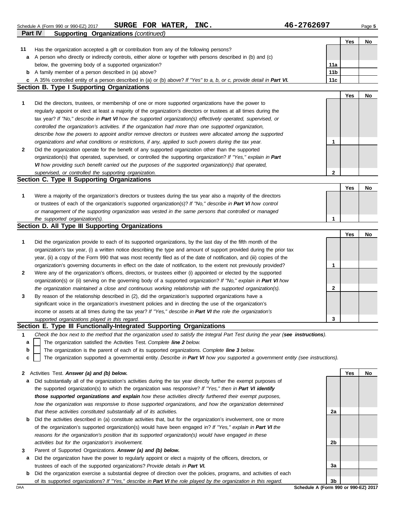|              | SURGE FOR WATER, INC.<br>Schedule A (Form 990 or 990-EZ) 2017                                                                     | 46-2762697      |            | Page 5 |
|--------------|-----------------------------------------------------------------------------------------------------------------------------------|-----------------|------------|--------|
|              | <b>Supporting Organizations (continued)</b><br><b>Part IV</b>                                                                     |                 |            |        |
|              |                                                                                                                                   |                 | <b>Yes</b> | No     |
| 11           | Has the organization accepted a gift or contribution from any of the following persons?                                           |                 |            |        |
| a            | A person who directly or indirectly controls, either alone or together with persons described in (b) and (c)                      |                 |            |        |
|              | below, the governing body of a supported organization?                                                                            | 11a             |            |        |
|              | <b>b</b> A family member of a person described in (a) above?                                                                      | 11 <sub>b</sub> |            |        |
|              | c A 35% controlled entity of a person described in (a) or (b) above? If "Yes" to a, b, or c, provide detail in Part VI.           | 11c             |            |        |
|              | <b>Section B. Type I Supporting Organizations</b>                                                                                 |                 |            |        |
|              |                                                                                                                                   |                 | Yes        | No     |
| 1            | Did the directors, trustees, or membership of one or more supported organizations have the power to                               |                 |            |        |
|              | regularly appoint or elect at least a majority of the organization's directors or trustees at all times during the                |                 |            |        |
|              | tax year? If "No," describe in Part VI how the supported organization(s) effectively operated, supervised, or                     |                 |            |        |
|              | controlled the organization's activities. If the organization had more than one supported organization,                           |                 |            |        |
|              | describe how the powers to appoint and/or remove directors or trustees were allocated among the supported                         |                 |            |        |
|              | organizations and what conditions or restrictions, if any, applied to such powers during the tax year.                            | 1               |            |        |
| 2            | Did the organization operate for the benefit of any supported organization other than the supported                               |                 |            |        |
|              | organization(s) that operated, supervised, or controlled the supporting organization? If "Yes," explain in Part                   |                 |            |        |
|              | VI how providing such benefit carried out the purposes of the supported organization(s) that operated,                            |                 |            |        |
|              | supervised, or controlled the supporting organization.                                                                            | 2               |            |        |
|              | Section C. Type II Supporting Organizations                                                                                       |                 |            |        |
|              |                                                                                                                                   |                 | Yes        | No     |
| 1            | Were a majority of the organization's directors or trustees during the tax year also a majority of the directors                  |                 |            |        |
|              | or trustees of each of the organization's supported organization(s)? If "No," describe in Part VI how control                     |                 |            |        |
|              | or management of the supporting organization was vested in the same persons that controlled or managed                            |                 |            |        |
|              | the supported organization(s).                                                                                                    | 1               |            |        |
|              | Section D. All Type III Supporting Organizations                                                                                  |                 |            |        |
|              |                                                                                                                                   |                 | Yes        | No     |
| 1            | Did the organization provide to each of its supported organizations, by the last day of the fifth month of the                    |                 |            |        |
|              | organization's tax year, (i) a written notice describing the type and amount of support provided during the prior tax             |                 |            |        |
|              | year, (ii) a copy of the Form 990 that was most recently filed as of the date of notification, and (iii) copies of the            |                 |            |        |
|              | organization's governing documents in effect on the date of notification, to the extent not previously provided?                  | $\mathbf{1}$    |            |        |
| $\mathbf{2}$ | Were any of the organization's officers, directors, or trustees either (i) appointed or elected by the supported                  |                 |            |        |
|              | organization(s) or (ii) serving on the governing body of a supported organization? If "No," explain in Part VI how                |                 |            |        |
|              | the organization maintained a close and continuous working relationship with the supported organization(s).                       | 2               |            |        |
| 3            | By reason of the relationship described in (2), did the organization's supported organizations have a                             |                 |            |        |
|              | significant voice in the organization's investment policies and in directing the use of the organization's                        |                 |            |        |
|              | income or assets at all times during the tax year? If "Yes," describe in Part VI the role the organization's                      |                 |            |        |
|              | supported organizations played in this regard.                                                                                    | 3               |            |        |
|              | Section E. Type III Functionally-Integrated Supporting Organizations                                                              |                 |            |        |
| 1            | Check the box next to the method that the organization used to satisfy the Integral Part Test during the year (see instructions). |                 |            |        |
| a            | The organization satisfied the Activities Test. Complete line 2 below.                                                            |                 |            |        |

ties Test. *Complete IIne 2 below.* 

The organization is the parent of each of its supported organizations. *Complete line 3 below.* **b**

The organization supported a governmental entity. *Describe in Part VI how you supported a government entity (see instructions).* **c**

**2** Activities Test. *Answer (a) and (b) below.*

- **a** Did substantially all of the organization's activities during the tax year directly further the exempt purposes of the supported organization(s) to which the organization was responsive? *If "Yes," then in Part VI identify those supported organizations and explain how these activities directly furthered their exempt purposes, how the organization was responsive to those supported organizations, and how the organization determined that these activities constituted substantially all of its activities.*
- **b** Did the activities described in (a) constitute activities that, but for the organization's involvement, one or more of the organization's supported organization(s) would have been engaged in? *If "Yes," explain in Part VI the reasons for the organization's position that its supported organization(s) would have engaged in these activities but for the organization's involvement.*
- **3** Parent of Supported Organizations. *Answer (a) and (b) below.*
- **a** Did the organization have the power to regularly appoint or elect a majority of the officers, directors, or trustees of each of the supported organizations? *Provide details in Part VI.*
- **b** Did the organization exercise a substantial degree of direction over the policies, programs, and activities of each of its supported organizations? *If "Yes," describe in Part VI the role played by the organization in this regard.*

**2a 2b 3a 3b**

**Yes No**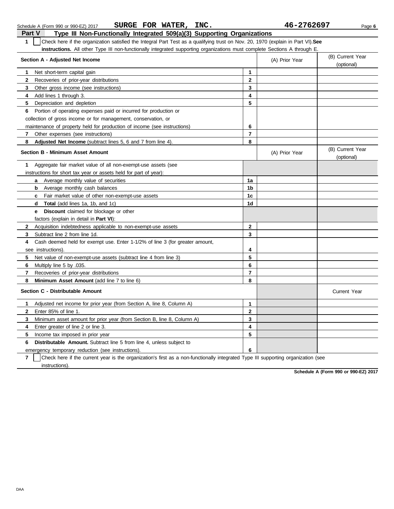| Check here if the organization satisfied the Integral Part Test as a qualifying trust on Nov. 20, 1970 (explain in Part VI). See<br>$\mathbf{1}$ |                         |                |                                |  |  |  |
|--------------------------------------------------------------------------------------------------------------------------------------------------|-------------------------|----------------|--------------------------------|--|--|--|
| instructions. All other Type III non-functionally integrated supporting organizations must complete Sections A through E.                        |                         |                |                                |  |  |  |
| Section A - Adjusted Net Income                                                                                                                  |                         | (A) Prior Year | (B) Current Year<br>(optional) |  |  |  |
| Net short-term capital gain<br>1                                                                                                                 | 1                       |                |                                |  |  |  |
| $\mathbf{2}$<br>Recoveries of prior-year distributions                                                                                           | $\mathbf{2}$            |                |                                |  |  |  |
| 3<br>Other gross income (see instructions)                                                                                                       | 3                       |                |                                |  |  |  |
| Add lines 1 through 3.<br>4                                                                                                                      | 4                       |                |                                |  |  |  |
| 5<br>Depreciation and depletion                                                                                                                  | 5                       |                |                                |  |  |  |
| Portion of operating expenses paid or incurred for production or<br>6                                                                            |                         |                |                                |  |  |  |
| collection of gross income or for management, conservation, or                                                                                   |                         |                |                                |  |  |  |
| maintenance of property held for production of income (see instructions)                                                                         | 6                       |                |                                |  |  |  |
| Other expenses (see instructions)<br>7 <sup>7</sup>                                                                                              | $\overline{7}$          |                |                                |  |  |  |
| 8<br>Adjusted Net Income (subtract lines 5, 6 and 7 from line 4).                                                                                | 8                       |                |                                |  |  |  |
| <b>Section B - Minimum Asset Amount</b>                                                                                                          |                         | (A) Prior Year | (B) Current Year<br>(optional) |  |  |  |
| Aggregate fair market value of all non-exempt-use assets (see<br>1                                                                               |                         |                |                                |  |  |  |
| instructions for short tax year or assets held for part of year):                                                                                |                         |                |                                |  |  |  |
| <b>a</b> Average monthly value of securities                                                                                                     | 1a                      |                |                                |  |  |  |
| Average monthly cash balances<br>b                                                                                                               | 1b                      |                |                                |  |  |  |
| Fair market value of other non-exempt-use assets<br>$\mathbf{c}$                                                                                 | 1 <sub>c</sub>          |                |                                |  |  |  |
| Total (add lines 1a, 1b, and 1c)<br>d                                                                                                            | 1 <sub>d</sub>          |                |                                |  |  |  |
| <b>Discount</b> claimed for blockage or other<br>е                                                                                               |                         |                |                                |  |  |  |
| factors (explain in detail in <b>Part VI)</b> :                                                                                                  |                         |                |                                |  |  |  |
| $\mathbf{2}$<br>Acquisition indebtedness applicable to non-exempt-use assets                                                                     | $\mathbf{2}$            |                |                                |  |  |  |
| Subtract line 2 from line 1d.<br>3                                                                                                               | 3                       |                |                                |  |  |  |
| 4<br>Cash deemed held for exempt use. Enter 1-1/2% of line 3 (for greater amount,                                                                |                         |                |                                |  |  |  |
| see instructions)                                                                                                                                | 4                       |                |                                |  |  |  |
| 5<br>Net value of non-exempt-use assets (subtract line 4 from line 3)                                                                            | 5                       |                |                                |  |  |  |
| Multiply line 5 by .035.<br>6                                                                                                                    | 6                       |                |                                |  |  |  |
| $\overline{7}$<br>Recoveries of prior-year distributions                                                                                         | $\overline{\mathbf{r}}$ |                |                                |  |  |  |
| 8<br>Minimum Asset Amount (add line 7 to line 6)                                                                                                 | 8                       |                |                                |  |  |  |
| Section C - Distributable Amount                                                                                                                 |                         |                | <b>Current Year</b>            |  |  |  |
| Adjusted net income for prior year (from Section A, line 8, Column A)<br>1                                                                       | $\mathbf{1}$            |                |                                |  |  |  |
| $\mathbf{2}$<br>Enter 85% of line 1.                                                                                                             | $\mathbf{2}$            |                |                                |  |  |  |
| 3<br>Minimum asset amount for prior year (from Section B, line 8, Column A)                                                                      | 3                       |                |                                |  |  |  |
| 4<br>Enter greater of line 2 or line 3.                                                                                                          | 4                       |                |                                |  |  |  |
| 5<br>Income tax imposed in prior year                                                                                                            | 5                       |                |                                |  |  |  |
| 6<br><b>Distributable Amount.</b> Subtract line 5 from line 4, unless subject to                                                                 |                         |                |                                |  |  |  |
| emergency temporary reduction (see instructions).                                                                                                | 6                       |                |                                |  |  |  |

**7** | Check here if the current year is the organization's first as a non-functionally integrated Type III supporting organization (see instructions).

**Schedule A (Form 990 or 990-EZ) 2017**

**Part V Type III Non-Functionally Integrated 509(a)(3) Supporting Organizations** Schedule A (Form 990 or 990-EZ) 2017 Page **6 SURGE FOR WATER, INC. 46-2762697**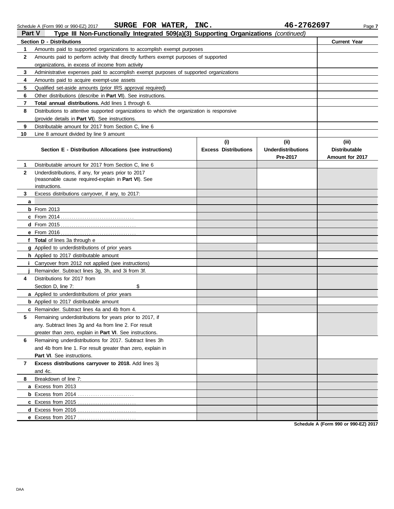|              | SURGE FOR WATER, INC.<br>Schedule A (Form 990 or 990-EZ) 2017                                           |                                    | 46-2762697                        | Page 7                        |
|--------------|---------------------------------------------------------------------------------------------------------|------------------------------------|-----------------------------------|-------------------------------|
| Part V       | Type III Non-Functionally Integrated 509(a)(3) Supporting Organizations (continued)                     |                                    |                                   |                               |
|              | <b>Section D - Distributions</b>                                                                        |                                    |                                   | <b>Current Year</b>           |
| 1            | Amounts paid to supported organizations to accomplish exempt purposes                                   |                                    |                                   |                               |
| 2            | Amounts paid to perform activity that directly furthers exempt purposes of supported                    |                                    |                                   |                               |
|              | organizations, in excess of income from activity                                                        |                                    |                                   |                               |
| 3            | Administrative expenses paid to accomplish exempt purposes of supported organizations                   |                                    |                                   |                               |
| 4            | Amounts paid to acquire exempt-use assets                                                               |                                    |                                   |                               |
| 5            | Qualified set-aside amounts (prior IRS approval required)                                               |                                    |                                   |                               |
| 6            | Other distributions (describe in Part VI). See instructions.                                            |                                    |                                   |                               |
| 7            | Total annual distributions. Add lines 1 through 6.                                                      |                                    |                                   |                               |
| 8            | Distributions to attentive supported organizations to which the organization is responsive              |                                    |                                   |                               |
|              | (provide details in Part VI). See instructions.                                                         |                                    |                                   |                               |
| 9            | Distributable amount for 2017 from Section C, line 6                                                    |                                    |                                   |                               |
| 10           | Line 8 amount divided by line 9 amount                                                                  |                                    |                                   |                               |
|              | Section E - Distribution Allocations (see instructions)                                                 | (i)<br><b>Excess Distributions</b> | (ii)<br><b>Underdistributions</b> | (iii)<br><b>Distributable</b> |
|              |                                                                                                         |                                    | Pre-2017                          | Amount for 2017               |
| 1            | Distributable amount for 2017 from Section C, line 6                                                    |                                    |                                   |                               |
| $\mathbf{2}$ | Underdistributions, if any, for years prior to 2017                                                     |                                    |                                   |                               |
|              | (reasonable cause required-explain in Part VI). See                                                     |                                    |                                   |                               |
|              | instructions.                                                                                           |                                    |                                   |                               |
| 3            | Excess distributions carryover, if any, to 2017:                                                        |                                    |                                   |                               |
| a            |                                                                                                         |                                    |                                   |                               |
|              | $b$ From 2013                                                                                           |                                    |                                   |                               |
|              |                                                                                                         |                                    |                                   |                               |
|              |                                                                                                         |                                    |                                   |                               |
|              |                                                                                                         |                                    |                                   |                               |
|              | f Total of lines 3a through e                                                                           |                                    |                                   |                               |
|              | g Applied to underdistributions of prior years                                                          |                                    |                                   |                               |
|              | h Applied to 2017 distributable amount                                                                  |                                    |                                   |                               |
| İ.           | Carryover from 2012 not applied (see instructions)<br>Remainder. Subtract lines 3g, 3h, and 3i from 3f. |                                    |                                   |                               |
| 4            | Distributions for 2017 from                                                                             |                                    |                                   |                               |
|              | Section D, line 7:<br>\$                                                                                |                                    |                                   |                               |
|              | a Applied to underdistributions of prior years                                                          |                                    |                                   |                               |
|              | <b>b</b> Applied to 2017 distributable amount                                                           |                                    |                                   |                               |
|              | <b>c</b> Remainder. Subtract lines 4a and 4b from 4.                                                    |                                    |                                   |                               |
| 5            | Remaining underdistributions for years prior to 2017, if                                                |                                    |                                   |                               |
|              | any. Subtract lines 3g and 4a from line 2. For result                                                   |                                    |                                   |                               |
|              | greater than zero, explain in Part VI. See instructions.                                                |                                    |                                   |                               |
| 6            | Remaining underdistributions for 2017. Subtract lines 3h                                                |                                    |                                   |                               |
|              | and 4b from line 1. For result greater than zero, explain in                                            |                                    |                                   |                               |
|              | Part VI. See instructions.                                                                              |                                    |                                   |                               |
| 7            | Excess distributions carryover to 2018. Add lines 3j                                                    |                                    |                                   |                               |
|              | and 4c.                                                                                                 |                                    |                                   |                               |
| 8            | Breakdown of line 7:                                                                                    |                                    |                                   |                               |
|              | a Excess from 2013                                                                                      |                                    |                                   |                               |
|              |                                                                                                         |                                    |                                   |                               |
|              |                                                                                                         |                                    |                                   |                               |
|              |                                                                                                         |                                    |                                   |                               |
|              | e Excess from 2017                                                                                      |                                    |                                   |                               |

**Schedule A (Form 990 or 990-EZ) 2017**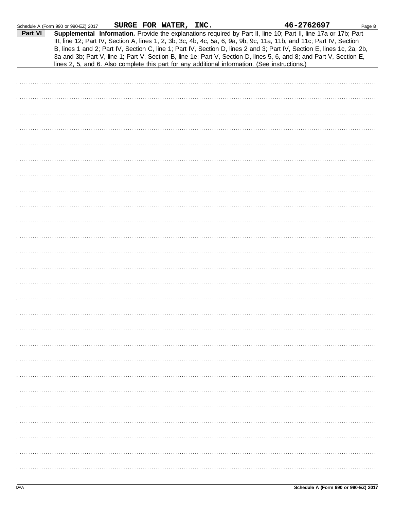|         | Schedule A (Form 990 or 990-EZ) 2017                                                           |  | SURGE FOR WATER, INC. |  | 46-2762697                                                                                                                                                                                                                                                                                                                                                                                                                                                                               | Page 8 |
|---------|------------------------------------------------------------------------------------------------|--|-----------------------|--|------------------------------------------------------------------------------------------------------------------------------------------------------------------------------------------------------------------------------------------------------------------------------------------------------------------------------------------------------------------------------------------------------------------------------------------------------------------------------------------|--------|
| Part VI |                                                                                                |  |                       |  | Supplemental Information. Provide the explanations required by Part II, line 10; Part II, line 17a or 17b; Part<br>III, line 12; Part IV, Section A, lines 1, 2, 3b, 3c, 4b, 4c, 5a, 6, 9a, 9b, 9c, 11a, 11b, and 11c; Part IV, Section<br>B, lines 1 and 2; Part IV, Section C, line 1; Part IV, Section D, lines 2 and 3; Part IV, Section E, lines 1c, 2a, 2b,<br>3a and 3b; Part V, line 1; Part V, Section B, line 1e; Part V, Section D, lines 5, 6, and 8; and Part V, Section E, |        |
|         | lines 2, 5, and 6. Also complete this part for any additional information. (See instructions.) |  |                       |  |                                                                                                                                                                                                                                                                                                                                                                                                                                                                                          |        |
|         |                                                                                                |  |                       |  |                                                                                                                                                                                                                                                                                                                                                                                                                                                                                          |        |
|         |                                                                                                |  |                       |  |                                                                                                                                                                                                                                                                                                                                                                                                                                                                                          |        |
|         |                                                                                                |  |                       |  |                                                                                                                                                                                                                                                                                                                                                                                                                                                                                          |        |
|         |                                                                                                |  |                       |  |                                                                                                                                                                                                                                                                                                                                                                                                                                                                                          |        |
|         |                                                                                                |  |                       |  |                                                                                                                                                                                                                                                                                                                                                                                                                                                                                          |        |
|         |                                                                                                |  |                       |  |                                                                                                                                                                                                                                                                                                                                                                                                                                                                                          |        |
|         |                                                                                                |  |                       |  |                                                                                                                                                                                                                                                                                                                                                                                                                                                                                          |        |
|         |                                                                                                |  |                       |  |                                                                                                                                                                                                                                                                                                                                                                                                                                                                                          |        |
|         |                                                                                                |  |                       |  |                                                                                                                                                                                                                                                                                                                                                                                                                                                                                          |        |
|         |                                                                                                |  |                       |  |                                                                                                                                                                                                                                                                                                                                                                                                                                                                                          |        |
|         |                                                                                                |  |                       |  |                                                                                                                                                                                                                                                                                                                                                                                                                                                                                          |        |
|         |                                                                                                |  |                       |  |                                                                                                                                                                                                                                                                                                                                                                                                                                                                                          |        |
|         |                                                                                                |  |                       |  |                                                                                                                                                                                                                                                                                                                                                                                                                                                                                          |        |
|         |                                                                                                |  |                       |  |                                                                                                                                                                                                                                                                                                                                                                                                                                                                                          |        |
|         |                                                                                                |  |                       |  |                                                                                                                                                                                                                                                                                                                                                                                                                                                                                          |        |
|         |                                                                                                |  |                       |  |                                                                                                                                                                                                                                                                                                                                                                                                                                                                                          |        |
|         |                                                                                                |  |                       |  |                                                                                                                                                                                                                                                                                                                                                                                                                                                                                          |        |
|         |                                                                                                |  |                       |  |                                                                                                                                                                                                                                                                                                                                                                                                                                                                                          |        |
|         |                                                                                                |  |                       |  |                                                                                                                                                                                                                                                                                                                                                                                                                                                                                          |        |
|         |                                                                                                |  |                       |  |                                                                                                                                                                                                                                                                                                                                                                                                                                                                                          |        |
|         |                                                                                                |  |                       |  |                                                                                                                                                                                                                                                                                                                                                                                                                                                                                          |        |
|         |                                                                                                |  |                       |  |                                                                                                                                                                                                                                                                                                                                                                                                                                                                                          |        |
|         |                                                                                                |  |                       |  |                                                                                                                                                                                                                                                                                                                                                                                                                                                                                          |        |
|         |                                                                                                |  |                       |  |                                                                                                                                                                                                                                                                                                                                                                                                                                                                                          |        |
|         |                                                                                                |  |                       |  |                                                                                                                                                                                                                                                                                                                                                                                                                                                                                          |        |
|         |                                                                                                |  |                       |  |                                                                                                                                                                                                                                                                                                                                                                                                                                                                                          |        |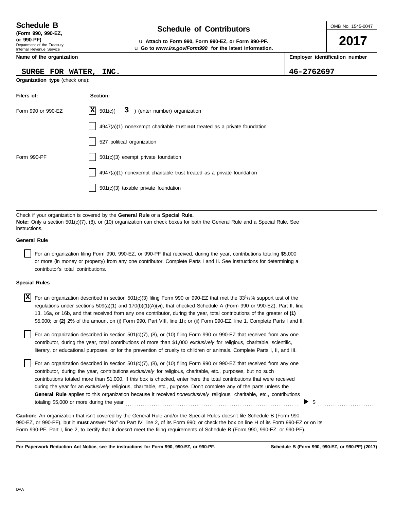### **Schedule of Contributors Schedule B**

Department of the Treasury Internal Revenue Service **(Form 990, 990-EZ,**

#### **Name of the organization**

#### **SURGE FOR WATER, INC. 46-2762697**

| Organization type (check one): |                                                                             |  |  |
|--------------------------------|-----------------------------------------------------------------------------|--|--|
| Filers of:                     | Section:                                                                    |  |  |
| Form 990 or 990-EZ             | $ \mathbf{X} $ 501(c)(<br>3 ) (enter number) organization                   |  |  |
|                                | $4947(a)(1)$ nonexempt charitable trust not treated as a private foundation |  |  |
|                                | 527 political organization                                                  |  |  |
| Form 990-PF                    | 501(c)(3) exempt private foundation                                         |  |  |
|                                | 4947(a)(1) nonexempt charitable trust treated as a private foundation       |  |  |
|                                | 501(c)(3) taxable private foundation                                        |  |  |
|                                |                                                                             |  |  |

Check if your organization is covered by the **General Rule** or a **Special Rule. Note:** Only a section 501(c)(7), (8), or (10) organization can check boxes for both the General Rule and a Special Rule. See instructions.

#### **General Rule**

For an organization filing Form 990, 990-EZ, or 990-PF that received, during the year, contributions totaling \$5,000 or more (in money or property) from any one contributor. Complete Parts I and II. See instructions for determining a contributor's total contributions.

#### **Special Rules**

| <b>X</b> For an organization described in section 501(c)(3) filing Form 990 or 990-EZ that met the 33 <sup>1</sup> /3% support test of the |
|--------------------------------------------------------------------------------------------------------------------------------------------|
| regulations under sections 509(a)(1) and 170(b)(1)(A)(vi), that checked Schedule A (Form 990 or 990-EZ), Part II, line                     |
| 13, 16a, or 16b, and that received from any one contributor, during the year, total contributions of the greater of (1)                    |
| \$5,000; or (2) 2% of the amount on (i) Form 990, Part VIII, line 1h; or (ii) Form 990-EZ, line 1. Complete Parts I and II.                |

literary, or educational purposes, or for the prevention of cruelty to children or animals. Complete Parts I, II, and III. For an organization described in section  $501(c)(7)$ ,  $(8)$ , or  $(10)$  filing Form 990 or 990-EZ that received from any one contributor, during the year, total contributions of more than \$1,000 *exclusively* for religious, charitable, scientific,

For an organization described in section 501(c)(7), (8), or (10) filing Form 990 or 990-EZ that received from any one contributor, during the year, contributions *exclusively* for religious, charitable, etc., purposes, but no such contributions totaled more than \$1,000. If this box is checked, enter here the total contributions that were received during the year for an *exclusively* religious, charitable, etc., purpose. Don't complete any of the parts unless the **General Rule** applies to this organization because it received *nonexclusively* religious, charitable, etc., contributions totaling \$5,000 or more during the year . . . . . . . . . . . . . . . . . . . . . . . . . . . . . . . . . . . . . . . . . . . . . . . . . . . . . . . . . . . . . . . . . . . . . . . . . . . . . . . .

990-EZ, or 990-PF), but it **must** answer "No" on Part IV, line 2, of its Form 990; or check the box on line H of its Form 990-EZ or on its Form 990-PF, Part I, line 2, to certify that it doesn't meet the filing requirements of Schedule B (Form 990, 990-EZ, or 990-PF). **Caution:** An organization that isn't covered by the General Rule and/or the Special Rules doesn't file Schedule B (Form 990,

**For Paperwork Reduction Act Notice, see the instructions for Form 990, 990-EZ, or 990-PF.**

 $\triangleright$  \$



**2017**

**or 990-PF)** u **Attach to Form 990, Form 990-EZ, or Form 990-PF.** u **Go to** *www.irs.gov/Form990* **for the latest information.**

**Employer identification number**

| Schedule B        |  |  |
|-------------------|--|--|
| (Form 990, 990-E2 |  |  |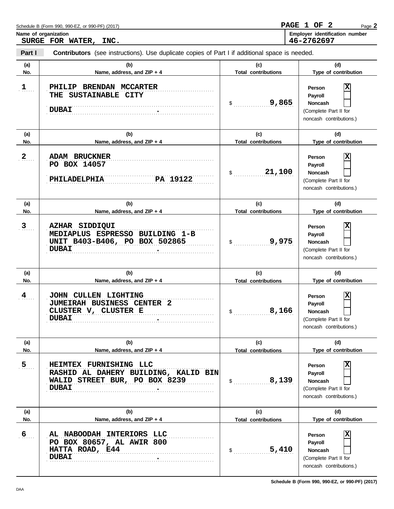| Name of organization | SURGE FOR WATER, INC.                                                                                           |                                   | Employer identification number<br>46-2762697                                                  |
|----------------------|-----------------------------------------------------------------------------------------------------------------|-----------------------------------|-----------------------------------------------------------------------------------------------|
| Part I               | <b>Contributors</b> (see instructions). Use duplicate copies of Part I if additional space is needed.           |                                   |                                                                                               |
| (a)<br>No.           | (b)<br>Name, address, and ZIP + 4                                                                               | (c)<br><b>Total contributions</b> | (d)<br>Type of contribution                                                                   |
| $1$                  | PHILIP BRENDAN MCCARTER<br>THE SUSTAINABLE CITY<br><b>DUBAI</b>                                                 | 9,865<br>$\frac{1}{2}$            | ΙX<br>Person<br>Payroll<br>Noncash<br>(Complete Part II for<br>noncash contributions.)        |
| (a)<br>No.           | (b)<br>Name, address, and ZIP + 4                                                                               | (c)<br><b>Total contributions</b> | (d)<br>Type of contribution                                                                   |
| $2_{\ldots}$         | <b>ADAM BRUCKNER</b><br>PO BOX 14057<br>PA 19122<br>PHILADELPHIA                                                | 21,100<br>$\mathsf{\$}$           | X<br>Person<br>Payroll<br>Noncash<br>(Complete Part II for<br>noncash contributions.)         |
| (a)<br>No.           | (b)<br>Name, address, and ZIP + 4                                                                               | (c)<br><b>Total contributions</b> | (d)<br>Type of contribution                                                                   |
| $3_{\ldots}$         | AZHAR SIDDIQUI<br>MEDIAPLUS ESPRESSO BUILDING 1-B<br>UNIT B403-B406, PO BOX 502865<br><b>DUBAI</b>              | 9,975<br>\$                       | ΙX<br>Person<br>Payroll<br>Noncash<br>(Complete Part II for<br>noncash contributions.)        |
| (a)<br>No.           | (b)<br>Name, address, and ZIP + 4                                                                               | (c)<br><b>Total contributions</b> | (d)<br>Type of contribution                                                                   |
| 4                    | JOHN CULLEN LIGHTING<br><b>JUMEIRAH BUSINESS CENTER 2</b><br>CLUSTER V, CLUSTER E<br><b>DUBAI</b>               | 8,166<br>$\frac{1}{2}$            | ΙX<br>Person<br>Payroll<br><b>Noncash</b><br>(Complete Part II for<br>noncash contributions.) |
| (a)                  | (b)                                                                                                             | (c)                               | (d)                                                                                           |
| No.                  | Name, address, and ZIP + 4                                                                                      | <b>Total contributions</b>        | Type of contribution                                                                          |
| 5 <sub>1</sub>       | HEIMTEX FURNISHING LLC<br>RASHID AL DAHERY BUILDING, KALID BIN<br>WALID STREET BUR, PO BOX 8239<br><b>DUBAI</b> | 8,139<br>$\mathsf{\$}$            | ΙX<br>Person<br>Payroll<br><b>Noncash</b><br>(Complete Part II for<br>noncash contributions.) |
| (a)<br>No.           | (b)<br>Name, address, and ZIP + 4                                                                               | (c)<br><b>Total contributions</b> | (d)<br>Type of contribution                                                                   |
| $6 \frac{1}{2}$      | AL NABOODAH INTERIORS LLC<br>PO BOX 80657, AL AWIR 800<br>HATTA ROAD, E44<br><b>DUBAI</b>                       | 5,410<br>\$                       | ΙX<br>Person<br>Payroll<br><b>Noncash</b><br>(Complete Part II for<br>noncash contributions.) |

Page **2**

**PAGE 1 OF 2**

Schedule B (Form 990, 990-EZ, or 990-PF) (2017)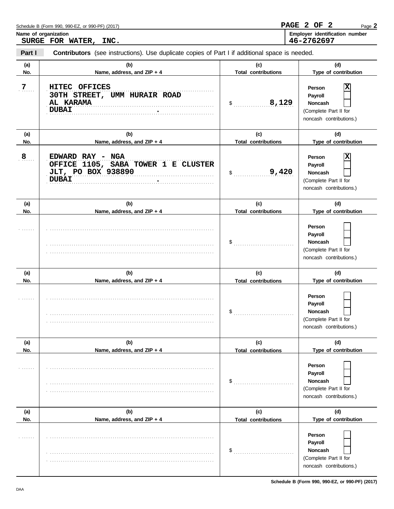|               | SURGE FOR WATER, INC.                                                                          |                                   | 46-2762697                                                                            |
|---------------|------------------------------------------------------------------------------------------------|-----------------------------------|---------------------------------------------------------------------------------------|
| Part I        | Contributors (see instructions). Use duplicate copies of Part I if additional space is needed. |                                   |                                                                                       |
| (a)<br>No.    | (b)<br>Name, address, and ZIP + 4                                                              | (c)<br><b>Total contributions</b> | (d)<br>Type of contribution                                                           |
| $7_{\ldots}$  | HITEC OFFICES<br>30TH STREET, UMM HURAIR ROAD<br>AL KARAMA<br><b>DUBAI</b>                     | 8,129<br>$\sim$                   | X<br>Person<br>Payroll<br>Noncash<br>(Complete Part II for<br>noncash contributions.) |
| (a)           | (b)                                                                                            | (c)                               | (d)                                                                                   |
| No.           | Name, address, and ZIP + 4                                                                     | <b>Total contributions</b>        | Type of contribution                                                                  |
| 8 <sub></sub> | EDWARD RAY - NGA<br>OFFICE 1105, SABA TOWER 1 E CLUSTER<br>JLT, PO BOX 938890<br><b>DUBAI</b>  | 9,420<br>$\mathsf{S}$             | X<br>Person<br>Payroll<br>Noncash<br>(Complete Part II for<br>noncash contributions.) |
| (a)           | (b)                                                                                            | (c)                               | (d)                                                                                   |
| No.           | Name, address, and ZIP + 4                                                                     | <b>Total contributions</b>        | Type of contribution                                                                  |
|               |                                                                                                | $\frac{1}{2}$                     | Person<br>Payroll<br>Noncash<br>(Complete Part II for<br>noncash contributions.)      |
| (a)           | (b)                                                                                            | (c)                               | (d)                                                                                   |
| No.           | Name, address, and ZIP + 4                                                                     | <b>Total contributions</b>        | Type of contribution                                                                  |
|               |                                                                                                | $\mathsf{\$}$                     | Person<br>Payroll<br>Noncash<br>(Complete Part II for<br>noncash contributions.)      |
| (a)           | (b)                                                                                            | (c)                               | (d)                                                                                   |
| No.           | Name, address, and ZIP + 4                                                                     | <b>Total contributions</b>        | Type of contribution                                                                  |
|               |                                                                                                | \$                                | Person<br>Payroll<br>Noncash<br>(Complete Part II for<br>noncash contributions.)      |
| (a)           | (b)                                                                                            | (c)                               | (d)                                                                                   |
| No.           | Name, address, and ZIP + 4                                                                     | <b>Total contributions</b>        | Type of contribution                                                                  |
|               |                                                                                                | \$                                | Person<br>Payroll<br>Noncash<br>(Complete Part II for<br>noncash contributions.)      |

Name of organization<br>  $\begin{array}{c|c|c|c|c} \hline \text{Employer identification number} \end{array}$ 

Page **2**

**PAGE 2 OF 2**

Schedule B (Form 990, 990-EZ, or 990-PF) (2017)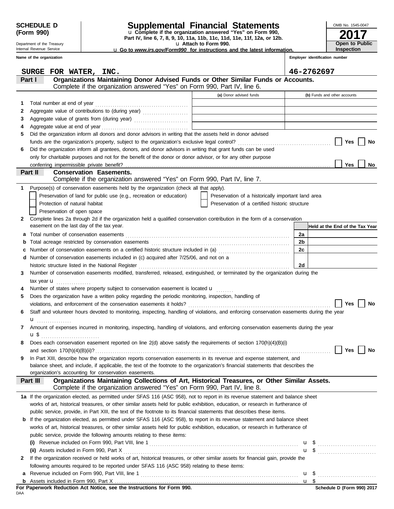Department of the Treasury Internal Revenue Service

### **SCHEDULE D Supplemental Financial Statements**

**Part IV, line 6, 7, 8, 9, 10, 11a, 11b, 11c, 11d, 11e, 11f, 12a, or 12b.** u **Complete if the organization answered "Yes" on Form 990,**

u **Attach to Form 990.**  u **Go to** *www.irs.gov/Form990* **for instructions and the latest information.**

**Employer identification number Inspection**

**2017**

**Open to Public**

OMB No. 1545-0047

|   | Name of the organization                                                                                                                  |                                                    | Employer identification number  |
|---|-------------------------------------------------------------------------------------------------------------------------------------------|----------------------------------------------------|---------------------------------|
|   |                                                                                                                                           |                                                    |                                 |
|   | SURGE FOR WATER, INC.<br>Organizations Maintaining Donor Advised Funds or Other Similar Funds or Accounts.<br>Part I                      |                                                    | 46-2762697                      |
|   | Complete if the organization answered "Yes" on Form 990, Part IV, line 6.                                                                 |                                                    |                                 |
|   |                                                                                                                                           | (a) Donor advised funds                            | (b) Funds and other accounts    |
| 1 | Total number at end of year                                                                                                               |                                                    |                                 |
| 2 |                                                                                                                                           |                                                    |                                 |
| 3 |                                                                                                                                           |                                                    |                                 |
| 4 |                                                                                                                                           |                                                    |                                 |
| 5 | Did the organization inform all donors and donor advisors in writing that the assets held in donor advised                                |                                                    |                                 |
|   |                                                                                                                                           |                                                    | <b>Yes</b><br>No                |
| 6 | Did the organization inform all grantees, donors, and donor advisors in writing that grant funds can be used                              |                                                    |                                 |
|   | only for charitable purposes and not for the benefit of the donor or donor advisor, or for any other purpose                              |                                                    |                                 |
|   |                                                                                                                                           |                                                    | <b>Yes</b><br>No                |
|   | <b>Conservation Easements.</b><br>Part II                                                                                                 |                                                    |                                 |
|   | Complete if the organization answered "Yes" on Form 990, Part IV, line 7.                                                                 |                                                    |                                 |
| 1 | Purpose(s) of conservation easements held by the organization (check all that apply).                                                     |                                                    |                                 |
|   | Preservation of land for public use (e.g., recreation or education)                                                                       | Preservation of a historically important land area |                                 |
|   | Protection of natural habitat                                                                                                             | Preservation of a certified historic structure     |                                 |
|   | Preservation of open space                                                                                                                |                                                    |                                 |
| 2 | Complete lines 2a through 2d if the organization held a qualified conservation contribution in the form of a conservation                 |                                                    |                                 |
|   | easement on the last day of the tax year.                                                                                                 |                                                    | Held at the End of the Tax Year |
| а |                                                                                                                                           |                                                    | 2a                              |
| b |                                                                                                                                           |                                                    | 2 <sub>b</sub>                  |
| с | Number of conservation easements on a certified historic structure included in (a) [[[[[ [ [ ]]]                                          |                                                    | 2c                              |
| d | Number of conservation easements included in (c) acquired after 7/25/06, and not on a                                                     |                                                    |                                 |
|   | Number of conservation easements modified, transferred, released, extinguished, or terminated by the organization during the              |                                                    | 2d                              |
| 3 |                                                                                                                                           |                                                    |                                 |
|   | tax year $\mathbf{u}$<br>Number of states where property subject to conservation easement is located u                                    |                                                    |                                 |
| 5 | Does the organization have a written policy regarding the periodic monitoring, inspection, handling of                                    |                                                    |                                 |
|   |                                                                                                                                           |                                                    | Yes<br>No                       |
| 6 | Staff and volunteer hours devoted to monitoring, inspecting, handling of violations, and enforcing conservation easements during the year |                                                    |                                 |
|   | u                                                                                                                                         |                                                    |                                 |
| 7 | Amount of expenses incurred in monitoring, inspecting, handling of violations, and enforcing conservation easements during the year       |                                                    |                                 |
|   |                                                                                                                                           |                                                    |                                 |
|   | Does each conservation easement reported on line 2(d) above satisfy the requirements of section 170(h)(4)(B)(i)                           |                                                    |                                 |
|   |                                                                                                                                           |                                                    | Yes<br>No                       |
| 9 | In Part XIII, describe how the organization reports conservation easements in its revenue and expense statement, and                      |                                                    |                                 |
|   | balance sheet, and include, if applicable, the text of the footnote to the organization's financial statements that describes the         |                                                    |                                 |
|   | organization's accounting for conservation easements.                                                                                     |                                                    |                                 |
|   | Organizations Maintaining Collections of Art, Historical Treasures, or Other Similar Assets.<br>Part III                                  |                                                    |                                 |
|   | Complete if the organization answered "Yes" on Form 990, Part IV, line 8.                                                                 |                                                    |                                 |
|   | 1a If the organization elected, as permitted under SFAS 116 (ASC 958), not to report in its revenue statement and balance sheet           |                                                    |                                 |
|   | works of art, historical treasures, or other similar assets held for public exhibition, education, or research in furtherance of          |                                                    |                                 |
|   | public service, provide, in Part XIII, the text of the footnote to its financial statements that describes these items.                   |                                                    |                                 |
|   | <b>b</b> If the organization elected, as permitted under SFAS 116 (ASC 958), to report in its revenue statement and balance sheet         |                                                    |                                 |
|   | works of art, historical treasures, or other similar assets held for public exhibition, education, or research in furtherance of          |                                                    |                                 |
|   | public service, provide the following amounts relating to these items:                                                                    |                                                    |                                 |
|   |                                                                                                                                           |                                                    |                                 |
|   |                                                                                                                                           |                                                    | $\mathbf{u}$ \$                 |
| 2 | If the organization received or held works of art, historical treasures, or other similar assets for financial gain, provide the          |                                                    |                                 |
|   | following amounts required to be reported under SFAS 116 (ASC 958) relating to these items:                                               |                                                    |                                 |
| а |                                                                                                                                           |                                                    | u \$                            |
|   |                                                                                                                                           |                                                    |                                 |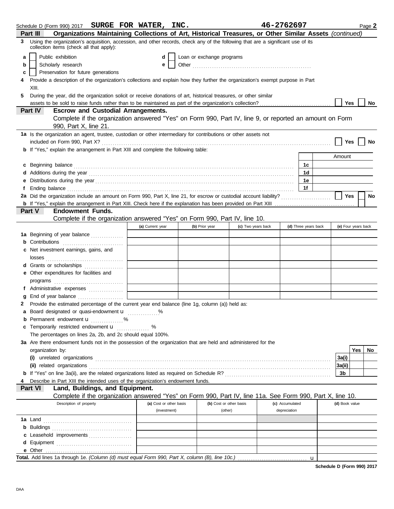|    | Schedule D (Form 990) 2017 SURGE FOR WATER, INC.                                                                                                                                                                               |                         |                |                         | 46-2762697      |                      |                | Page 2              |  |
|----|--------------------------------------------------------------------------------------------------------------------------------------------------------------------------------------------------------------------------------|-------------------------|----------------|-------------------------|-----------------|----------------------|----------------|---------------------|--|
|    | Organizations Maintaining Collections of Art, Historical Treasures, or Other Similar Assets (continued)<br>Part III                                                                                                            |                         |                |                         |                 |                      |                |                     |  |
| 3  | Using the organization's acquisition, accession, and other records, check any of the following that are a significant use of its<br>collection items (check all that apply):                                                   |                         |                |                         |                 |                      |                |                     |  |
| a  | Public exhibition<br>Loan or exchange programs<br>d                                                                                                                                                                            |                         |                |                         |                 |                      |                |                     |  |
| b  | Scholarly research<br>е                                                                                                                                                                                                        |                         |                |                         |                 |                      |                |                     |  |
| c  | Preservation for future generations                                                                                                                                                                                            |                         |                |                         |                 |                      |                |                     |  |
|    | Provide a description of the organization's collections and explain how they further the organization's exempt purpose in Part                                                                                                 |                         |                |                         |                 |                      |                |                     |  |
|    | XIII.                                                                                                                                                                                                                          |                         |                |                         |                 |                      |                |                     |  |
| 5. | During the year, did the organization solicit or receive donations of art, historical treasures, or other similar                                                                                                              |                         |                |                         |                 |                      |                |                     |  |
|    |                                                                                                                                                                                                                                |                         |                |                         |                 |                      | Yes            | No                  |  |
|    | Part IV<br><b>Escrow and Custodial Arrangements.</b>                                                                                                                                                                           |                         |                |                         |                 |                      |                |                     |  |
|    | Complete if the organization answered "Yes" on Form 990, Part IV, line 9, or reported an amount on Form                                                                                                                        |                         |                |                         |                 |                      |                |                     |  |
|    | 990, Part X, line 21.                                                                                                                                                                                                          |                         |                |                         |                 |                      |                |                     |  |
|    | 1a Is the organization an agent, trustee, custodian or other intermediary for contributions or other assets not                                                                                                                |                         |                |                         |                 |                      |                |                     |  |
|    |                                                                                                                                                                                                                                |                         |                |                         |                 |                      | Yes            | No                  |  |
|    | <b>b</b> If "Yes," explain the arrangement in Part XIII and complete the following table:                                                                                                                                      |                         |                |                         |                 |                      | Amount         |                     |  |
|    |                                                                                                                                                                                                                                |                         |                |                         |                 |                      |                |                     |  |
|    | c Beginning balance                                                                                                                                                                                                            |                         |                |                         |                 | 1с                   |                |                     |  |
|    |                                                                                                                                                                                                                                |                         |                |                         |                 | 1 <sub>d</sub><br>1e |                |                     |  |
|    |                                                                                                                                                                                                                                |                         |                |                         |                 | 1f                   |                |                     |  |
|    | Ending balance contains and a series of the contact of the contact of the contact of the contact of the contact of the contact of the contact of the contact of the contact of the contact of the contact of the contact of th |                         |                |                         |                 |                      | Yes            |                     |  |
|    |                                                                                                                                                                                                                                |                         |                |                         |                 |                      |                | <b>No</b>           |  |
|    | <b>Endowment Funds.</b><br>Part V                                                                                                                                                                                              |                         |                |                         |                 |                      |                |                     |  |
|    | Complete if the organization answered "Yes" on Form 990, Part IV, line 10.                                                                                                                                                     |                         |                |                         |                 |                      |                |                     |  |
|    |                                                                                                                                                                                                                                | (a) Current year        | (b) Prior year | (c) Two years back      |                 | (d) Three years back |                | (e) Four years back |  |
|    |                                                                                                                                                                                                                                |                         |                |                         |                 |                      |                |                     |  |
|    | <b>1a</b> Beginning of year balance                                                                                                                                                                                            |                         |                |                         |                 |                      |                |                     |  |
|    | Contributions <b>Contributions</b>                                                                                                                                                                                             |                         |                |                         |                 |                      |                |                     |  |
| c  | Net investment earnings, gains, and                                                                                                                                                                                            |                         |                |                         |                 |                      |                |                     |  |
|    | d Grants or scholarships                                                                                                                                                                                                       |                         |                |                         |                 |                      |                |                     |  |
|    |                                                                                                                                                                                                                                |                         |                |                         |                 |                      |                |                     |  |
|    | e Other expenditures for facilities and                                                                                                                                                                                        |                         |                |                         |                 |                      |                |                     |  |
|    |                                                                                                                                                                                                                                |                         |                |                         |                 |                      |                |                     |  |
|    | f Administrative expenses                                                                                                                                                                                                      |                         |                |                         |                 |                      |                |                     |  |
| 2  | End of year balance <i>[[[[[[[[[[[[[[[[[[[[[[[[[[[[[]]</i> ]]]]<br>Provide the estimated percentage of the current year end balance (line 1g, column (a)) held as:                                                             |                         |                |                         |                 |                      |                |                     |  |
|    |                                                                                                                                                                                                                                |                         |                |                         |                 |                      |                |                     |  |
|    | <b>b</b> Permanent endowment $\mathbf{u}$ %                                                                                                                                                                                    |                         |                |                         |                 |                      |                |                     |  |
|    | c Temporarily restricted endowment <b>u</b>                                                                                                                                                                                    | %                       |                |                         |                 |                      |                |                     |  |
|    | The percentages on lines 2a, 2b, and 2c should equal 100%.                                                                                                                                                                     |                         |                |                         |                 |                      |                |                     |  |
|    | 3a Are there endowment funds not in the possession of the organization that are held and administered for the                                                                                                                  |                         |                |                         |                 |                      |                |                     |  |
|    | organization by:                                                                                                                                                                                                               |                         |                |                         |                 |                      |                | Yes<br>No           |  |
|    |                                                                                                                                                                                                                                |                         |                |                         |                 |                      | 3a(i)          |                     |  |
|    |                                                                                                                                                                                                                                |                         |                |                         |                 |                      | 3a(ii)         |                     |  |
|    |                                                                                                                                                                                                                                |                         |                |                         |                 |                      | 3b             |                     |  |
|    | Describe in Part XIII the intended uses of the organization's endowment funds.                                                                                                                                                 |                         |                |                         |                 |                      |                |                     |  |
|    | Land, Buildings, and Equipment.<br>Part VI                                                                                                                                                                                     |                         |                |                         |                 |                      |                |                     |  |
|    | Complete if the organization answered "Yes" on Form 990, Part IV, line 11a. See Form 990, Part X, line 10.                                                                                                                     |                         |                |                         |                 |                      |                |                     |  |
|    | Description of property                                                                                                                                                                                                        | (a) Cost or other basis |                | (b) Cost or other basis | (c) Accumulated |                      | (d) Book value |                     |  |
|    |                                                                                                                                                                                                                                | (investment)            |                | (other)                 | depreciation    |                      |                |                     |  |
|    |                                                                                                                                                                                                                                |                         |                |                         |                 |                      |                |                     |  |
|    |                                                                                                                                                                                                                                |                         |                |                         |                 |                      |                |                     |  |
|    | c Leasehold improvements                                                                                                                                                                                                       |                         |                |                         |                 |                      |                |                     |  |
|    |                                                                                                                                                                                                                                |                         |                |                         |                 |                      |                |                     |  |
|    | e Other                                                                                                                                                                                                                        |                         |                |                         |                 |                      |                |                     |  |
|    |                                                                                                                                                                                                                                |                         |                |                         |                 | $\mathbf{u}$         |                |                     |  |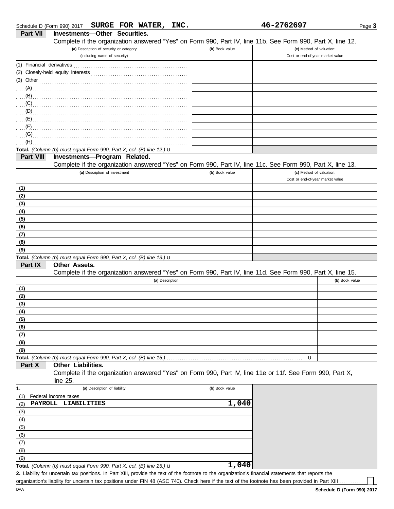|            | Schedule D (Form 990) 2017 SURGE FOR WATER, INC.                                                           |                | 46-2762697                       | Page 3         |
|------------|------------------------------------------------------------------------------------------------------------|----------------|----------------------------------|----------------|
| Part VII   | Investments-Other Securities.                                                                              |                |                                  |                |
|            | Complete if the organization answered "Yes" on Form 990, Part IV, line 11b. See Form 990, Part X, line 12. |                |                                  |                |
|            | (a) Description of security or category                                                                    | (b) Book value | (c) Method of valuation:         |                |
|            | (including name of security)                                                                               |                | Cost or end-of-year market value |                |
|            |                                                                                                            |                |                                  |                |
|            |                                                                                                            |                |                                  |                |
|            | (3) Other $\ldots$ and $\ldots$ and $\ldots$ and $\ldots$                                                  |                |                                  |                |
| (A)        |                                                                                                            |                |                                  |                |
| (B)        |                                                                                                            |                |                                  |                |
| (C)        |                                                                                                            |                |                                  |                |
| (D)        |                                                                                                            |                |                                  |                |
| (E)        |                                                                                                            |                |                                  |                |
| (F)        |                                                                                                            |                |                                  |                |
| (G)        |                                                                                                            |                |                                  |                |
| (H)        |                                                                                                            |                |                                  |                |
|            | Total. (Column (b) must equal Form 990, Part X, col. (B) line 12.) $\mathbf u$                             |                |                                  |                |
| Part VIII  | Investments-Program Related.                                                                               |                |                                  |                |
|            | Complete if the organization answered "Yes" on Form 990, Part IV, line 11c. See Form 990, Part X, line 13. |                |                                  |                |
|            | (a) Description of investment                                                                              | (b) Book value | (c) Method of valuation:         |                |
|            |                                                                                                            |                | Cost or end-of-year market value |                |
| (1)        |                                                                                                            |                |                                  |                |
| (2)        |                                                                                                            |                |                                  |                |
| (3)        |                                                                                                            |                |                                  |                |
| (4)        |                                                                                                            |                |                                  |                |
| (5)        |                                                                                                            |                |                                  |                |
| (6)        |                                                                                                            |                |                                  |                |
| (7)        |                                                                                                            |                |                                  |                |
| (8)        |                                                                                                            |                |                                  |                |
| (9)        |                                                                                                            |                |                                  |                |
|            | Total. (Column (b) must equal Form 990, Part X, col. (B) line 13.) $\mathbf u$                             |                |                                  |                |
| Part IX    | Other Assets.                                                                                              |                |                                  |                |
|            | Complete if the organization answered "Yes" on Form 990, Part IV, line 11d. See Form 990, Part X, line 15. |                |                                  |                |
|            | (a) Description                                                                                            |                |                                  | (b) Book value |
| (1)        |                                                                                                            |                |                                  |                |
| (2)        |                                                                                                            |                |                                  |                |
| (3)        |                                                                                                            |                |                                  |                |
| <u>(4)</u> |                                                                                                            |                |                                  |                |
| (5)        |                                                                                                            |                |                                  |                |
| (6)        |                                                                                                            |                |                                  |                |
| (7)        |                                                                                                            |                |                                  |                |
| (8)        |                                                                                                            |                |                                  |                |
| (9)        |                                                                                                            |                |                                  |                |
|            | Total. (Column (b) must equal Form 990, Part X, col. (B) line 15.)                                         |                | u                                |                |
| Part X     | Other Liabilities.                                                                                         |                |                                  |                |
|            | Complete if the organization answered "Yes" on Form 990, Part IV, line 11e or 11f. See Form 990, Part X,   |                |                                  |                |
|            | line 25.                                                                                                   |                |                                  |                |
| 1.         | (a) Description of liability                                                                               | (b) Book value |                                  |                |
| (1)        | Federal income taxes                                                                                       |                |                                  |                |
| (2)        | PAYROLL LIABILITIES                                                                                        | 1,040          |                                  |                |
| (3)        |                                                                                                            |                |                                  |                |
| (4)        |                                                                                                            |                |                                  |                |
| (5)        |                                                                                                            |                |                                  |                |
| (6)        |                                                                                                            |                |                                  |                |
| (7)        |                                                                                                            |                |                                  |                |
| (8)        |                                                                                                            |                |                                  |                |
| (9)        |                                                                                                            |                |                                  |                |

| <b>Total.</b> (Column (b) must equal Form 990, Part X, col. (B) line 25.) $\mathbf{u}$                                                               | 1,040 |  |
|------------------------------------------------------------------------------------------------------------------------------------------------------|-------|--|
| 2. Liability for uncertain tax positions. In Part XIII, provide the text of the footnote to the organization's financial statements that reports the |       |  |

organization's liability for uncertain tax positions under FIN 48 (ASC 740). Check here if the text of the footnote has been provided in Part XIII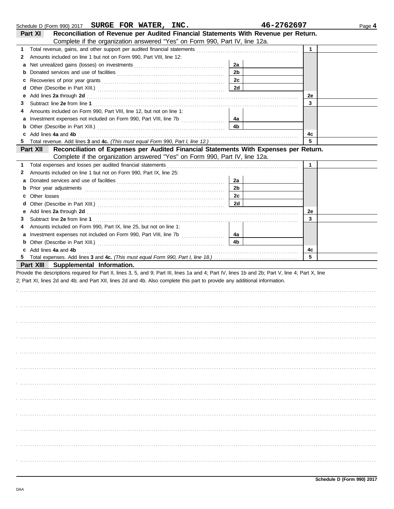|    | Schedule D (Form 990) 2017 SURGE FOR WATER, INC.                                                                                                                                                                              |                | 46-2762697   | Page 4 |
|----|-------------------------------------------------------------------------------------------------------------------------------------------------------------------------------------------------------------------------------|----------------|--------------|--------|
|    | Reconciliation of Revenue per Audited Financial Statements With Revenue per Return.<br>Part XI                                                                                                                                |                |              |        |
|    | Complete if the organization answered "Yes" on Form 990, Part IV, line 12a.                                                                                                                                                   |                |              |        |
| 1. |                                                                                                                                                                                                                               |                | $\mathbf{1}$ |        |
| 2  | Amounts included on line 1 but not on Form 990, Part VIII, line 12:                                                                                                                                                           |                |              |        |
| а  |                                                                                                                                                                                                                               | 2a             |              |        |
| b  |                                                                                                                                                                                                                               | 2 <sub>b</sub> |              |        |
| с  |                                                                                                                                                                                                                               | 2c             |              |        |
| d  |                                                                                                                                                                                                                               | 2d             |              |        |
| е  | Add lines 2a through 2d [11] Add [12] Add [12] Add lines 2a through 2d [12] Add lines 2a through 2d [12] Add [12] Add [12] Add [12] Add [12] Add [12] Add [12] Add [12] Add [12] Add [12] Add [12] Add [12] Add [12] Add [12] |                | 2e           |        |
| З  |                                                                                                                                                                                                                               |                | 3            |        |
| 4  | Amounts included on Form 990, Part VIII, line 12, but not on line 1:                                                                                                                                                          |                |              |        |
| а  |                                                                                                                                                                                                                               | 4a             |              |        |
| b  |                                                                                                                                                                                                                               | 4b             |              |        |
|    | Add lines 4a and 4b                                                                                                                                                                                                           |                | 4c           |        |
| 5  |                                                                                                                                                                                                                               |                | 5            |        |
|    | Reconciliation of Expenses per Audited Financial Statements With Expenses per Return.<br>Part XII                                                                                                                             |                |              |        |
|    | Complete if the organization answered "Yes" on Form 990, Part IV, line 12a.                                                                                                                                                   |                |              |        |
| 1. | Total expenses and losses per audited financial statements                                                                                                                                                                    |                | 1            |        |
| 2  | Amounts included on line 1 but not on Form 990, Part IX, line 25:                                                                                                                                                             |                |              |        |
| а  |                                                                                                                                                                                                                               | 2a             |              |        |
| b  |                                                                                                                                                                                                                               | 2 <sub>b</sub> |              |        |
| с  |                                                                                                                                                                                                                               | 2c             |              |        |
| d  |                                                                                                                                                                                                                               | 2d             |              |        |
| е  |                                                                                                                                                                                                                               |                | 2e           |        |
| 3  |                                                                                                                                                                                                                               |                | 3            |        |
| 4  | Amounts included on Form 990, Part IX, line 25, but not on line 1:                                                                                                                                                            |                |              |        |
| а  |                                                                                                                                                                                                                               | 4a<br>4b       |              |        |
| b  | Add lines 4a and 4b                                                                                                                                                                                                           |                | 4c           |        |
| 5  |                                                                                                                                                                                                                               |                | 5            |        |
|    | Part XIII Supplemental Information.                                                                                                                                                                                           |                |              |        |
|    | Provide the descriptions required for Part II, lines 3, 5, and 9; Part III, lines 1a and 4; Part IV, lines 1b and 2b; Part V, line 4; Part X, line                                                                            |                |              |        |
|    | 2; Part XI, lines 2d and 4b; and Part XII, lines 2d and 4b. Also complete this part to provide any additional information.                                                                                                    |                |              |        |
|    |                                                                                                                                                                                                                               |                |              |        |
|    |                                                                                                                                                                                                                               |                |              |        |
|    |                                                                                                                                                                                                                               |                |              |        |
|    |                                                                                                                                                                                                                               |                |              |        |
|    |                                                                                                                                                                                                                               |                |              |        |
|    |                                                                                                                                                                                                                               |                |              |        |
|    |                                                                                                                                                                                                                               |                |              |        |
|    |                                                                                                                                                                                                                               |                |              |        |
|    |                                                                                                                                                                                                                               |                |              |        |
|    |                                                                                                                                                                                                                               |                |              |        |
|    |                                                                                                                                                                                                                               |                |              |        |
|    |                                                                                                                                                                                                                               |                |              |        |
|    |                                                                                                                                                                                                                               |                |              |        |
|    |                                                                                                                                                                                                                               |                |              |        |
|    |                                                                                                                                                                                                                               |                |              |        |
|    |                                                                                                                                                                                                                               |                |              |        |
|    |                                                                                                                                                                                                                               |                |              |        |
|    |                                                                                                                                                                                                                               |                |              |        |
|    |                                                                                                                                                                                                                               |                |              |        |
|    |                                                                                                                                                                                                                               |                |              |        |
|    |                                                                                                                                                                                                                               |                |              |        |
|    |                                                                                                                                                                                                                               |                |              |        |
|    |                                                                                                                                                                                                                               |                |              |        |
|    |                                                                                                                                                                                                                               |                |              |        |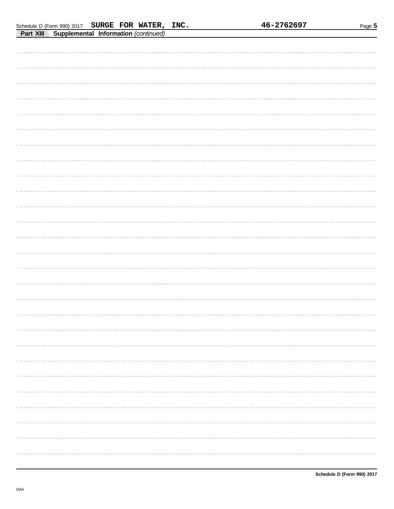| Schedule D (Form 990) 2017 SURGE FOR WATER, INC.      |  |  | 46-2762697 | Page 5 |
|-------------------------------------------------------|--|--|------------|--------|
| <b>Part XIII Supplemental Information (continued)</b> |  |  |            |        |
|                                                       |  |  |            |        |
|                                                       |  |  |            |        |
|                                                       |  |  |            |        |
|                                                       |  |  |            |        |
|                                                       |  |  |            |        |
|                                                       |  |  |            |        |
|                                                       |  |  |            |        |
|                                                       |  |  |            |        |
|                                                       |  |  |            |        |
|                                                       |  |  |            |        |
|                                                       |  |  |            |        |
|                                                       |  |  |            |        |
|                                                       |  |  |            |        |
|                                                       |  |  |            |        |
|                                                       |  |  |            |        |
|                                                       |  |  |            |        |
|                                                       |  |  |            |        |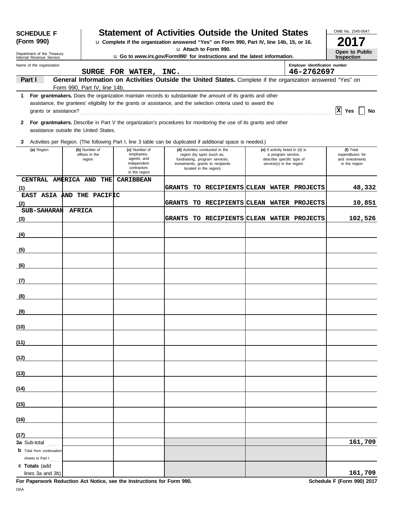| <b>SCHEDULE F</b>                                      |                                           |                                                                                           |               | <b>Statement of Activities Outside the United States</b>                                                                                                                                                                       |                                                                                                                 |                                              | OMB No. 1545-0047                                                 |
|--------------------------------------------------------|-------------------------------------------|-------------------------------------------------------------------------------------------|---------------|--------------------------------------------------------------------------------------------------------------------------------------------------------------------------------------------------------------------------------|-----------------------------------------------------------------------------------------------------------------|----------------------------------------------|-------------------------------------------------------------------|
| (Form 990)                                             |                                           |                                                                                           |               | u Complete if the organization answered "Yes" on Form 990, Part IV, line 14b, 15, or 16.                                                                                                                                       |                                                                                                                 |                                              |                                                                   |
| Department of the Treasury<br>Internal Revenue Service |                                           |                                                                                           |               | u Attach to Form 990.<br><b>u</b> Go to www.irs.gov/Form990 for instructions and the latest information.                                                                                                                       |                                                                                                                 |                                              | Open to Public<br><b>Inspection</b>                               |
| Name of the organization                               |                                           | SURGE FOR WATER, INC.                                                                     |               |                                                                                                                                                                                                                                |                                                                                                                 | Employer identification number<br>46-2762697 |                                                                   |
| Part I                                                 |                                           |                                                                                           |               | General Information on Activities Outside the United States. Complete if the organization answered "Yes" on                                                                                                                    |                                                                                                                 |                                              |                                                                   |
| 1                                                      | Form 990, Part IV, line 14b.              |                                                                                           |               | For grantmakers. Does the organization maintain records to substantiate the amount of its grants and other<br>assistance, the grantees' eligibility for the grants or assistance, and the selection criteria used to award the |                                                                                                                 |                                              |                                                                   |
| grants or assistance?                                  |                                           |                                                                                           |               |                                                                                                                                                                                                                                |                                                                                                                 |                                              | $ {\bf x} $<br>Yes<br>No                                          |
| $\mathbf{2}$<br>assistance outside the United States.  |                                           |                                                                                           |               | For grantmakers. Describe in Part V the organization's procedures for monitoring the use of its grants and other                                                                                                               |                                                                                                                 |                                              |                                                                   |
| 3                                                      |                                           |                                                                                           |               | Activities per Region. (The following Part I, line 3 table can be duplicated if additional space is needed.)                                                                                                                   |                                                                                                                 |                                              |                                                                   |
| (a) Region                                             | (b) Number of<br>offices in the<br>region | (c) Number of<br>employees,<br>agents, and<br>independent<br>contractors<br>in the region |               | (d) Activities conducted in the<br>region (by type) (such as,<br>fundraising, program services,<br>investments, grants to recipients<br>located in the region)                                                                 | (e) If activity listed in (d) is<br>a program service,<br>describe specific type of<br>service(s) in the region |                                              | (f) Total<br>expenditures for<br>and investments<br>in the region |
| CENTRAL AMERICA AND THE<br>(1)                         |                                           | <b>CARIBBEAN</b>                                                                          | <b>GRANTS</b> | TO RECIPIENTS CLEAN WATER PROJECTS                                                                                                                                                                                             |                                                                                                                 |                                              | 48,332                                                            |
| EAST ASIA AND THE PACIFIC                              |                                           |                                                                                           |               |                                                                                                                                                                                                                                |                                                                                                                 |                                              |                                                                   |
| (2)<br>SUB-SAHARAN AFRICA                              |                                           |                                                                                           | <b>GRANTS</b> | TO RECIPIENTS CLEAN WATER PROJECTS                                                                                                                                                                                             |                                                                                                                 |                                              | 10,851                                                            |
| <u>(3)</u>                                             |                                           |                                                                                           | <b>GRANTS</b> | TO RECIPIENTS CLEAN WATER PROJECTS                                                                                                                                                                                             |                                                                                                                 |                                              | 102,526                                                           |
| (4)                                                    |                                           |                                                                                           |               |                                                                                                                                                                                                                                |                                                                                                                 |                                              |                                                                   |
| (5)                                                    |                                           |                                                                                           |               |                                                                                                                                                                                                                                |                                                                                                                 |                                              |                                                                   |
| (6)                                                    |                                           |                                                                                           |               |                                                                                                                                                                                                                                |                                                                                                                 |                                              |                                                                   |
| (7)                                                    |                                           |                                                                                           |               |                                                                                                                                                                                                                                |                                                                                                                 |                                              |                                                                   |
|                                                        |                                           |                                                                                           |               |                                                                                                                                                                                                                                |                                                                                                                 |                                              |                                                                   |
| (8)                                                    |                                           |                                                                                           |               |                                                                                                                                                                                                                                |                                                                                                                 |                                              |                                                                   |
| <u>(9)</u>                                             |                                           |                                                                                           |               |                                                                                                                                                                                                                                |                                                                                                                 |                                              |                                                                   |
| (10)                                                   |                                           |                                                                                           |               |                                                                                                                                                                                                                                |                                                                                                                 |                                              |                                                                   |
| (11)                                                   |                                           |                                                                                           |               |                                                                                                                                                                                                                                |                                                                                                                 |                                              |                                                                   |
| (12)                                                   |                                           |                                                                                           |               |                                                                                                                                                                                                                                |                                                                                                                 |                                              |                                                                   |
| (13)                                                   |                                           |                                                                                           |               |                                                                                                                                                                                                                                |                                                                                                                 |                                              |                                                                   |
| (14)                                                   |                                           |                                                                                           |               |                                                                                                                                                                                                                                |                                                                                                                 |                                              |                                                                   |
| (15)                                                   |                                           |                                                                                           |               |                                                                                                                                                                                                                                |                                                                                                                 |                                              |                                                                   |
| (16)                                                   |                                           |                                                                                           |               |                                                                                                                                                                                                                                |                                                                                                                 |                                              |                                                                   |
| (17)                                                   |                                           |                                                                                           |               |                                                                                                                                                                                                                                |                                                                                                                 |                                              |                                                                   |
| <b>3a</b> Sub-total                                    |                                           |                                                                                           |               |                                                                                                                                                                                                                                |                                                                                                                 |                                              | 161,709                                                           |
| <b>b</b> Total from continuation<br>sheets to Part I   |                                           |                                                                                           |               |                                                                                                                                                                                                                                |                                                                                                                 |                                              |                                                                   |
| c Totals (add<br>lines 3a and 3b)                      |                                           |                                                                                           |               |                                                                                                                                                                                                                                |                                                                                                                 |                                              | 161,709                                                           |

**For Paperwork Reduction Act Notice, see the Instructions for Form 990.** Schedule F (Form 990) 2017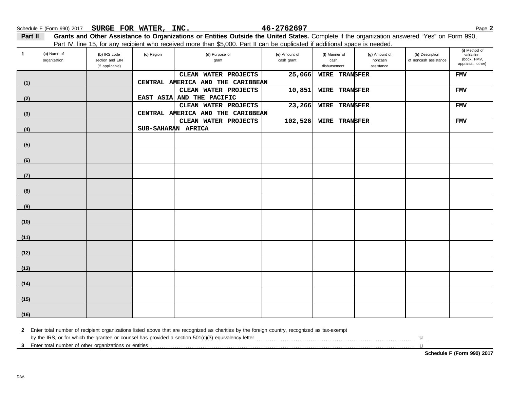Part II Grants and Other Assistance to Organizations or Entities Outside the United States. Complete if the organization answered "Yes" on Form 990, Part IV, line 15, for any recipient who received more than \$5,000. Part II can be duplicated if additional space is needed.

| $\mathbf{1}$ | (a) Name of<br>organization | (b) IRS code<br>section and EIN<br>(if applicable) | (c) Region         | (d) Purpose of<br>grant           | (e) Amount of<br>cash grant | ---------<br>(f) Manner of<br>cash<br>disbursement | <br>(g) Amount of<br>noncash<br>assistance | (h) Description<br>of noncash assistance | (i) Method of<br>valuation<br>(book, FMV,<br>appraisal, other) |
|--------------|-----------------------------|----------------------------------------------------|--------------------|-----------------------------------|-----------------------------|----------------------------------------------------|--------------------------------------------|------------------------------------------|----------------------------------------------------------------|
|              |                             |                                                    |                    | CLEAN WATER PROJECTS              | 25,066                      | <b>WIRE TRANSFER</b>                               |                                            |                                          | <b>FMV</b>                                                     |
|              |                             |                                                    |                    | CENTRAL AMERICA AND THE CARIBBEAN |                             |                                                    |                                            |                                          |                                                                |
| (1)          |                             |                                                    |                    | CLEAN WATER PROJECTS              | 10,851                      | WIRE TRANSFER                                      |                                            |                                          | <b>FMV</b>                                                     |
| (2)          |                             |                                                    |                    | EAST ASIA AND THE PACIFIC         |                             |                                                    |                                            |                                          |                                                                |
|              |                             |                                                    |                    | CLEAN WATER PROJECTS              | 23,266                      | WIRE TRANSFER                                      |                                            |                                          | <b>FMV</b>                                                     |
| (3)          |                             |                                                    |                    | CENTRAL AMERICA AND THE CARIBBEAN |                             |                                                    |                                            |                                          |                                                                |
|              |                             |                                                    |                    | CLEAN WATER PROJECTS              | 102,526                     | WIRE TRANSFER                                      |                                            |                                          | <b>FMV</b>                                                     |
| (4)          |                             |                                                    | SUB-SAHARAN AFRICA |                                   |                             |                                                    |                                            |                                          |                                                                |
|              |                             |                                                    |                    |                                   |                             |                                                    |                                            |                                          |                                                                |
| (5)          |                             |                                                    |                    |                                   |                             |                                                    |                                            |                                          |                                                                |
|              |                             |                                                    |                    |                                   |                             |                                                    |                                            |                                          |                                                                |
| (6)          |                             |                                                    |                    |                                   |                             |                                                    |                                            |                                          |                                                                |
|              |                             |                                                    |                    |                                   |                             |                                                    |                                            |                                          |                                                                |
| (7)          |                             |                                                    |                    |                                   |                             |                                                    |                                            |                                          |                                                                |
|              |                             |                                                    |                    |                                   |                             |                                                    |                                            |                                          |                                                                |
| (8)          |                             |                                                    |                    |                                   |                             |                                                    |                                            |                                          |                                                                |
| (9)          |                             |                                                    |                    |                                   |                             |                                                    |                                            |                                          |                                                                |
|              |                             |                                                    |                    |                                   |                             |                                                    |                                            |                                          |                                                                |
| (10)         |                             |                                                    |                    |                                   |                             |                                                    |                                            |                                          |                                                                |
| (11)         |                             |                                                    |                    |                                   |                             |                                                    |                                            |                                          |                                                                |
|              |                             |                                                    |                    |                                   |                             |                                                    |                                            |                                          |                                                                |
| (12)         |                             |                                                    |                    |                                   |                             |                                                    |                                            |                                          |                                                                |
|              |                             |                                                    |                    |                                   |                             |                                                    |                                            |                                          |                                                                |
| (13)         |                             |                                                    |                    |                                   |                             |                                                    |                                            |                                          |                                                                |
| (14)         |                             |                                                    |                    |                                   |                             |                                                    |                                            |                                          |                                                                |
|              |                             |                                                    |                    |                                   |                             |                                                    |                                            |                                          |                                                                |
| (15)         |                             |                                                    |                    |                                   |                             |                                                    |                                            |                                          |                                                                |
| (16)         |                             |                                                    |                    |                                   |                             |                                                    |                                            |                                          |                                                                |

**2** Enter total number of recipient organizations listed above that are recognized as charities by the foreign country, recognized as tax-exempt

**3** Enter total number of other organizations or entities . . . . . . . . . . . . . . . . . . . . . . . . . . . . . . . . . . . . . . . . . . . . . . . . . . . . . . . . . . . . . . . . . . . . . . . . . . . . . . . . . . . . . . . . . . . . . . . . . . . . . . . . . . . . . . . . . . . . . . . . . .

by the IRS, or for which the grantee or counsel has provided a section 501(c)(3) equivalency letter . . . . . . . . . . . . . . . . . . . . . . . . . . . . . . . . . . . . . . . . . . . . . . . . . . . . . . . . . . . . . . . . . . . . . . . . . u

u

**Schedule F (Form 990) 2017**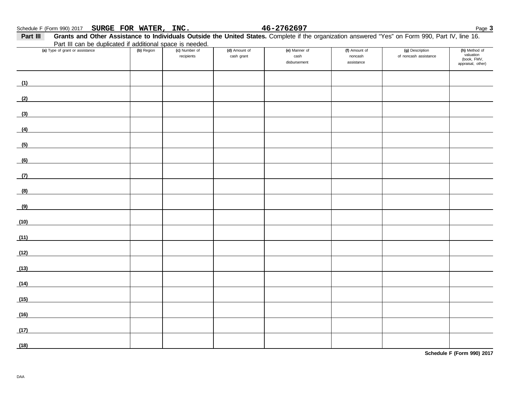| Part III | Grants and Other Assistance to Individuals Outside the United States. Complete if the organization answered "Yes" on Form 990, Part IV, line 16. |            |                             |                             |                                       |                                        |                                          |                                                                |
|----------|--------------------------------------------------------------------------------------------------------------------------------------------------|------------|-----------------------------|-----------------------------|---------------------------------------|----------------------------------------|------------------------------------------|----------------------------------------------------------------|
|          | Part III can be duplicated if additional space is needed.                                                                                        |            |                             |                             |                                       |                                        |                                          |                                                                |
|          | (a) Type of grant or assistance                                                                                                                  | (b) Region | (c) Number of<br>recipients | (d) Amount of<br>cash grant | (e) Manner of<br>cash<br>disbursement | (f) Amount of<br>noncash<br>assistance | (g) Description<br>of noncash assistance | (h) Method of<br>valuation<br>(book, FMV,<br>appraisal, other) |
| (1)      |                                                                                                                                                  |            |                             |                             |                                       |                                        |                                          |                                                                |
| (2)      |                                                                                                                                                  |            |                             |                             |                                       |                                        |                                          |                                                                |
|          |                                                                                                                                                  |            |                             |                             |                                       |                                        |                                          |                                                                |

| (3)  |  |  |  |  |
|------|--|--|--|--|
| (4)  |  |  |  |  |
| (5)  |  |  |  |  |
|      |  |  |  |  |
| (6)  |  |  |  |  |
| (7)  |  |  |  |  |
| (8)  |  |  |  |  |
| (9)  |  |  |  |  |
| (10) |  |  |  |  |
| (11) |  |  |  |  |
| (12) |  |  |  |  |
| (13) |  |  |  |  |
| (14) |  |  |  |  |
| (15) |  |  |  |  |
| (16) |  |  |  |  |
| (17) |  |  |  |  |
| (18) |  |  |  |  |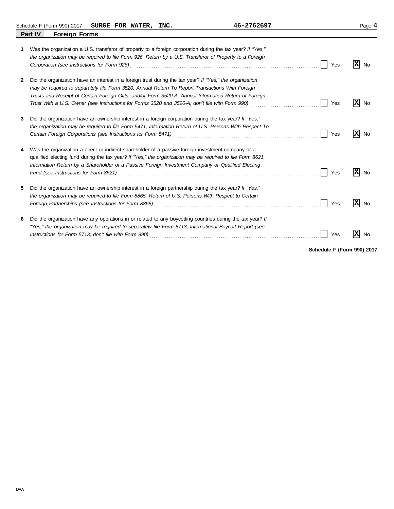Schedule F (Form 990) 2017 Page **4 SURGE FOR WATER, INC. 46-2762697**

|   | Part IV<br><b>Foreign Forms</b>                                                                                                                                                                                                                                                                                                                                                                                        |     |                 |
|---|------------------------------------------------------------------------------------------------------------------------------------------------------------------------------------------------------------------------------------------------------------------------------------------------------------------------------------------------------------------------------------------------------------------------|-----|-----------------|
| 1 | Was the organization a U.S. transferor of property to a foreign corporation during the tax year? If "Yes,"<br>the organization may be required to file Form 926, Return by a U.S. Transferor of Property to a Foreign                                                                                                                                                                                                  | Yes | x <br><b>No</b> |
| 2 | Did the organization have an interest in a foreign trust during the tax year? If "Yes," the organization<br>may be required to separately file Form 3520, Annual Return To Report Transactions With Foreign<br>Trusts and Receipt of Certain Foreign Gifts, and/or Form 3520-A, Annual Information Return of Foreign<br>Trust With a U.S. Owner (see Instructions for Forms 3520 and 3520-A; don't file with Form 990) | Yes | x <br>No        |
| 3 | Did the organization have an ownership interest in a foreign corporation during the tax year? If "Yes,"<br>the organization may be required to file Form 5471, Information Return of U.S. Persons With Respect To<br>Certain Foreign Corporations (see Instructions for Form 5471) [2010] [2010] [2010] [2010] [2010] [2010] [2010                                                                                     | Yes | x <br><b>No</b> |
|   | Was the organization a direct or indirect shareholder of a passive foreign investment company or a<br>qualified electing fund during the tax year? If "Yes," the organization may be required to file Form 8621,<br>Information Return by a Shareholder of a Passive Foreign Investment Company or Qualified Electing<br>Fund (see Instructions for Form 8621)                                                         | Yes | X <br>No        |
| 5 | Did the organization have an ownership interest in a foreign partnership during the tax year? If "Yes,"<br>the organization may be required to file Form 8865, Return of U.S. Persons With Respect to Certain                                                                                                                                                                                                          | Yes | ΙX<br>No        |
| 6 | Did the organization have any operations in or related to any boycotting countries during the tax year? If<br>"Yes," the organization may be required to separately file Form 5713, International Boycott Report (see                                                                                                                                                                                                  | Yes | x<br><b>No</b>  |

**Schedule F (Form 990) 2017**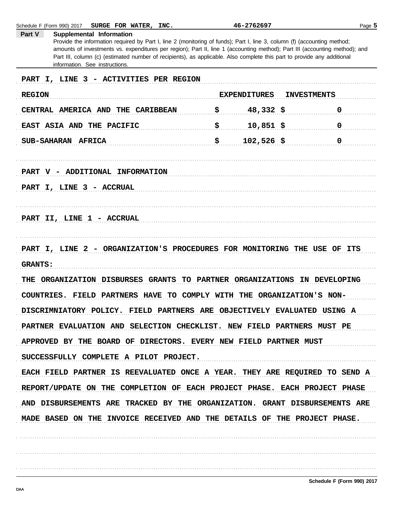Provide the information required by Part I, line 2 (monitoring of funds); Part I, line 3, column (f) (accounting method; amounts of investments vs. expenditures per region); Part II, line 1 (accounting method); Part III (accounting method); and Part III, column (c) (estimated number of recipients), as applicable. Also complete this part to provide any additional information. See instructions. PART I, LINE 3 - ACTIVITIES PER REGION EXPENDITURES INVESTMENTS **REGION** CENTRAL AMERICA AND THE CARIBBEAN  $\zeta$  48,332  $\zeta$  0 EAST ASIA AND THE PACIFIC  $\qquad \qquad$   $\qquad \qquad$  10,851 \$  $SUB-SAHARAN$  AFRICA  $\uparrow$  102,526  $\uparrow$  0 PART V - ADDITIONAL INFORMATION PART I, LINE 3 - ACCRUAL PART II, LINE 1 - ACCRUAL PART I, LINE 2 - ORGANIZATION'S PROCEDURES FOR MONITORING THE USE OF ITS **GRANTS:** THE ORGANIZATION DISBURSES GRANTS TO PARTNER ORGANIZATIONS IN DEVELOPING COUNTRIES. FIELD PARTNERS HAVE TO COMPLY WITH THE ORGANIZATION'S NON-DISCRIMNIATORY POLICY. FIELD PARTNERS ARE OBJECTIVELY EVALUATED USING A PARTNER EVALUATION AND SELECTION CHECKLIST. NEW FIELD PARTNERS MUST PE APPROVED BY THE BOARD OF DIRECTORS. EVERY NEW FIELD PARTNER MUST SUCCESSFULLY COMPLETE A PILOT PROJECT. EACH FIELD PARTNER IS REEVALUATED ONCE A YEAR. THEY ARE REQUIRED TO SEND A REPORT/UPDATE ON THE COMPLETION OF EACH PROJECT PHASE. EACH PROJECT PHASE AND DISBURSEMENTS ARE TRACKED BY THE ORGANIZATION. GRANT DISBURSEMENTS ARE MADE BASED ON THE INVOICE RECEIVED AND THE DETAILS OF THE PROJECT PHASE.

46-2762697

Page 5

Schedule F (Form 990) 2017

Part V

SURGE FOR WATER, INC.

Supplemental Information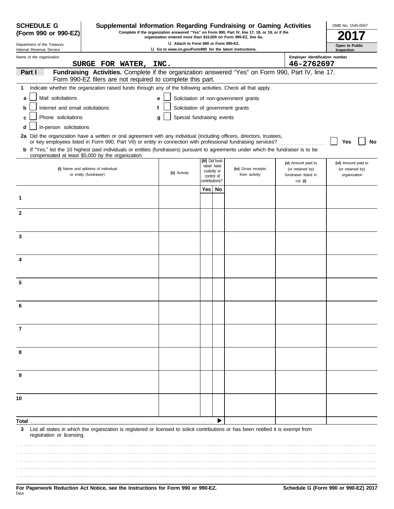| <b>SCHEDULE G</b><br>(Form 990 or 990-EZ)              | Supplemental Information Regarding Fundraising or Gaming Activities                                                                                                                                                                                     | organization entered more than \$15,000 on Form 990-EZ, line 6a.                                         |      |                                | Complete if the organization answered "Yes" on Form 990, Part IV, line 17, 18, or 19, or if the |                                        | OMB No. 1545-0047                |
|--------------------------------------------------------|---------------------------------------------------------------------------------------------------------------------------------------------------------------------------------------------------------------------------------------------------------|----------------------------------------------------------------------------------------------------------|------|--------------------------------|-------------------------------------------------------------------------------------------------|----------------------------------------|----------------------------------|
| Department of the Treasury<br>Internal Revenue Service |                                                                                                                                                                                                                                                         | LI Attach to Form 990 or Form 990-EZ.<br><b>U</b> Go to www.irs.gov/Form990 for the latest instructions. |      |                                |                                                                                                 |                                        | Open to Public                   |
| Name of the organization                               |                                                                                                                                                                                                                                                         |                                                                                                          |      |                                |                                                                                                 | Employer identification number         | Inspection                       |
|                                                        | SURGE FOR WATER,                                                                                                                                                                                                                                        | INC.                                                                                                     |      |                                |                                                                                                 | 46-2762697                             |                                  |
| Part I                                                 | Fundraising Activities. Complete if the organization answered "Yes" on Form 990, Part IV, line 17.<br>Form 990-EZ filers are not required to complete this part.                                                                                        |                                                                                                          |      |                                |                                                                                                 |                                        |                                  |
| 1                                                      | Indicate whether the organization raised funds through any of the following activities. Check all that apply.                                                                                                                                           |                                                                                                          |      |                                |                                                                                                 |                                        |                                  |
| Mail solicitations<br>a                                |                                                                                                                                                                                                                                                         | е                                                                                                        |      |                                | Solicitation of non-government grants                                                           |                                        |                                  |
| Internet and email solicitations<br>b                  |                                                                                                                                                                                                                                                         | f                                                                                                        |      |                                | Solicitation of government grants                                                               |                                        |                                  |
| Phone solicitations<br>с                               |                                                                                                                                                                                                                                                         | Special fundraising events<br>g                                                                          |      |                                |                                                                                                 |                                        |                                  |
| In-person solicitations<br>d                           |                                                                                                                                                                                                                                                         |                                                                                                          |      |                                |                                                                                                 |                                        |                                  |
|                                                        | 2a Did the organization have a written or oral agreement with any individual (including officers, directors, trustees,                                                                                                                                  |                                                                                                          |      |                                |                                                                                                 |                                        |                                  |
|                                                        | or key employees listed in Form 990, Part VII) or entity in connection with professional fundraising services?<br>b If "Yes," list the 10 highest paid individuals or entities (fundraisers) pursuant to agreements under which the fundraiser is to be |                                                                                                          |      |                                |                                                                                                 |                                        | Yes<br>No                        |
|                                                        | compensated at least \$5,000 by the organization.                                                                                                                                                                                                       |                                                                                                          |      |                                |                                                                                                 |                                        |                                  |
|                                                        | (i) Name and address of individual                                                                                                                                                                                                                      |                                                                                                          |      | (iii) Did fund-<br>raiser have | (iv) Gross receipts                                                                             | (v) Amount paid to<br>(or retained by) | (vi) Amount paid to              |
|                                                        | or entity (fundraiser)                                                                                                                                                                                                                                  | (ii) Activity                                                                                            |      | custody or<br>control of       | from activity                                                                                   | fundraiser listed in                   | (or retained by)<br>organization |
|                                                        |                                                                                                                                                                                                                                                         |                                                                                                          |      | contributions?                 |                                                                                                 | col. (i)                               |                                  |
| 1                                                      |                                                                                                                                                                                                                                                         |                                                                                                          | Yes∣ | No                             |                                                                                                 |                                        |                                  |
|                                                        |                                                                                                                                                                                                                                                         |                                                                                                          |      |                                |                                                                                                 |                                        |                                  |
| $\mathbf{2}$                                           |                                                                                                                                                                                                                                                         |                                                                                                          |      |                                |                                                                                                 |                                        |                                  |
|                                                        |                                                                                                                                                                                                                                                         |                                                                                                          |      |                                |                                                                                                 |                                        |                                  |
| 3                                                      |                                                                                                                                                                                                                                                         |                                                                                                          |      |                                |                                                                                                 |                                        |                                  |
|                                                        |                                                                                                                                                                                                                                                         |                                                                                                          |      |                                |                                                                                                 |                                        |                                  |
|                                                        |                                                                                                                                                                                                                                                         |                                                                                                          |      |                                |                                                                                                 |                                        |                                  |
| 4                                                      |                                                                                                                                                                                                                                                         |                                                                                                          |      |                                |                                                                                                 |                                        |                                  |
|                                                        |                                                                                                                                                                                                                                                         |                                                                                                          |      |                                |                                                                                                 |                                        |                                  |
| 5                                                      |                                                                                                                                                                                                                                                         |                                                                                                          |      |                                |                                                                                                 |                                        |                                  |
|                                                        |                                                                                                                                                                                                                                                         |                                                                                                          |      |                                |                                                                                                 |                                        |                                  |
| 6                                                      |                                                                                                                                                                                                                                                         |                                                                                                          |      |                                |                                                                                                 |                                        |                                  |
|                                                        |                                                                                                                                                                                                                                                         |                                                                                                          |      |                                |                                                                                                 |                                        |                                  |
|                                                        |                                                                                                                                                                                                                                                         |                                                                                                          |      |                                |                                                                                                 |                                        |                                  |
| 7                                                      |                                                                                                                                                                                                                                                         |                                                                                                          |      |                                |                                                                                                 |                                        |                                  |
|                                                        |                                                                                                                                                                                                                                                         |                                                                                                          |      |                                |                                                                                                 |                                        |                                  |
| 8                                                      |                                                                                                                                                                                                                                                         |                                                                                                          |      |                                |                                                                                                 |                                        |                                  |
|                                                        |                                                                                                                                                                                                                                                         |                                                                                                          |      |                                |                                                                                                 |                                        |                                  |
| 9                                                      |                                                                                                                                                                                                                                                         |                                                                                                          |      |                                |                                                                                                 |                                        |                                  |
|                                                        |                                                                                                                                                                                                                                                         |                                                                                                          |      |                                |                                                                                                 |                                        |                                  |
|                                                        |                                                                                                                                                                                                                                                         |                                                                                                          |      |                                |                                                                                                 |                                        |                                  |
| 10                                                     |                                                                                                                                                                                                                                                         |                                                                                                          |      |                                |                                                                                                 |                                        |                                  |
|                                                        |                                                                                                                                                                                                                                                         |                                                                                                          |      |                                |                                                                                                 |                                        |                                  |
| Total                                                  |                                                                                                                                                                                                                                                         |                                                                                                          |      |                                |                                                                                                 |                                        |                                  |
| 3<br>registration or licensing.                        | List all states in which the organization is registered or licensed to solicit contributions or has been notified it is exempt from                                                                                                                     |                                                                                                          |      |                                |                                                                                                 |                                        |                                  |
|                                                        |                                                                                                                                                                                                                                                         |                                                                                                          |      |                                |                                                                                                 |                                        |                                  |
|                                                        |                                                                                                                                                                                                                                                         |                                                                                                          |      |                                |                                                                                                 |                                        |                                  |
|                                                        |                                                                                                                                                                                                                                                         |                                                                                                          |      |                                |                                                                                                 |                                        |                                  |
|                                                        |                                                                                                                                                                                                                                                         |                                                                                                          |      |                                |                                                                                                 |                                        |                                  |
|                                                        |                                                                                                                                                                                                                                                         |                                                                                                          |      |                                |                                                                                                 |                                        |                                  |

|     |  |  | For Paperwork Reduction Act Notice, see the Instructions for Form 990 or 990-EZ. |  |  |
|-----|--|--|----------------------------------------------------------------------------------|--|--|
| DAA |  |  |                                                                                  |  |  |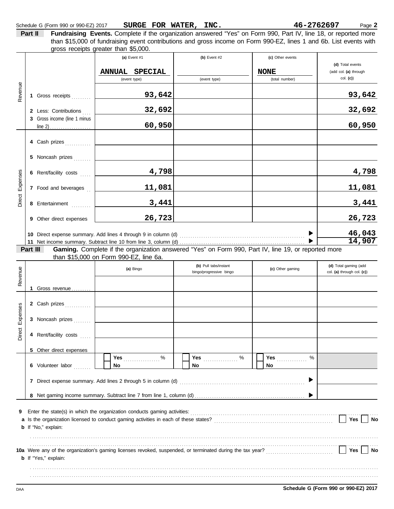|                                              |                              | gross receipts greater than \$5,000.<br>(a) Event $#1$                                                                                                            | (b) Event $#2$                                   | (c) Other events              |                                                     |
|----------------------------------------------|------------------------------|-------------------------------------------------------------------------------------------------------------------------------------------------------------------|--------------------------------------------------|-------------------------------|-----------------------------------------------------|
|                                              |                              |                                                                                                                                                                   |                                                  |                               | (d) Total events                                    |
|                                              |                              | ANNUAL SPECIAL<br>(event type)                                                                                                                                    | (event type)                                     | <b>NONE</b><br>(total number) | (add col. (a) through<br>$col.$ (c))                |
| Revenue                                      | 1 Gross receipts             | 93,642                                                                                                                                                            |                                                  |                               | 93,642                                              |
|                                              | 2 Less: Contributions        | 32,692                                                                                                                                                            |                                                  |                               | 32,692                                              |
|                                              | 3 Gross income (line 1 minus | 60,950                                                                                                                                                            |                                                  |                               | 60,950                                              |
|                                              | 4 Cash prizes                |                                                                                                                                                                   |                                                  |                               |                                                     |
|                                              | 5 Noncash prizes             |                                                                                                                                                                   |                                                  |                               |                                                     |
|                                              | 6 Rent/facility costs        | 4,798                                                                                                                                                             |                                                  |                               | 4,798                                               |
| Expenses                                     | 7 Food and beverages         | 11,081                                                                                                                                                            |                                                  |                               | 11,081                                              |
|                                              |                              |                                                                                                                                                                   |                                                  |                               |                                                     |
|                                              | 8 Entertainment              | 3,441                                                                                                                                                             |                                                  |                               |                                                     |
|                                              | 9 Other direct expenses      | 26,723                                                                                                                                                            |                                                  |                               |                                                     |
|                                              |                              |                                                                                                                                                                   |                                                  |                               |                                                     |
|                                              |                              |                                                                                                                                                                   |                                                  |                               |                                                     |
|                                              | Part III                     | Gaming. Complete if the organization answered "Yes" on Form 990, Part IV, line 19, or reported more<br>than \$15,000 on Form 990-EZ, line 6a.                     |                                                  |                               |                                                     |
|                                              |                              | (a) Bingo                                                                                                                                                         | (b) Pull tabs/instant<br>bingo/progressive bingo | (c) Other gaming              | (d) Total gaming (add<br>col. (a) through col. (c)) |
|                                              | 1 Gross revenue              |                                                                                                                                                                   |                                                  |                               | 3,441<br>26,723<br>46,043<br>14,907                 |
|                                              | 2 Cash prizes                |                                                                                                                                                                   |                                                  |                               |                                                     |
|                                              | 3 Noncash prizes             |                                                                                                                                                                   |                                                  |                               |                                                     |
|                                              | 4 Rent/facility costs        |                                                                                                                                                                   |                                                  |                               |                                                     |
|                                              | 5 Other direct expenses      |                                                                                                                                                                   |                                                  |                               |                                                     |
|                                              | 6 Volunteer labor            | Yes $%$<br>No.                                                                                                                                                    | No                                               | %<br><b>Yes</b><br>No         |                                                     |
|                                              |                              |                                                                                                                                                                   |                                                  |                               |                                                     |
|                                              |                              |                                                                                                                                                                   |                                                  |                               |                                                     |
| Direct<br>Revenue<br>Expenses<br>Direct<br>9 |                              | Enter the state(s) in which the organization conducts gaming activities: [11] content conducts and state(s) in which the organization conducts gaming activities: |                                                  |                               |                                                     |

. . . . . . . . . . . . . . . . . . . . . . . . . . . . . . . . . . . . . . . . . . . . . . . . . . . . . . . . . . . . . . . . . . . . . . . . . . . . . . . . . . . . . . . . . . . . . . . . . . . . . . . . . . . . . . . . . . . . . . . . . . . . . . . . . . . . . . . . . . . . . . . . . . . . . . . . . . . . . . . . . . . . . . . . . . . . . . . . . . . . . . . . . . . . . . . . . . . . . . . . . . . . . . . . . . . . . . . . . . . . . . . . . . . . . . . . . . . . . . . . . . . . . . . . . . . . . . . . . . . . . . . . . . . . . . . . . . . . . . . . . . . . . . . . . . . . . . . . . . . . . . . . . . . . . . . . . . . . . . . . . .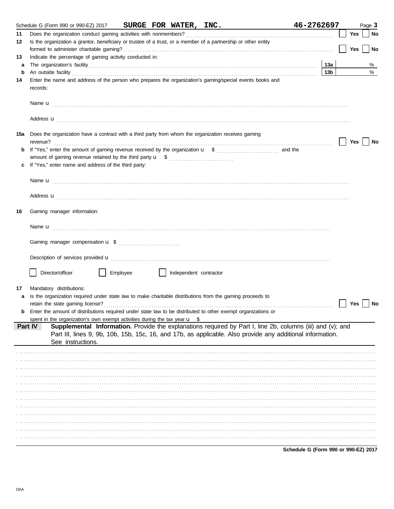|     | Schedule G (Form 990 or 990-EZ) 2017 SURGE FOR WATER, INC.                                                                                                                                                                           | 46-2762697      |     | Page 3 |
|-----|--------------------------------------------------------------------------------------------------------------------------------------------------------------------------------------------------------------------------------------|-----------------|-----|--------|
| 11  |                                                                                                                                                                                                                                      |                 | Yes | No     |
| 12  | Is the organization a grantor, beneficiary or trustee of a trust, or a member of a partnership or other entity                                                                                                                       |                 | Yes | No     |
| 13  | Indicate the percentage of gaming activity conducted in:                                                                                                                                                                             |                 |     |        |
| a   | The organization's facility contains and contains a series of the organization's facility contains a series of the series of the series of the series of the series of the series of the series of the series of the series of       | 13a             |     | %      |
| b   | An outside facility <b>contained a set of a set of a set of a set of a set of a set of a set of a set of a set of a set of a set of a set of a set of a set of a set of a set of a set of a set of a set of a set of a set of a </b> | 13 <sub>b</sub> |     | %      |
| 14  | Enter the name and address of the person who prepares the organization's gaming/special events books and<br>records:                                                                                                                 |                 |     |        |
|     |                                                                                                                                                                                                                                      |                 |     |        |
|     | Address <b>u</b>                                                                                                                                                                                                                     |                 |     |        |
| 15a | Does the organization have a contract with a third party from whom the organization receives gaming<br>revenue?                                                                                                                      |                 | Yes | No     |
| b   |                                                                                                                                                                                                                                      |                 |     |        |
|     |                                                                                                                                                                                                                                      |                 |     |        |
|     | If "Yes," enter name and address of the third party:                                                                                                                                                                                 |                 |     |        |
|     |                                                                                                                                                                                                                                      |                 |     |        |
|     |                                                                                                                                                                                                                                      |                 |     |        |
|     | Address <b>u</b>                                                                                                                                                                                                                     |                 |     |        |
| 16  | Gaming manager information:                                                                                                                                                                                                          |                 |     |        |
|     |                                                                                                                                                                                                                                      |                 |     |        |
|     |                                                                                                                                                                                                                                      |                 |     |        |
|     |                                                                                                                                                                                                                                      |                 |     |        |
|     | Director/officer<br>Employee<br>Independent contractor                                                                                                                                                                               |                 |     |        |
| 17  | Mandatory distributions:                                                                                                                                                                                                             |                 |     |        |
| a   | Is the organization required under state law to make charitable distributions from the gaming proceeds to                                                                                                                            |                 |     |        |
|     |                                                                                                                                                                                                                                      |                 | Yes | No     |
| b   | Enter the amount of distributions required under state law to be distributed to other exempt organizations or                                                                                                                        |                 |     |        |
|     | spent in the organization's own exempt activities during the tax year $\mathbf{u}$ \$                                                                                                                                                |                 |     |        |
|     | Supplemental Information. Provide the explanations required by Part I, line 2b, columns (iii) and (v); and<br>Part IV                                                                                                                |                 |     |        |
|     | Part III, lines 9, 9b, 10b, 15b, 15c, 16, and 17b, as applicable. Also provide any additional information.<br>See instructions.                                                                                                      |                 |     |        |
|     |                                                                                                                                                                                                                                      |                 |     |        |
|     |                                                                                                                                                                                                                                      |                 |     |        |
|     |                                                                                                                                                                                                                                      |                 |     |        |
|     |                                                                                                                                                                                                                                      |                 |     |        |
|     |                                                                                                                                                                                                                                      |                 |     |        |
|     |                                                                                                                                                                                                                                      |                 |     |        |
|     |                                                                                                                                                                                                                                      |                 |     |        |
|     |                                                                                                                                                                                                                                      |                 |     |        |
|     |                                                                                                                                                                                                                                      |                 |     |        |
|     |                                                                                                                                                                                                                                      |                 |     |        |
|     |                                                                                                                                                                                                                                      |                 |     |        |
|     |                                                                                                                                                                                                                                      |                 |     |        |

Schedule G (Form 990 or 990-EZ) 2017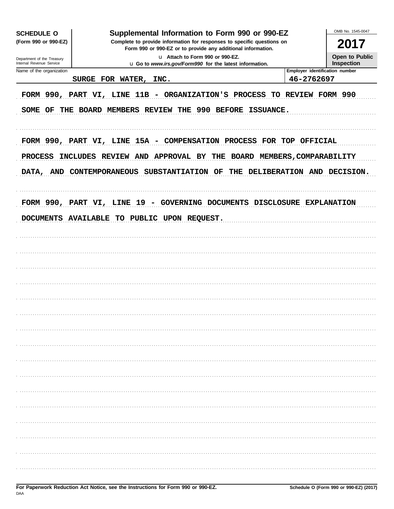| <b>SCHEDULE O</b>                                      | Supplemental Information to Form 990 or 990-EZ                                                                                                                                                                                        |                                              | OMB No. 1545-0047            |
|--------------------------------------------------------|---------------------------------------------------------------------------------------------------------------------------------------------------------------------------------------------------------------------------------------|----------------------------------------------|------------------------------|
| (Form 990 or 990-EZ)                                   | Complete to provide information for responses to specific questions on<br>Form 990 or 990-EZ or to provide any additional information.                                                                                                |                                              | 2017                         |
| Department of the Treasury<br>Internal Revenue Service | La Attach to Form 990 or 990-EZ.<br>u Go to www.irs.gov/Form990 for the latest information.                                                                                                                                           |                                              | Open to Public<br>Inspection |
| Name of the organization                               | SURGE FOR WATER,<br>INC.                                                                                                                                                                                                              | Employer identification number<br>46-2762697 |                              |
| SOME OF<br>THE                                         | FORM 990, PART VI, LINE 11B - ORGANIZATION'S PROCESS TO REVIEW FORM 990<br>990 BEFORE ISSUANCE.<br><b>BOARD MEMBERS REVIEW</b><br>THE                                                                                                 |                                              |                              |
| <b>PROCESS</b>                                         | FORM 990, PART VI, LINE 15A - COMPENSATION PROCESS FOR TOP OFFICIAL<br><b>INCLUDES</b><br><b>REVIEW AND APPROVAL BY</b><br>THE<br><b>BOARD MEMBERS, COMPARABILITY</b><br>DATA, AND CONTEMPORANEOUS<br><b>SUBSTANTIATION OF</b><br>THE | DELIBERATION AND DECISION.                   |                              |
|                                                        | FORM 990, PART VI, LINE 19<br>- GOVERNING DOCUMENTS DISCLOSURE<br>DOCUMENTS AVAILABLE TO PUBLIC UPON REQUEST.                                                                                                                         |                                              | <b>EXPLANATION</b>           |
|                                                        |                                                                                                                                                                                                                                       |                                              |                              |
|                                                        |                                                                                                                                                                                                                                       |                                              |                              |
|                                                        |                                                                                                                                                                                                                                       |                                              |                              |
|                                                        |                                                                                                                                                                                                                                       |                                              |                              |
|                                                        |                                                                                                                                                                                                                                       |                                              |                              |
|                                                        |                                                                                                                                                                                                                                       |                                              |                              |
|                                                        |                                                                                                                                                                                                                                       |                                              |                              |
|                                                        |                                                                                                                                                                                                                                       |                                              |                              |
|                                                        |                                                                                                                                                                                                                                       |                                              |                              |
|                                                        |                                                                                                                                                                                                                                       |                                              |                              |
|                                                        |                                                                                                                                                                                                                                       |                                              |                              |
|                                                        |                                                                                                                                                                                                                                       |                                              |                              |
|                                                        |                                                                                                                                                                                                                                       |                                              |                              |
|                                                        |                                                                                                                                                                                                                                       |                                              |                              |
|                                                        |                                                                                                                                                                                                                                       |                                              |                              |
|                                                        |                                                                                                                                                                                                                                       |                                              |                              |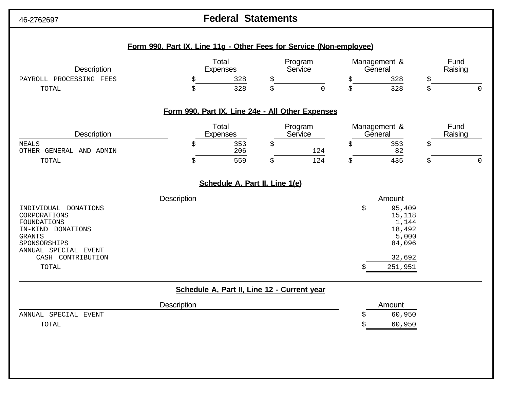# 46-2762697 **Federal Statements**

| <b>Description</b>                                                                                                                       | Total<br><b>Expenses</b>                         | Program<br>Service | Management &<br>General                                      | Fund<br>Raising |
|------------------------------------------------------------------------------------------------------------------------------------------|--------------------------------------------------|--------------------|--------------------------------------------------------------|-----------------|
| PAYROLL PROCESSING FEES                                                                                                                  | 328<br>Ś                                         | \$                 | 328<br>Ś                                                     | \$              |
| TOTAL                                                                                                                                    | 328<br>Ś                                         | $\Omega$<br>\$     | 328<br>Ś                                                     |                 |
|                                                                                                                                          | Form 990, Part IX, Line 24e - All Other Expenses |                    |                                                              |                 |
| <b>Description</b>                                                                                                                       | Total<br><b>Expenses</b>                         | Program<br>Service | Management &<br>General                                      | Fund<br>Raising |
| <b>MEALS</b>                                                                                                                             | 353<br>\$                                        | \$                 | 353<br>\$                                                    | \$              |
| OTHER GENERAL AND ADMIN<br><b>TOTAL</b>                                                                                                  | 206<br>559<br>Ś                                  | 124<br>124<br>Ŝ    | 82<br>435                                                    |                 |
|                                                                                                                                          |                                                  |                    |                                                              |                 |
|                                                                                                                                          | Schedule A, Part II, Line 1(e)<br>Description    |                    | Amount                                                       |                 |
| INDIVIDUAL DONATIONS<br>CORPORATIONS<br><b>FOUNDATIONS</b><br>IN-KIND DONATIONS<br><b>GRANTS</b><br>SPONSORSHIPS<br>ANNUAL SPECIAL EVENT |                                                  |                    | 95,409<br>\$<br>15,118<br>1,144<br>18,492<br>5,000<br>84,096 |                 |
| CASH CONTRIBUTION<br>TOTAL                                                                                                               |                                                  |                    | 32,692<br>251,951                                            |                 |
|                                                                                                                                          | Schedule A, Part II, Line 12 - Current year      |                    |                                                              |                 |
|                                                                                                                                          | Description                                      |                    | Amount                                                       |                 |
| ANNUAL SPECIAL EVENT                                                                                                                     |                                                  |                    | 60,950                                                       |                 |
| TOTAL                                                                                                                                    |                                                  |                    | 60,950                                                       |                 |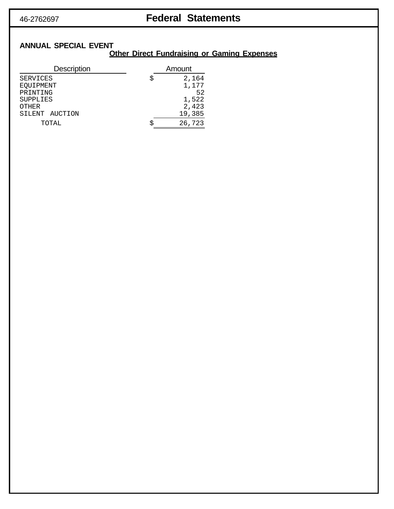## 46-2762697 **Federal Statements**

### **ANNUAL SPECIAL EVENT**

### **Other Direct Fundraising or Gaming Expenses**

| <b>Description</b> |   | Amount |
|--------------------|---|--------|
| <b>SERVICES</b>    | S | 2,164  |
| EQUIPMENT          |   | 1,177  |
| PRINTING           |   | 52     |
| <b>SUPPLIES</b>    |   | 1,522  |
| <b>OTHER</b>       |   | 2,423  |
| SILENT AUCTION     |   | 19,385 |
| TOTAL              |   | 26,723 |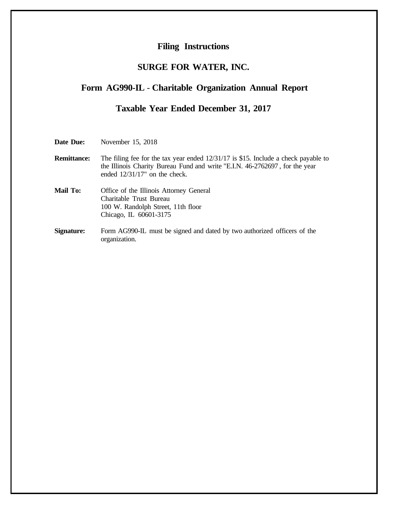#### **Filing Instructions**

### **SURGE FOR WATER, INC.**

#### **Form AG990-IL** - **Charitable Organization Annual Report**

### **Taxable Year Ended December 31, 2017**

| Date Due: | November 15, 2018 |  |  |
|-----------|-------------------|--|--|
|-----------|-------------------|--|--|

**Remittance:** The filing fee for the tax year ended  $12/31/17$  is \$15. Include a check payable to the Illinois Charity Bureau Fund and write "E.I.N. 46-2762697 , for the year ended 12/31/17" on the check.

- **Mail To:** Office of the Illinois Attorney General Charitable Trust Bureau 100 W. Randolph Street, 11th floor Chicago, IL 60601-3175
- **Signature:** Form AG990-IL must be signed and dated by two authorized officers of the organization.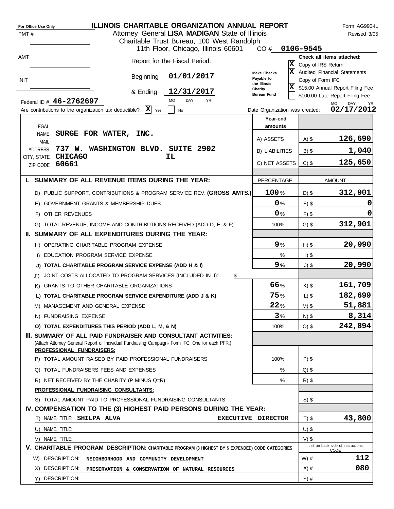|      | For Office Use Only                                   |                                                                                                                                                                    | <b>ILLINOIS CHARITABLE ORGANIZATION ANNUAL REPORT</b>                                                   |                                                 |                    | Form AG990-IL                                                       |
|------|-------------------------------------------------------|--------------------------------------------------------------------------------------------------------------------------------------------------------------------|---------------------------------------------------------------------------------------------------------|-------------------------------------------------|--------------------|---------------------------------------------------------------------|
| PMT# |                                                       |                                                                                                                                                                    | Attorney General LISA MADIGAN State of Illinois                                                         |                                                 |                    | Revised 3/05                                                        |
|      |                                                       |                                                                                                                                                                    | Charitable Trust Bureau, 100 West Randolph                                                              |                                                 | 0106-9545          |                                                                     |
| AMT  |                                                       |                                                                                                                                                                    | 11th Floor, Chicago, Illinois 60601                                                                     | CO#                                             |                    | Check all items attached:                                           |
|      |                                                       |                                                                                                                                                                    | Report for the Fiscal Period:                                                                           | X                                               | Copy of IRS Return |                                                                     |
|      |                                                       | Beginning                                                                                                                                                          | 01/01/2017                                                                                              | $\overline{\mathbf{x}}$<br><b>Make Checks</b>   |                    | Audited Financial Statements                                        |
| INIT |                                                       |                                                                                                                                                                    |                                                                                                         | Payable to<br>the Illinois                      | Copy of Form IFC   |                                                                     |
|      |                                                       | & Ending                                                                                                                                                           | 12/31/2017                                                                                              | $ \mathbf{x} $<br>Charity<br><b>Bureau Fund</b> |                    | \$15.00 Annual Report Filing Fee<br>\$100.00 Late Report Filing Fee |
|      | Federal ID # 46-2762697                               |                                                                                                                                                                    | <b>MO</b><br>DAY<br>YR                                                                                  |                                                 |                    | <b>MO</b><br>DAY<br>YR.                                             |
|      | Are contributions to the organization tax deductible? | $ \mathbf{X} $ Yes                                                                                                                                                 | No                                                                                                      | Date Organization was created:                  |                    | 02/17/2012                                                          |
|      | LEGAL                                                 |                                                                                                                                                                    |                                                                                                         | Year-end                                        |                    |                                                                     |
|      | <b>NAME</b>                                           | SURGE FOR WATER, INC.                                                                                                                                              |                                                                                                         | amounts                                         |                    |                                                                     |
|      | <b>MAIL</b>                                           |                                                                                                                                                                    |                                                                                                         | A) ASSETS                                       | $A)$ \$            | 126,690                                                             |
|      | <b>ADDRESS</b>                                        | 737 W. WASHINGTON BLVD. SUITE 2902                                                                                                                                 |                                                                                                         | <b>B) LIABILITIES</b>                           | $B)$ \$            | 1,040                                                               |
|      | <b>CHICAGO</b><br>CITY, STATE<br>60661<br>ZIP CODE    |                                                                                                                                                                    | IL                                                                                                      | C) NET ASSETS                                   | $C)$ \$            | 125,650                                                             |
|      |                                                       |                                                                                                                                                                    |                                                                                                         |                                                 |                    |                                                                     |
| L.   |                                                       | SUMMARY OF ALL REVENUE ITEMS DURING THE YEAR:                                                                                                                      |                                                                                                         | PERCENTAGE                                      |                    | <b>AMOUNT</b>                                                       |
|      |                                                       |                                                                                                                                                                    | D) PUBLIC SUPPORT, CONTRIBUTIONS & PROGRAM SERVICE REV. (GROSS AMTS.)                                   | 100%                                            | $D)$ \$            | 312,901                                                             |
|      |                                                       | E) GOVERNMENT GRANTS & MEMBERSHIP DUES                                                                                                                             |                                                                                                         | 0%                                              | $E)$ \$            |                                                                     |
|      | F) OTHER REVENUES                                     |                                                                                                                                                                    |                                                                                                         | 0%                                              | $F)$ \$            | 0                                                                   |
|      |                                                       | G) TOTAL REVENUE, INCOME AND CONTRIBUTIONS RECEIVED (ADD D, E, & F)                                                                                                |                                                                                                         | 100%                                            | $G)$ \$            | 312,901                                                             |
|      |                                                       | II. SUMMARY OF ALL EXPENDITURES DURING THE YEAR:                                                                                                                   |                                                                                                         |                                                 |                    |                                                                     |
|      |                                                       |                                                                                                                                                                    |                                                                                                         | 9%                                              |                    |                                                                     |
|      |                                                       | H) OPERATING CHARITABLE PROGRAM EXPENSE                                                                                                                            |                                                                                                         |                                                 | $H)$ \$            | 20,990                                                              |
|      |                                                       | I) EDUCATION PROGRAM SERVICE EXPENSE                                                                                                                               |                                                                                                         | %                                               | $I)$ \$            |                                                                     |
|      |                                                       | J) TOTAL CHARITABLE PROGRAM SERVICE EXPENSE (ADD H & I)                                                                                                            |                                                                                                         | 9%                                              | $J)$ \$            | 20,990                                                              |
|      | J1).                                                  | JOINT COSTS ALLOCATED TO PROGRAM SERVICES (INCLUDED IN J):                                                                                                         | \$                                                                                                      |                                                 |                    |                                                                     |
|      |                                                       | K) GRANTS TO OTHER CHARITABLE ORGANIZATIONS                                                                                                                        |                                                                                                         | 66%                                             | $K)$ \$            | 161,709                                                             |
|      |                                                       | L) TOTAL CHARITABLE PROGRAM SERVICE EXPENDITURE (ADD J & K)                                                                                                        |                                                                                                         | 75%                                             | $L)$ \$            | 182,699                                                             |
|      |                                                       | M) MANAGEMENT AND GENERAL EXPENSE                                                                                                                                  |                                                                                                         | 22%                                             | $M)$ \$            | 51,881                                                              |
|      | N) FUNDRAISING EXPENSE                                |                                                                                                                                                                    |                                                                                                         | 3%                                              | $N)$ \$            | 8,314                                                               |
|      |                                                       | O) TOTAL EXPENDITURES THIS PERIOD (ADD L, M, & N)                                                                                                                  |                                                                                                         | 100%                                            | $O)$ \$            | 242,894                                                             |
|      |                                                       | III. SUMMARY OF ALL PAID FUNDRAISER AND CONSULTANT ACTIVITIES:<br>(Attach Attorney General Report of Individual Fundraising Campaign- Form IFC. One for each PFR.) |                                                                                                         |                                                 |                    |                                                                     |
|      | PROFESSIONAL FUNDRAISERS:                             |                                                                                                                                                                    |                                                                                                         |                                                 |                    |                                                                     |
|      |                                                       | P) TOTAL AMOUNT RAISED BY PAID PROFESSIONAL FUNDRAISERS                                                                                                            |                                                                                                         | 100%                                            | $P$ ) \$           |                                                                     |
|      |                                                       | Q) TOTAL FUNDRAISERS FEES AND EXPENSES                                                                                                                             |                                                                                                         | %                                               | $Q$ ) \$           |                                                                     |
|      |                                                       | R) NET RECEIVED BY THE CHARITY (P MINUS Q=R)                                                                                                                       |                                                                                                         | $\%$                                            | $R)$ \$            |                                                                     |
|      |                                                       | PROFESSIONAL FUNDRAISING CONSULTANTS:                                                                                                                              |                                                                                                         |                                                 |                    |                                                                     |
|      |                                                       | S) TOTAL AMOUNT PAID TO PROFESSIONAL FUNDRAISING CONSULTANTS                                                                                                       |                                                                                                         |                                                 | $S)$ \$            |                                                                     |
|      |                                                       |                                                                                                                                                                    | IV. COMPENSATION TO THE (3) HIGHEST PAID PERSONS DURING THE YEAR:                                       |                                                 |                    |                                                                     |
|      | T) NAME, TITLE: SHILPA ALVA                           |                                                                                                                                                                    |                                                                                                         | EXECUTIVE DIRECTOR                              | $T)$ \$            | 43,800                                                              |
|      | U) NAME, TITLE:                                       |                                                                                                                                                                    |                                                                                                         |                                                 | $U)$ \$            |                                                                     |
|      | V) NAME, TITLE:                                       |                                                                                                                                                                    |                                                                                                         |                                                 | $V)$ \$            | List on back side of instructions                                   |
|      |                                                       |                                                                                                                                                                    | <b>V. CHARITABLE PROGRAM DESCRIPTION:</b> CHARITABLE PROGRAM (3 HIGHEST BY \$ EXPENDED) CODE CATEGORIES |                                                 |                    | CODE                                                                |
|      | W) DESCRIPTION:                                       | NEIGHBORHOOD AND COMMUNITY DEVELOPMENT                                                                                                                             |                                                                                                         |                                                 | $W)$ #             | 112                                                                 |
|      | X) DESCRIPTION:                                       | PRESERVATION & CONSERVATION OF NATURAL RESOURCES                                                                                                                   |                                                                                                         |                                                 | $X)$ #             | 080                                                                 |
|      | Y) DESCRIPTION:                                       |                                                                                                                                                                    |                                                                                                         |                                                 | $Y)$ #             |                                                                     |